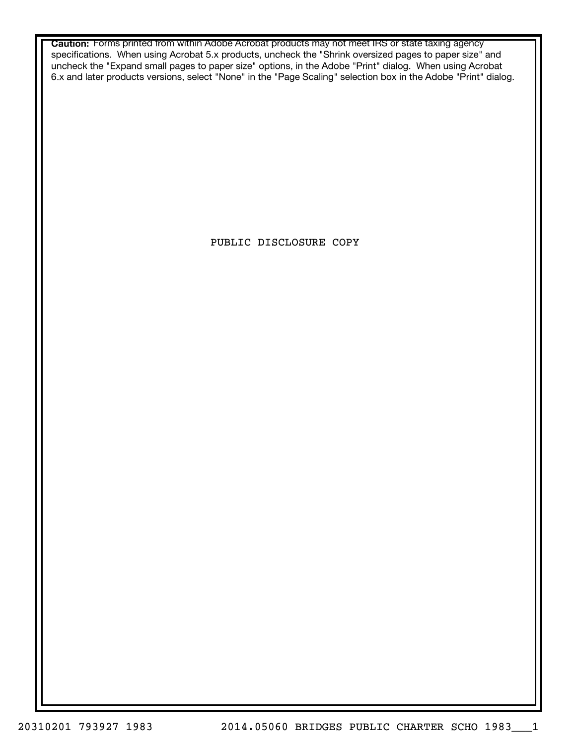**Caution:** Forms printed from within Adobe Acrobat products may not meet IRS or state taxing agency specifications. When using Acrobat 5.x products, uncheck the "Shrink oversized pages to paper size" and uncheck the "Expand small pages to paper size" options, in the Adobe "Print" dialog. When using Acrobat 6.x and later products versions, select "None" in the "Page Scaling" selection box in the Adobe "Print" dialog.

PUBLIC DISCLOSURE COPY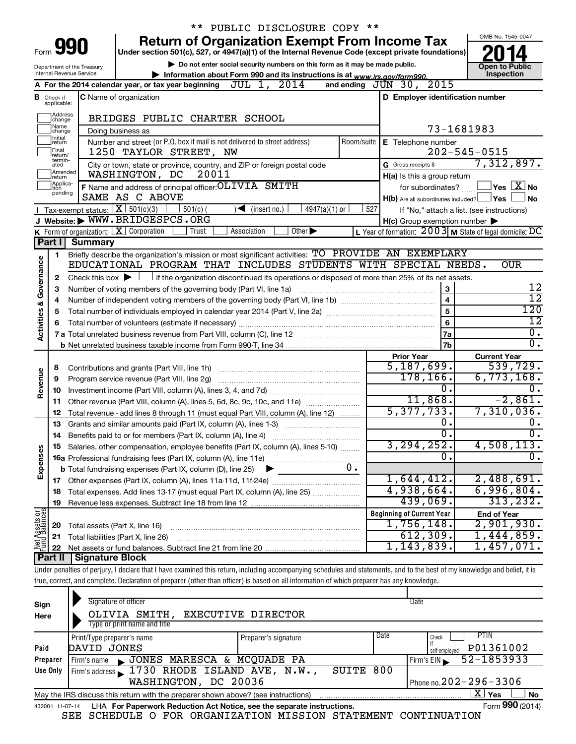|                                                                                                                                                                                                                     |                              |                                                                                                                                                       | ** PUBLIC DISCLOSURE COPY **                                                                                                                                               |                        |                                                     |                                                           |  |  |  |  |
|---------------------------------------------------------------------------------------------------------------------------------------------------------------------------------------------------------------------|------------------------------|-------------------------------------------------------------------------------------------------------------------------------------------------------|----------------------------------------------------------------------------------------------------------------------------------------------------------------------------|------------------------|-----------------------------------------------------|-----------------------------------------------------------|--|--|--|--|
|                                                                                                                                                                                                                     |                              |                                                                                                                                                       | <b>Return of Organization Exempt From Income Tax</b>                                                                                                                       |                        |                                                     | OMB No. 1545-0047                                         |  |  |  |  |
| 990<br>Form<br>Under section 501(c), 527, or 4947(a)(1) of the Internal Revenue Code (except private foundations)                                                                                                   |                              |                                                                                                                                                       |                                                                                                                                                                            |                        |                                                     |                                                           |  |  |  |  |
|                                                                                                                                                                                                                     |                              | Department of the Treasury                                                                                                                            | Do not enter social security numbers on this form as it may be made public.                                                                                                |                        |                                                     | <b>Open to Public</b><br>Inspection                       |  |  |  |  |
| <b>Internal Revenue Service</b><br>Information about Form 990 and its instructions is at www.irs.gov/form990.<br>A For the 2014 calendar year, or tax year beginning $JUL$ 1, $2014$<br>and ending $JUN$ 30, $2015$ |                              |                                                                                                                                                       |                                                                                                                                                                            |                        |                                                     |                                                           |  |  |  |  |
|                                                                                                                                                                                                                     |                              |                                                                                                                                                       |                                                                                                                                                                            |                        |                                                     |                                                           |  |  |  |  |
| C Name of organization<br>D Employer identification number<br><b>B</b> Check if<br>applicable:                                                                                                                      |                              |                                                                                                                                                       |                                                                                                                                                                            |                        |                                                     |                                                           |  |  |  |  |
|                                                                                                                                                                                                                     | Address<br>change            |                                                                                                                                                       | BRIDGES PUBLIC CHARTER SCHOOL                                                                                                                                              |                        |                                                     |                                                           |  |  |  |  |
|                                                                                                                                                                                                                     | Name<br>change               |                                                                                                                                                       | Doing business as                                                                                                                                                          |                        |                                                     | 73-1681983                                                |  |  |  |  |
|                                                                                                                                                                                                                     | Initial<br>return            |                                                                                                                                                       | Number and street (or P.O. box if mail is not delivered to street address)<br>Room/suite                                                                                   |                        | E Telephone number                                  |                                                           |  |  |  |  |
|                                                                                                                                                                                                                     | Final<br>return/             |                                                                                                                                                       | 1250 TAYLOR STREET, NW                                                                                                                                                     |                        |                                                     | $202 - 545 - 0515$                                        |  |  |  |  |
|                                                                                                                                                                                                                     | termin-<br>ated              |                                                                                                                                                       | City or town, state or province, country, and ZIP or foreign postal code                                                                                                   |                        | G Gross receipts \$                                 | 7,312,897.                                                |  |  |  |  |
|                                                                                                                                                                                                                     | Amended<br>return            |                                                                                                                                                       | WASHINGTON, DC<br>20011                                                                                                                                                    |                        | H(a) Is this a group return                         |                                                           |  |  |  |  |
|                                                                                                                                                                                                                     | Applica-<br>Ition<br>pending |                                                                                                                                                       | F Name and address of principal officer: OL TVTA SMITH                                                                                                                     |                        | for subordinates?                                   | $\Box$ Yes $[\overline{\mathrm{X}}]$ No                   |  |  |  |  |
|                                                                                                                                                                                                                     |                              |                                                                                                                                                       | SAME AS C ABOVE                                                                                                                                                            |                        | $H(b)$ Are all subordinates included? $\Box$ Yes    | No                                                        |  |  |  |  |
|                                                                                                                                                                                                                     |                              | <b>I</b> Tax-exempt status: $\boxed{\mathbf{X}}$ 501(c)(3)                                                                                            | 501(c) <br>$\sqrt{\frac{1}{1}}$ (insert no.)<br>$4947(a)(1)$ or                                                                                                            | 527                    |                                                     | If "No," attach a list. (see instructions)                |  |  |  |  |
|                                                                                                                                                                                                                     |                              |                                                                                                                                                       | J Website: WWW.BRIDGESPCS.ORG<br>K Form of organization: $X$ Corporation<br>Trust<br>Other $\blacktriangleright$                                                           |                        | $H(c)$ Group exemption number $\blacktriangleright$ | L Year of formation: $2003$ M State of legal domicile: DC |  |  |  |  |
|                                                                                                                                                                                                                     | Part II                      | <b>Summary</b>                                                                                                                                        | Association                                                                                                                                                                |                        |                                                     |                                                           |  |  |  |  |
|                                                                                                                                                                                                                     |                              |                                                                                                                                                       |                                                                                                                                                                            |                        |                                                     |                                                           |  |  |  |  |
|                                                                                                                                                                                                                     | 1                            |                                                                                                                                                       | Briefly describe the organization's mission or most significant activities: TO PROVIDE AN EXEMPLARY<br>EDUCATIONAL PROGRAM THAT INCLUDES STUDENTS WITH SPECIAL NEEDS.      |                        |                                                     | <b>OUR</b>                                                |  |  |  |  |
| Activities & Governance                                                                                                                                                                                             |                              |                                                                                                                                                       |                                                                                                                                                                            |                        |                                                     |                                                           |  |  |  |  |
|                                                                                                                                                                                                                     | з                            | Check this box $\blacktriangleright$ $\Box$ if the organization discontinued its operations or disposed of more than 25% of its net assets.<br>2<br>3 |                                                                                                                                                                            |                        |                                                     |                                                           |  |  |  |  |
|                                                                                                                                                                                                                     | 4                            | Number of voting members of the governing body (Part VI, line 1a)<br>$\overline{\mathbf{4}}$                                                          |                                                                                                                                                                            |                        |                                                     |                                                           |  |  |  |  |
|                                                                                                                                                                                                                     | 5                            |                                                                                                                                                       | 5                                                                                                                                                                          | $\overline{12}$<br>120 |                                                     |                                                           |  |  |  |  |
|                                                                                                                                                                                                                     |                              |                                                                                                                                                       |                                                                                                                                                                            |                        | 6                                                   | $\overline{12}$                                           |  |  |  |  |
|                                                                                                                                                                                                                     |                              |                                                                                                                                                       |                                                                                                                                                                            | 7a                     | $\overline{0}$ .                                    |                                                           |  |  |  |  |
|                                                                                                                                                                                                                     |                              |                                                                                                                                                       |                                                                                                                                                                            |                        | 7b                                                  | σ.                                                        |  |  |  |  |
|                                                                                                                                                                                                                     |                              |                                                                                                                                                       |                                                                                                                                                                            |                        | <b>Prior Year</b>                                   | <b>Current Year</b>                                       |  |  |  |  |
|                                                                                                                                                                                                                     | 8                            |                                                                                                                                                       |                                                                                                                                                                            |                        | 5,187,699.                                          | 539,729.                                                  |  |  |  |  |
|                                                                                                                                                                                                                     | 9                            |                                                                                                                                                       | Program service revenue (Part VIII, line 2g)                                                                                                                               |                        | 178,166.                                            | $6,773,168$ .                                             |  |  |  |  |
| Revenue                                                                                                                                                                                                             | 10                           |                                                                                                                                                       |                                                                                                                                                                            |                        | 0.                                                  | 0.                                                        |  |  |  |  |
|                                                                                                                                                                                                                     | 11                           |                                                                                                                                                       | Other revenue (Part VIII, column (A), lines 5, 6d, 8c, 9c, 10c, and 11e)                                                                                                   |                        | 11,868.                                             | $-2,861.$                                                 |  |  |  |  |
|                                                                                                                                                                                                                     | 12                           |                                                                                                                                                       | Total revenue - add lines 8 through 11 (must equal Part VIII, column (A), line 12)                                                                                         |                        | 5,377,733.                                          | 7,310,036.                                                |  |  |  |  |
|                                                                                                                                                                                                                     | 13                           |                                                                                                                                                       | Grants and similar amounts paid (Part IX, column (A), lines 1-3)                                                                                                           |                        | 0.                                                  | 0.                                                        |  |  |  |  |
|                                                                                                                                                                                                                     | 14                           |                                                                                                                                                       |                                                                                                                                                                            |                        | σ.                                                  | 0.                                                        |  |  |  |  |
|                                                                                                                                                                                                                     | 15                           |                                                                                                                                                       | Salaries, other compensation, employee benefits (Part IX, column (A), lines 5-10)                                                                                          |                        | 3, 294, 252.                                        | 4,508,113.                                                |  |  |  |  |
| Expenses                                                                                                                                                                                                            |                              |                                                                                                                                                       |                                                                                                                                                                            |                        | О.                                                  | $\overline{0}$ .                                          |  |  |  |  |
|                                                                                                                                                                                                                     |                              |                                                                                                                                                       | 0.<br><b>b</b> Total fundraising expenses (Part IX, column (D), line 25)                                                                                                   |                        |                                                     |                                                           |  |  |  |  |
|                                                                                                                                                                                                                     |                              |                                                                                                                                                       |                                                                                                                                                                            |                        | 1,644,412.                                          | 2,488,691.                                                |  |  |  |  |
|                                                                                                                                                                                                                     |                              |                                                                                                                                                       | Total expenses. Add lines 13-17 (must equal Part IX, column (A), line 25)                                                                                                  |                        | 4,938,664.                                          | 6,996,804.                                                |  |  |  |  |
|                                                                                                                                                                                                                     | 19                           |                                                                                                                                                       |                                                                                                                                                                            |                        | 439,069.                                            | 313, 232.                                                 |  |  |  |  |
| Net Assets or                                                                                                                                                                                                       |                              |                                                                                                                                                       |                                                                                                                                                                            |                        | <b>Beginning of Current Year</b>                    | <b>End of Year</b>                                        |  |  |  |  |
|                                                                                                                                                                                                                     | 20                           | Total assets (Part X, line 16)                                                                                                                        |                                                                                                                                                                            |                        | $1,756,148$ .                                       | 2,901,930.                                                |  |  |  |  |
|                                                                                                                                                                                                                     | 21                           |                                                                                                                                                       | Total liabilities (Part X, line 26)                                                                                                                                        |                        | 612,309.                                            | 1,444,859.                                                |  |  |  |  |
|                                                                                                                                                                                                                     | 22                           |                                                                                                                                                       |                                                                                                                                                                            |                        | 1,143,839.                                          | $1,457,071$ .                                             |  |  |  |  |
|                                                                                                                                                                                                                     | Part II                      | Signature Block                                                                                                                                       |                                                                                                                                                                            |                        |                                                     |                                                           |  |  |  |  |
|                                                                                                                                                                                                                     |                              |                                                                                                                                                       | Under penalties of perjury, I declare that I have examined this return, including accompanying schedules and statements, and to the best of my knowledge and belief, it is |                        |                                                     |                                                           |  |  |  |  |
|                                                                                                                                                                                                                     |                              |                                                                                                                                                       | true, correct, and complete. Declaration of preparer (other than officer) is based on all information of which preparer has any knowledge.                                 |                        |                                                     |                                                           |  |  |  |  |

| Sign<br>Here | Signature of officer<br>OLIVIA SMITH,<br>Type or print name and title                                        | EXECUTIVE DIRECTOR   |      | Date                                        |  |  |  |  |  |  |
|--------------|--------------------------------------------------------------------------------------------------------------|----------------------|------|---------------------------------------------|--|--|--|--|--|--|
| Paid         | Print/Type preparer's name<br>DAVID JONES                                                                    | Preparer's signature | Date | PTIN<br>Check<br>P01361002                  |  |  |  |  |  |  |
| Preparer     | JONES MARESCA & MCQUADE PA<br>Firm's name                                                                    |                      |      | self-emploved<br>52-1853933<br>Firm's $EIN$ |  |  |  |  |  |  |
| Use Only     | Firm's address $\sqrt{1730}$ RHODE ISLAND AVE, N.W.,<br>WASHINGTON, DC 20036                                 | SUITE                | 800  | Phone no. $202 - 296 - 3306$                |  |  |  |  |  |  |
|              | x.<br><b>No</b><br>Yes<br>May the IRS discuss this return with the preparer shown above? (see instructions)  |                      |      |                                             |  |  |  |  |  |  |
|              | Form 990 (2014)<br>LHA For Paperwork Reduction Act Notice, see the separate instructions.<br>432001 11-07-14 |                      |      |                                             |  |  |  |  |  |  |

SEE SCHEDULE O FOR ORGANIZATION MISSION STATEMENT CONTINUATION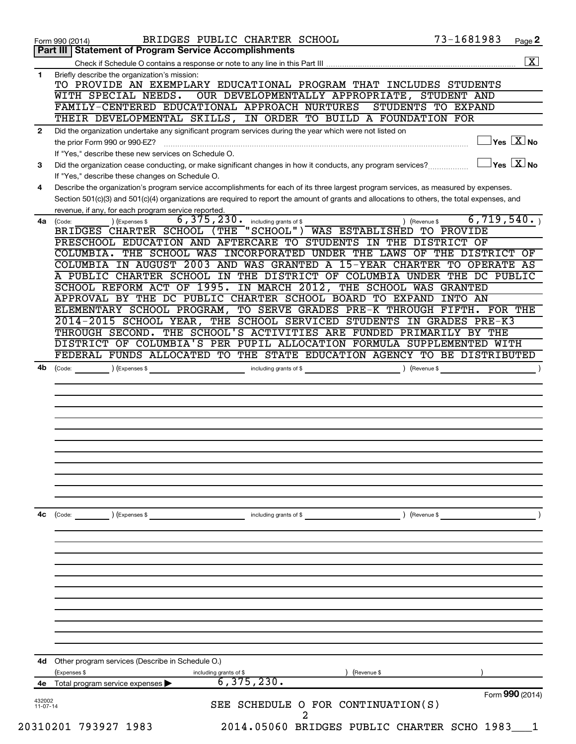|                      | <b>Statement of Program Service Accomplishments</b><br>Part III                                                                                                                                              |
|----------------------|--------------------------------------------------------------------------------------------------------------------------------------------------------------------------------------------------------------|
|                      | $\boxed{\textbf{X}}$                                                                                                                                                                                         |
| 1.                   | Briefly describe the organization's mission:<br>TO PROVIDE AN EXEMPLARY EDUCATIONAL PROGRAM THAT INCLUDES STUDENTS                                                                                           |
|                      | OUR DEVELOPMENTALLY APPROPRIATE, STUDENT AND<br>WITH SPECIAL NEEDS.<br>FAMILY-CENTERED EDUCATIONAL APPROACH NURTURES<br>STUDENTS TO EXPAND                                                                   |
|                      | THEIR DEVELOPMENTAL SKILLS, IN ORDER TO BUILD A FOUNDATION FOR                                                                                                                                               |
| $\mathbf{2}$         | Did the organization undertake any significant program services during the year which were not listed on                                                                                                     |
|                      | $\sqrt{}$ Yes $\overline{\phantom{a}X}$ No<br>the prior Form 990 or 990-EZ?                                                                                                                                  |
| 3                    | If "Yes," describe these new services on Schedule O.<br>$\sqrt{\mathsf{Yes}\ \mathsf{X}}$ No<br>Did the organization cease conducting, or make significant changes in how it conducts, any program services? |
|                      | If "Yes," describe these changes on Schedule O.                                                                                                                                                              |
| 4                    | Describe the organization's program service accomplishments for each of its three largest program services, as measured by expenses.                                                                         |
|                      | Section 501(c)(3) and 501(c)(4) organizations are required to report the amount of grants and allocations to others, the total expenses, and                                                                 |
| 4a                   | revenue, if any, for each program service reported.<br>6,719,540.<br>$6,375,230$ $\cdot$ including grants of \$<br>) (Expenses \$<br>(Code:<br>) (Revenue \$                                                 |
|                      | "SCHOOL") WAS ESTABLISHED TO PROVIDE<br>BRIDGES CHARTER SCHOOL<br>( THE)                                                                                                                                     |
|                      | PRESCHOOL EDUCATION AND AFTERCARE TO STUDENTS IN THE DISTRICT OF                                                                                                                                             |
|                      | COLUMBIA. THE SCHOOL WAS INCORPORATED UNDER THE LAWS<br>OF THE DISTRICT<br>OF                                                                                                                                |
|                      | IN AUGUST 2003 AND WAS GRANTED A 15-YEAR CHARTER TO OPERATE AS<br><b>COLUMBIA</b><br>THE DISTRICT OF COLUMBIA UNDER THE DC PUBLIC<br>A PUBLIC CHARTER SCHOOL<br>IN                                           |
|                      | SCHOOL REFORM ACT OF 1995. IN MARCH 2012, THE SCHOOL WAS GRANTED                                                                                                                                             |
|                      | APPROVAL BY THE DC PUBLIC CHARTER SCHOOL BOARD TO EXPAND<br>INTO AN                                                                                                                                          |
|                      | ELEMENTARY SCHOOL PROGRAM,<br>TO SERVE GRADES PRE-K THROUGH FIFTH.<br>FOR THE                                                                                                                                |
|                      | 2014-2015 SCHOOL YEAR, THE SCHOOL SERVICED STUDENTS<br>IN GRADES PRE-K3                                                                                                                                      |
|                      | THROUGH SECOND. THE SCHOOL'S ACTIVITIES ARE FUNDED PRIMARILY BY THE<br>DISTRICT OF COLUMBIA'S PER PUPIL ALLOCATION FORMULA SUPPLEMENTED WITH                                                                 |
|                      | FEDERAL FUNDS ALLOCATED TO THE STATE EDUCATION AGENCY TO BE DISTRIBUTED                                                                                                                                      |
|                      |                                                                                                                                                                                                              |
|                      |                                                                                                                                                                                                              |
|                      |                                                                                                                                                                                                              |
|                      |                                                                                                                                                                                                              |
| 4с                   | including grants of \$ (Revenue \$)<br>(Code:<br>) (Expenses \$                                                                                                                                              |
|                      |                                                                                                                                                                                                              |
|                      |                                                                                                                                                                                                              |
|                      |                                                                                                                                                                                                              |
|                      |                                                                                                                                                                                                              |
|                      |                                                                                                                                                                                                              |
| 4d                   | Other program services (Describe in Schedule O.)                                                                                                                                                             |
|                      | (Expenses \$<br>(Revenue \$<br>including grants of \$                                                                                                                                                        |
|                      | 6, 375, 230.<br>4e Total program service expenses<br>Form 990 (2014)                                                                                                                                         |
| 432002<br>$11-07-14$ | SEE SCHEDULE O FOR CONTINUATION(S)                                                                                                                                                                           |
|                      |                                                                                                                                                                                                              |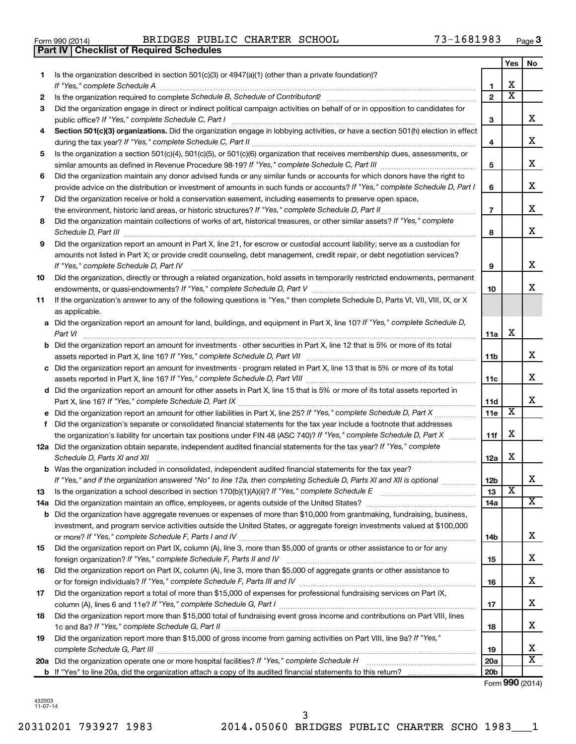| Form 990 (2014) |  |  |
|-----------------|--|--|

**Part IV Checklist of Required Schedules**

Form 990 (2014) BRIDGES PUBLIC CHARTER SCHOOL 73-1681983 <sub>Page</sub>

|     |                                                                                                                                                                                                                                     |                 | Yes                     | No                      |
|-----|-------------------------------------------------------------------------------------------------------------------------------------------------------------------------------------------------------------------------------------|-----------------|-------------------------|-------------------------|
| 1   | Is the organization described in section $501(c)(3)$ or $4947(a)(1)$ (other than a private foundation)?                                                                                                                             |                 |                         |                         |
|     |                                                                                                                                                                                                                                     | 1               | х                       |                         |
| 2   | Is the organization required to complete Schedule B, Schedule of Contributors? [111] [12] the organization required to complete Schedule B, Schedule of Contributors?                                                               | $\overline{2}$  | $\overline{\text{x}}$   |                         |
| З   | Did the organization engage in direct or indirect political campaign activities on behalf of or in opposition to candidates for                                                                                                     |                 |                         |                         |
|     | public office? If "Yes," complete Schedule C, Part I                                                                                                                                                                                | З               |                         | x                       |
|     | Section 501(c)(3) organizations. Did the organization engage in lobbying activities, or have a section 501(h) election in effect                                                                                                    |                 |                         |                         |
|     |                                                                                                                                                                                                                                     | 4               |                         | x                       |
| 5   | Is the organization a section 501(c)(4), 501(c)(5), or 501(c)(6) organization that receives membership dues, assessments, or                                                                                                        |                 |                         | x                       |
|     |                                                                                                                                                                                                                                     | 5               |                         |                         |
| 6   | Did the organization maintain any donor advised funds or any similar funds or accounts for which donors have the right to                                                                                                           |                 |                         | x                       |
|     | provide advice on the distribution or investment of amounts in such funds or accounts? If "Yes," complete Schedule D, Part I                                                                                                        | 6               |                         |                         |
| 7   | Did the organization receive or hold a conservation easement, including easements to preserve open space,                                                                                                                           | $\overline{7}$  |                         | x                       |
| 8   | .<br>Did the organization maintain collections of works of art, historical treasures, or other similar assets? If "Yes," complete                                                                                                   |                 |                         |                         |
|     | Schedule D, Part III <b>Process Construction Construction Construction</b> Construction Construction Construction Construction Construction Construction Construction Construction Construction Construction Construction Construct | 8               |                         | x                       |
| 9   | Did the organization report an amount in Part X, line 21, for escrow or custodial account liability; serve as a custodian for                                                                                                       |                 |                         |                         |
|     | amounts not listed in Part X; or provide credit counseling, debt management, credit repair, or debt negotiation services?                                                                                                           |                 |                         |                         |
|     | If "Yes," complete Schedule D, Part IV                                                                                                                                                                                              | 9               |                         | x                       |
| 10  | Did the organization, directly or through a related organization, hold assets in temporarily restricted endowments, permanent                                                                                                       |                 |                         |                         |
|     |                                                                                                                                                                                                                                     | 10              |                         | x                       |
| 11  | If the organization's answer to any of the following questions is "Yes," then complete Schedule D, Parts VI, VII, VIII, IX, or X<br>as applicable.                                                                                  |                 |                         |                         |
|     | a Did the organization report an amount for land, buildings, and equipment in Part X, line 10? If "Yes," complete Schedule D,                                                                                                       |                 |                         |                         |
|     |                                                                                                                                                                                                                                     | 11a             | х                       |                         |
|     | <b>b</b> Did the organization report an amount for investments - other securities in Part X, line 12 that is 5% or more of its total                                                                                                |                 |                         |                         |
|     |                                                                                                                                                                                                                                     | 11 <sub>b</sub> |                         | x                       |
|     | c Did the organization report an amount for investments - program related in Part X, line 13 that is 5% or more of its total                                                                                                        |                 |                         |                         |
|     |                                                                                                                                                                                                                                     | 11c             |                         | x                       |
|     | d Did the organization report an amount for other assets in Part X, line 15 that is 5% or more of its total assets reported in                                                                                                      |                 |                         | x                       |
|     |                                                                                                                                                                                                                                     | 11d<br>11e      | $\overline{\textbf{x}}$ |                         |
| f   | Did the organization's separate or consolidated financial statements for the tax year include a footnote that addresses                                                                                                             |                 |                         |                         |
|     | the organization's liability for uncertain tax positions under FIN 48 (ASC 740)? If "Yes," complete Schedule D, Part X                                                                                                              | 11f             | x                       |                         |
|     | 12a Did the organization obtain separate, independent audited financial statements for the tax year? If "Yes," complete                                                                                                             |                 |                         |                         |
|     | Schedule D, Parts XI and XII                                                                                                                                                                                                        | 12a             | x                       |                         |
|     | <b>b</b> Was the organization included in consolidated, independent audited financial statements for the tax year?                                                                                                                  |                 |                         |                         |
|     | If "Yes," and if the organization answered "No" to line 12a, then completing Schedule D, Parts XI and XII is optional                                                                                                               | 12 <sub>b</sub> |                         | х                       |
| 13  |                                                                                                                                                                                                                                     | 13              | $\overline{\textbf{x}}$ |                         |
| 14a |                                                                                                                                                                                                                                     | 14a             |                         | $\overline{\mathbf{X}}$ |
|     | <b>b</b> Did the organization have aggregate revenues or expenses of more than \$10,000 from grantmaking, fundraising, business,                                                                                                    |                 |                         |                         |
|     | investment, and program service activities outside the United States, or aggregate foreign investments valued at \$100,000                                                                                                          |                 |                         |                         |
|     |                                                                                                                                                                                                                                     | 14b             |                         | x                       |
| 15  | Did the organization report on Part IX, column (A), line 3, more than \$5,000 of grants or other assistance to or for any                                                                                                           |                 |                         |                         |
|     |                                                                                                                                                                                                                                     | 15              |                         | х                       |
| 16  | Did the organization report on Part IX, column (A), line 3, more than \$5,000 of aggregate grants or other assistance to                                                                                                            |                 |                         |                         |
|     |                                                                                                                                                                                                                                     | 16              |                         | x                       |
| 17  | Did the organization report a total of more than \$15,000 of expenses for professional fundraising services on Part IX,                                                                                                             |                 |                         |                         |
|     |                                                                                                                                                                                                                                     | 17              |                         | x                       |
| 18  | Did the organization report more than \$15,000 total of fundraising event gross income and contributions on Part VIII, lines                                                                                                        |                 |                         |                         |
|     |                                                                                                                                                                                                                                     | 18              |                         | x                       |
| 19  | Did the organization report more than \$15,000 of gross income from gaming activities on Part VIII, line 9a? If "Yes,"                                                                                                              | 19              |                         | x                       |
|     | 20a Did the organization operate one or more hospital facilities? If "Yes," complete Schedule H                                                                                                                                     | 20a             |                         | $\overline{\mathbf{X}}$ |
|     |                                                                                                                                                                                                                                     | 20 <sub>b</sub> |                         |                         |
|     |                                                                                                                                                                                                                                     |                 |                         |                         |

Form (2014) **990**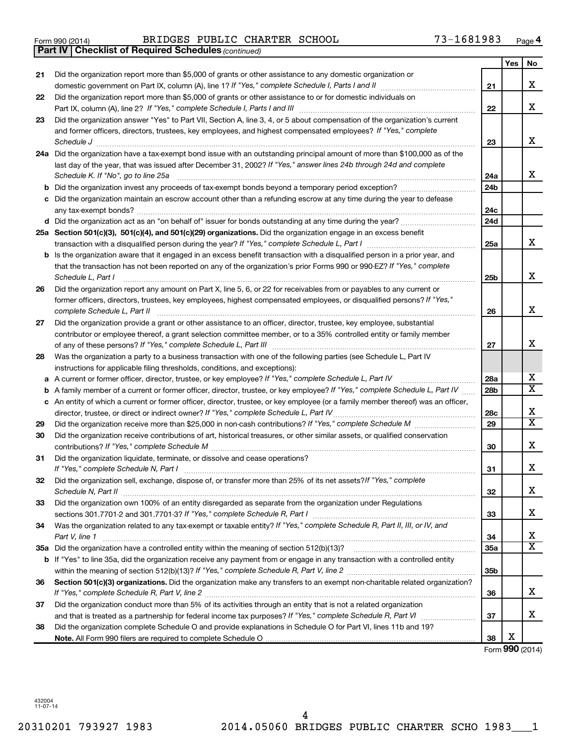Form 990 (2014) BRIDGES PUBLIC CHARTER SCHOOL 73-1681983 <sub>Page</sub>

|    | <b>Part IV   Checklist of Required Schedules (continued)</b>                                                                                                                           |                 |     |                         |
|----|----------------------------------------------------------------------------------------------------------------------------------------------------------------------------------------|-----------------|-----|-------------------------|
|    |                                                                                                                                                                                        |                 | Yes | No                      |
| 21 | Did the organization report more than \$5,000 of grants or other assistance to any domestic organization or                                                                            |                 |     |                         |
|    |                                                                                                                                                                                        | 21              |     | х                       |
| 22 | Did the organization report more than \$5,000 of grants or other assistance to or for domestic individuals on                                                                          |                 |     |                         |
|    |                                                                                                                                                                                        | 22              |     | х                       |
| 23 | Did the organization answer "Yes" to Part VII, Section A, line 3, 4, or 5 about compensation of the organization's current                                                             |                 |     |                         |
|    | and former officers, directors, trustees, key employees, and highest compensated employees? If "Yes," complete                                                                         |                 |     |                         |
|    |                                                                                                                                                                                        | 23              |     | x                       |
|    | Schedule J <b>Execute Schedule J Execute Schedule J</b><br>24a Did the organization have a tax-exempt bond issue with an outstanding principal amount of more than \$100,000 as of the |                 |     |                         |
|    | last day of the year, that was issued after December 31, 2002? If "Yes," answer lines 24b through 24d and complete                                                                     |                 |     |                         |
|    | Schedule K. If "No", go to line 25a                                                                                                                                                    | 24a             |     | x                       |
|    |                                                                                                                                                                                        | 24 <sub>b</sub> |     |                         |
|    |                                                                                                                                                                                        |                 |     |                         |
|    | Did the organization maintain an escrow account other than a refunding escrow at any time during the year to defease                                                                   |                 |     |                         |
|    |                                                                                                                                                                                        | 24c             |     |                         |
|    |                                                                                                                                                                                        | 24d             |     |                         |
|    | 25a Section 501(c)(3), 501(c)(4), and 501(c)(29) organizations. Did the organization engage in an excess benefit                                                                       |                 |     |                         |
|    |                                                                                                                                                                                        | 25a             |     | x                       |
|    | Is the organization aware that it engaged in an excess benefit transaction with a disqualified person in a prior year, and                                                             |                 |     |                         |
|    | that the transaction has not been reported on any of the organization's prior Forms 990 or 990-EZ? If "Yes," complete                                                                  |                 |     |                         |
|    | Schedule L, Part I                                                                                                                                                                     | 25b             |     | x                       |
| 26 | Did the organization report any amount on Part X, line 5, 6, or 22 for receivables from or payables to any current or                                                                  |                 |     |                         |
|    | former officers, directors, trustees, key employees, highest compensated employees, or disqualified persons? If "Yes,"                                                                 |                 |     |                         |
|    | complete Schedule L, Part II                                                                                                                                                           | 26              |     | x                       |
| 27 | Did the organization provide a grant or other assistance to an officer, director, trustee, key employee, substantial                                                                   |                 |     |                         |
|    | contributor or employee thereof, a grant selection committee member, or to a 35% controlled entity or family member                                                                    |                 |     |                         |
|    |                                                                                                                                                                                        | 27              |     | х                       |
| 28 | Was the organization a party to a business transaction with one of the following parties (see Schedule L, Part IV                                                                      |                 |     |                         |
|    | instructions for applicable filing thresholds, conditions, and exceptions):                                                                                                            |                 |     |                         |
| а  | A current or former officer, director, trustee, or key employee? If "Yes," complete Schedule L, Part IV                                                                                | 28a             |     | x                       |
| b  | A family member of a current or former officer, director, trustee, or key employee? If "Yes," complete Schedule L, Part IV                                                             | 28 <sub>b</sub> |     | $\overline{\mathtt{x}}$ |
|    | c An entity of which a current or former officer, director, trustee, or key employee (or a family member thereof) was an officer,                                                      |                 |     |                         |
|    | director, trustee, or direct or indirect owner? If "Yes," complete Schedule L, Part IV                                                                                                 | 28c             |     | х                       |
| 29 |                                                                                                                                                                                        | 29              |     | $\overline{\mathtt{x}}$ |
| 30 | Did the organization receive contributions of art, historical treasures, or other similar assets, or qualified conservation                                                            |                 |     |                         |
|    |                                                                                                                                                                                        | 30              |     | х                       |
| 31 | Did the organization liquidate, terminate, or dissolve and cease operations?                                                                                                           |                 |     |                         |
|    | If "Yes," complete Schedule N, Part I                                                                                                                                                  | 31              |     | ▵                       |
| 32 | Did the organization sell, exchange, dispose of, or transfer more than 25% of its net assets? If "Yes," complete                                                                       |                 |     |                         |
|    | Schedule N, Part II                                                                                                                                                                    | 32              |     | x                       |
| 33 | Did the organization own 100% of an entity disregarded as separate from the organization under Regulations                                                                             |                 |     |                         |
|    |                                                                                                                                                                                        | 33              |     | x                       |
| 34 | Was the organization related to any tax-exempt or taxable entity? If "Yes," complete Schedule R, Part II, III, or IV, and                                                              |                 |     |                         |
|    | Part V, line 1                                                                                                                                                                         | 34              |     | х                       |
|    |                                                                                                                                                                                        | 35a             |     | $\overline{\texttt{x}}$ |
|    | b If "Yes" to line 35a, did the organization receive any payment from or engage in any transaction with a controlled entity                                                            |                 |     |                         |
|    |                                                                                                                                                                                        | 35 <sub>b</sub> |     |                         |
| 36 | Section 501(c)(3) organizations. Did the organization make any transfers to an exempt non-charitable related organization?                                                             |                 |     |                         |
|    |                                                                                                                                                                                        | 36              |     | x                       |
| 37 | Did the organization conduct more than 5% of its activities through an entity that is not a related organization                                                                       |                 |     |                         |
|    |                                                                                                                                                                                        | 37              |     | х                       |
| 38 | Did the organization complete Schedule O and provide explanations in Schedule O for Part VI, lines 11b and 19?                                                                         |                 |     |                         |
|    |                                                                                                                                                                                        | 38              | X   |                         |

Form (2014) **990**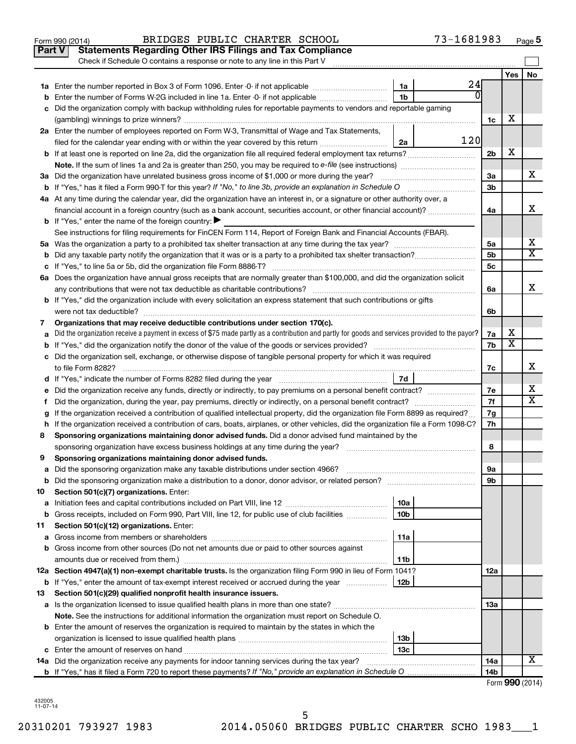|               | 73-1681983<br>BRIDGES PUBLIC CHARTER SCHOOL<br>Form 990 (2014)                                                                                  |                 |                         | Page 5                  |
|---------------|-------------------------------------------------------------------------------------------------------------------------------------------------|-----------------|-------------------------|-------------------------|
| <b>Part V</b> | <b>Statements Regarding Other IRS Filings and Tax Compliance</b>                                                                                |                 |                         |                         |
|               | Check if Schedule O contains a response or note to any line in this Part V                                                                      |                 |                         |                         |
|               |                                                                                                                                                 |                 | Yes                     | No                      |
|               | 24<br>1a                                                                                                                                        |                 |                         |                         |
| b             | ŋ<br>Enter the number of Forms W-2G included in line 1a. Enter -0- if not applicable<br>1b                                                      |                 |                         |                         |
| с             | Did the organization comply with backup withholding rules for reportable payments to vendors and reportable gaming                              |                 |                         |                         |
|               |                                                                                                                                                 | 1c              | х                       |                         |
|               | 2a Enter the number of employees reported on Form W-3, Transmittal of Wage and Tax Statements,                                                  |                 |                         |                         |
|               | 120<br>filed for the calendar year ending with or within the year covered by this return<br>2a                                                  |                 |                         |                         |
|               |                                                                                                                                                 | 2 <sub>b</sub>  | х                       |                         |
|               | Note. If the sum of lines 1a and 2a is greater than 250, you may be required to e-file (see instructions) <i>managererigion</i> ,               |                 |                         |                         |
|               | 3a Did the organization have unrelated business gross income of \$1,000 or more during the year?                                                | 3a              |                         | x.                      |
|               | <b>b</b> If "Yes," has it filed a Form 990 T for this year? If "No," to line 3b, provide an explanation in Schedule O                           | 3b              |                         |                         |
|               | 4a At any time during the calendar year, did the organization have an interest in, or a signature or other authority over, a                    |                 |                         |                         |
|               | financial account in a foreign country (such as a bank account, securities account, or other financial account)?                                | 4a              |                         | x                       |
|               | <b>b</b> If "Yes," enter the name of the foreign country: $\blacktriangleright$                                                                 |                 |                         |                         |
|               | See instructions for filing requirements for FinCEN Form 114, Report of Foreign Bank and Financial Accounts (FBAR).                             |                 |                         |                         |
|               |                                                                                                                                                 | 5a              |                         | x                       |
| b             |                                                                                                                                                 | 5b              |                         | $\overline{\texttt{x}}$ |
|               |                                                                                                                                                 | 5c              |                         |                         |
|               | 6a Does the organization have annual gross receipts that are normally greater than \$100,000, and did the organization solicit                  |                 |                         |                         |
|               |                                                                                                                                                 | 6a              |                         | x                       |
|               | <b>b</b> If "Yes," did the organization include with every solicitation an express statement that such contributions or gifts                   |                 |                         |                         |
|               |                                                                                                                                                 | 6b              |                         |                         |
| 7             | Organizations that may receive deductible contributions under section 170(c).                                                                   |                 |                         |                         |
| а             | Did the organization receive a payment in excess of \$75 made partly as a contribution and partly for goods and services provided to the payor? | 7a              | х                       |                         |
| b             |                                                                                                                                                 | 7b              | $\overline{\mathbf{X}}$ |                         |
|               | c Did the organization sell, exchange, or otherwise dispose of tangible personal property for which it was required                             |                 |                         |                         |
|               | to file Form 8282?                                                                                                                              | 7c              |                         | x                       |
|               | 7d                                                                                                                                              |                 |                         |                         |
| е             | Did the organization receive any funds, directly or indirectly, to pay premiums on a personal benefit contract?                                 | 7е              |                         | х                       |
| f.            | Did the organization, during the year, pay premiums, directly or indirectly, on a personal benefit contract?                                    | 7f              |                         | X                       |
| g             | If the organization received a contribution of qualified intellectual property, did the organization file Form 8899 as required?                | 7g              |                         |                         |
|               | h If the organization received a contribution of cars, boats, airplanes, or other vehicles, did the organization file a Form 1098-C?            | 7h              |                         |                         |
| 8             | Sponsoring organizations maintaining donor advised funds. Did a donor advised fund maintained by the                                            |                 |                         |                         |
|               | sponsoring organization have excess business holdings at any time during the year?                                                              | 8               |                         |                         |
| 9             | Sponsoring organizations maintaining donor advised funds.                                                                                       |                 |                         |                         |
| а             | Did the sponsoring organization make any taxable distributions under section 4966?                                                              | 9а              |                         |                         |
| b             |                                                                                                                                                 | 9b              |                         |                         |
| 10            | Section 501(c)(7) organizations. Enter:                                                                                                         |                 |                         |                         |
| а             | 10a                                                                                                                                             |                 |                         |                         |
| b             | Gross receipts, included on Form 990, Part VIII, line 12, for public use of club facilities<br>10 <sub>b</sub>                                  |                 |                         |                         |
| 11            | Section 501(c)(12) organizations. Enter:                                                                                                        |                 |                         |                         |
| а             | 11a                                                                                                                                             |                 |                         |                         |
| b             | Gross income from other sources (Do not net amounts due or paid to other sources against                                                        |                 |                         |                         |
|               | 11b                                                                                                                                             |                 |                         |                         |
|               | 12a Section 4947(a)(1) non-exempt charitable trusts. Is the organization filing Form 990 in lieu of Form 1041?                                  | 12a             |                         |                         |
| b             | If "Yes," enter the amount of tax-exempt interest received or accrued during the year<br>12b                                                    |                 |                         |                         |
| 13            | Section 501(c)(29) qualified nonprofit health insurance issuers.                                                                                |                 |                         |                         |
|               |                                                                                                                                                 | 13a             |                         |                         |
|               | Note. See the instructions for additional information the organization must report on Schedule O.                                               |                 |                         |                         |
|               | <b>b</b> Enter the amount of reserves the organization is required to maintain by the states in which the                                       |                 |                         |                         |
|               | 13b                                                                                                                                             |                 |                         |                         |
|               | 13c                                                                                                                                             |                 |                         | X                       |
|               | <b>14a</b> Did the organization receive any payments for indoor tanning services during the tax year?                                           | 14a             |                         |                         |
|               |                                                                                                                                                 | 14 <sub>b</sub> |                         | $Form$ QQ $\cap$ (2014) |

| Form 990 (2014) |  |  |
|-----------------|--|--|
|-----------------|--|--|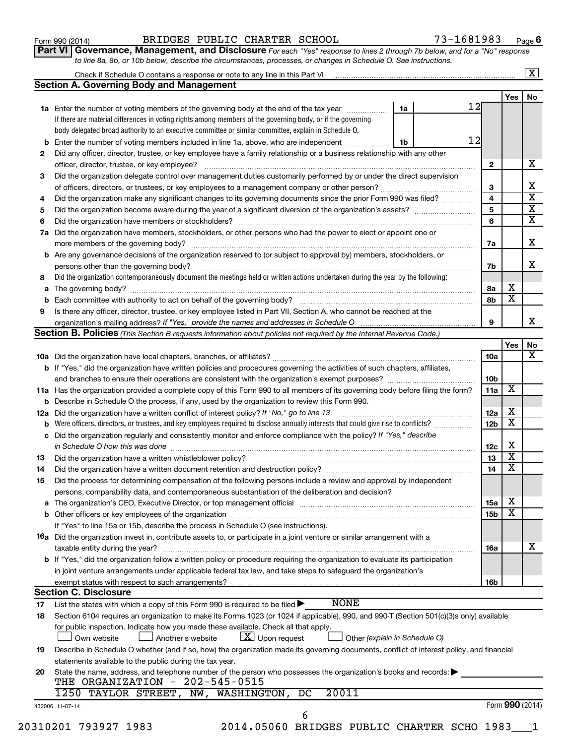## Form 990 (2014) BRIDGES PUBLIC CHARTER SCHOOL 73-1681983 <sub>Page</sub>

**Part VI** Governance, Management, and Disclosure For each "Yes" response to lines 2 through 7b below, and for a "No" response *to line 8a, 8b, or 10b below, describe the circumstances, processes, or changes in Schedule O. See instructions.*

|                      |                                                                                                                                                                                                                                |    |    |                 |                         | $\mathbf{X}$            |
|----------------------|--------------------------------------------------------------------------------------------------------------------------------------------------------------------------------------------------------------------------------|----|----|-----------------|-------------------------|-------------------------|
|                      | <b>Section A. Governing Body and Management</b>                                                                                                                                                                                |    |    |                 |                         |                         |
|                      |                                                                                                                                                                                                                                |    |    |                 | Yes                     | No                      |
|                      | 1a Enter the number of voting members of the governing body at the end of the tax year manuscom                                                                                                                                | 1a | 12 |                 |                         |                         |
|                      | If there are material differences in voting rights among members of the governing body, or if the governing                                                                                                                    |    |    |                 |                         |                         |
|                      | body delegated broad authority to an executive committee or similar committee, explain in Schedule O.                                                                                                                          |    |    |                 |                         |                         |
| b                    | Enter the number of voting members included in line 1a, above, who are independent                                                                                                                                             | 1b | 12 |                 |                         |                         |
| 2                    | Did any officer, director, trustee, or key employee have a family relationship or a business relationship with any other                                                                                                       |    |    |                 |                         |                         |
|                      |                                                                                                                                                                                                                                |    |    | $\mathbf{2}$    |                         | х                       |
| 3                    | Did the organization delegate control over management duties customarily performed by or under the direct supervision                                                                                                          |    |    |                 |                         |                         |
|                      |                                                                                                                                                                                                                                |    |    | 3               |                         | х                       |
| 4                    | Did the organization make any significant changes to its governing documents since the prior Form 990 was filed?                                                                                                               |    |    | 4               |                         | $\overline{\textbf{x}}$ |
| 5                    |                                                                                                                                                                                                                                |    |    | 5               |                         | $\overline{\textbf{x}}$ |
| 6                    |                                                                                                                                                                                                                                |    |    | 6               |                         | $\overline{\textbf{X}}$ |
| 7a                   | Did the organization have members, stockholders, or other persons who had the power to elect or appoint one or                                                                                                                 |    |    |                 |                         |                         |
|                      |                                                                                                                                                                                                                                |    |    | 7a              |                         | X                       |
| b                    | Are any governance decisions of the organization reserved to (or subject to approval by) members, stockholders, or                                                                                                             |    |    |                 |                         |                         |
|                      |                                                                                                                                                                                                                                |    |    | 7b              |                         | X                       |
| 8                    | Did the organization contemporaneously document the meetings held or written actions undertaken during the year by the following:                                                                                              |    |    |                 |                         |                         |
| а                    |                                                                                                                                                                                                                                |    |    | 8а              | х                       |                         |
|                      |                                                                                                                                                                                                                                |    |    | 8b              | $\overline{\mathbf{x}}$ |                         |
| 9                    | Is there any officer, director, trustee, or key employee listed in Part VII, Section A, who cannot be reached at the                                                                                                           |    |    |                 |                         |                         |
|                      |                                                                                                                                                                                                                                |    |    | 9               |                         | x                       |
|                      | Section B. Policies (This Section B requests information about policies not required by the Internal Revenue Code.)                                                                                                            |    |    |                 |                         |                         |
|                      |                                                                                                                                                                                                                                |    |    |                 | Yes                     | No                      |
|                      |                                                                                                                                                                                                                                |    |    | 10a             |                         | x                       |
|                      | <b>b</b> If "Yes," did the organization have written policies and procedures governing the activities of such chapters, affiliates,                                                                                            |    |    |                 |                         |                         |
|                      |                                                                                                                                                                                                                                |    |    | 10 <sub>b</sub> |                         |                         |
|                      | 11a Has the organization provided a complete copy of this Form 990 to all members of its governing body before filing the form?                                                                                                |    |    | 11a             | х                       |                         |
|                      | Describe in Schedule O the process, if any, used by the organization to review this Form 990.                                                                                                                                  |    |    |                 |                         |                         |
| 12a                  | Did the organization have a written conflict of interest policy? If "No," go to line 13                                                                                                                                        |    |    | 12a             | х                       |                         |
|                      | Were officers, directors, or trustees, and key employees required to disclose annually interests that could give rise to conflicts?                                                                                            |    |    | 12 <sub>b</sub> | $\overline{\textbf{x}}$ |                         |
| с                    | Did the organization regularly and consistently monitor and enforce compliance with the policy? If "Yes," describe                                                                                                             |    |    |                 |                         |                         |
|                      | in Schedule O how this was done manufactured and contact the state of the state of the state of the state of t                                                                                                                 |    |    | 12c             | х                       |                         |
| 13                   |                                                                                                                                                                                                                                |    |    | 13              | $\overline{\textbf{x}}$ |                         |
| 14                   |                                                                                                                                                                                                                                |    |    | 14              | $\overline{\mathbf{X}}$ |                         |
| 15                   | Did the process for determining compensation of the following persons include a review and approval by independent                                                                                                             |    |    |                 |                         |                         |
|                      | persons, comparability data, and contemporaneous substantiation of the deliberation and decision?                                                                                                                              |    |    |                 |                         |                         |
| а                    | The organization's CEO, Executive Director, or top management official manufactured content of the organization's CEO, Executive Director, or top management official manufactured content of the state of the state of the st |    |    | 15a             | х                       |                         |
|                      |                                                                                                                                                                                                                                |    |    | 15b             | $\overline{\textbf{x}}$ |                         |
|                      | If "Yes" to line 15a or 15b, describe the process in Schedule O (see instructions).                                                                                                                                            |    |    |                 |                         |                         |
|                      |                                                                                                                                                                                                                                |    |    |                 |                         |                         |
|                      |                                                                                                                                                                                                                                |    |    |                 |                         |                         |
|                      | 16a Did the organization invest in, contribute assets to, or participate in a joint venture or similar arrangement with a                                                                                                      |    |    |                 |                         |                         |
|                      | taxable entity during the year?                                                                                                                                                                                                |    |    | 16a             |                         |                         |
|                      | b If "Yes," did the organization follow a written policy or procedure requiring the organization to evaluate its participation                                                                                                 |    |    |                 |                         |                         |
|                      | in joint venture arrangements under applicable federal tax law, and take steps to safeguard the organization's                                                                                                                 |    |    |                 |                         |                         |
|                      | exempt status with respect to such arrangements?                                                                                                                                                                               |    |    | 16b             |                         |                         |
|                      | <b>Section C. Disclosure</b>                                                                                                                                                                                                   |    |    |                 |                         |                         |
|                      | <b>NONE</b><br>List the states with which a copy of this Form 990 is required to be filed $\blacktriangleright$                                                                                                                |    |    |                 |                         |                         |
|                      | Section 6104 requires an organization to make its Forms 1023 (or 1024 if applicable), 990, and 990-T (Section 501(c)(3)s only) available                                                                                       |    |    |                 |                         |                         |
|                      | for public inspection. Indicate how you made these available. Check all that apply.                                                                                                                                            |    |    |                 |                         |                         |
|                      | $\lfloor x \rfloor$ Upon request<br>Another's website<br>Other (explain in Schedule O)<br>Own website                                                                                                                          |    |    |                 |                         |                         |
|                      | Describe in Schedule O whether (and if so, how) the organization made its governing documents, conflict of interest policy, and financial                                                                                      |    |    |                 |                         |                         |
|                      | statements available to the public during the tax year.                                                                                                                                                                        |    |    |                 |                         |                         |
|                      | State the name, address, and telephone number of the person who possesses the organization's books and records:                                                                                                                |    |    |                 |                         |                         |
|                      | THE ORGANIZATION - 202-545-0515                                                                                                                                                                                                |    |    |                 |                         | х                       |
|                      | 20011<br>1250 TAYLOR STREET, NW, WASHINGTON,<br>DC                                                                                                                                                                             |    |    |                 |                         |                         |
| 17<br>18<br>19<br>20 | 432006 11-07-14<br>6                                                                                                                                                                                                           |    |    |                 | Form 990 (2014)         |                         |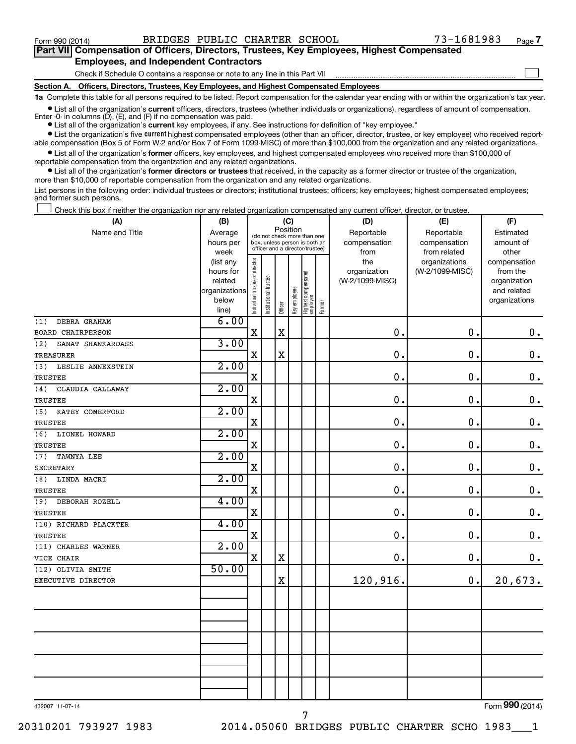$\Box$ 

| Part VII Compensation of Officers, Directors, Trustees, Key Employees, Highest Compensated |  |  |  |
|--------------------------------------------------------------------------------------------|--|--|--|
| <b>Employees, and Independent Contractors</b>                                              |  |  |  |

Check if Schedule O contains a response or note to any line in this Part VII

**Section A. Officers, Directors, Trustees, Key Employees, and Highest Compensated Employees**

**1a**  Complete this table for all persons required to be listed. Report compensation for the calendar year ending with or within the organization's tax year.

 $\bullet$  List all of the organization's current officers, directors, trustees (whether individuals or organizations), regardless of amount of compensation. Enter -0- in columns  $(D)$ ,  $(E)$ , and  $(F)$  if no compensation was paid.

**•** List all of the organization's **current** key employees, if any. See instructions for definition of "key employee."

**•** List the organization's five current highest compensated employees (other than an officer, director, trustee, or key employee) who received reportable compensation (Box 5 of Form W-2 and/or Box 7 of Form 1099-MISC) of more than \$100,000 from the organization and any related organizations.

**•** List all of the organization's former officers, key employees, and highest compensated employees who received more than \$100,000 of reportable compensation from the organization and any related organizations.

**•** List all of the organization's former directors or trustees that received, in the capacity as a former director or trustee of the organization, more than \$10,000 of reportable compensation from the organization and any related organizations.

List persons in the following order: individual trustees or directors; institutional trustees; officers; key employees; highest compensated employees; and former such persons.

Check this box if neither the organization nor any related organization compensated any current officer, director, or trustee.  $\Box$ 

| (A)                      | (B)                    |                                |                                                                  | (C)         |              |                                 |        | (D)             |                                                                                                                                                                                                       | (F)                      |
|--------------------------|------------------------|--------------------------------|------------------------------------------------------------------|-------------|--------------|---------------------------------|--------|-----------------|-------------------------------------------------------------------------------------------------------------------------------------------------------------------------------------------------------|--------------------------|
| Name and Title           | Average                |                                | (do not check more than one                                      | Position    |              |                                 |        | Reportable      | Reportable                                                                                                                                                                                            | Estimated                |
|                          | hours per              |                                | box, unless person is both an<br>officer and a director/trustee) |             |              |                                 |        | compensation    | (E)<br>compensation<br>from related<br>organizations<br>(W-2/1099-MISC)<br>$\mathbf 0$ .<br>0.<br>$\mathbf 0$ .<br>0.<br>$\mathbf 0$ .<br>$\mathbf 0$ .<br>$\mathbf 0$ .<br>$\mathbf 0$ .<br>0.<br>0. | amount of                |
|                          | week                   |                                |                                                                  |             |              |                                 |        | from<br>the     |                                                                                                                                                                                                       | other                    |
|                          | (list any<br>hours for |                                |                                                                  |             |              |                                 |        | organization    |                                                                                                                                                                                                       | compensation<br>from the |
|                          | related                |                                | trustee                                                          |             |              |                                 |        | (W-2/1099-MISC) |                                                                                                                                                                                                       | organization             |
|                          | organizations          |                                |                                                                  |             |              |                                 |        |                 |                                                                                                                                                                                                       | and related              |
|                          | below                  | Individual trustee or director | Institutional t                                                  |             | Key employee | Highest compensated<br>employee |        |                 |                                                                                                                                                                                                       | organizations            |
|                          | line)                  |                                |                                                                  | Officer     |              |                                 | Former |                 |                                                                                                                                                                                                       |                          |
| DEBRA GRAHAM<br>(1)      | 6.00                   |                                |                                                                  |             |              |                                 |        |                 |                                                                                                                                                                                                       |                          |
| <b>BOARD CHAIRPERSON</b> |                        | $\mathbf x$                    |                                                                  | $\mathbf X$ |              |                                 |        | $\mathbf 0$ .   |                                                                                                                                                                                                       | $\mathbf 0$ .            |
| SANAT SHANKARDASS<br>(2) | 3.00                   |                                |                                                                  |             |              |                                 |        |                 |                                                                                                                                                                                                       |                          |
| <b>TREASURER</b>         |                        | $\mathbf X$                    |                                                                  | $\mathbf X$ |              |                                 |        | $\mathbf 0$ .   |                                                                                                                                                                                                       | $\mathbf 0$ .            |
| LESLIE ANNEXSTEIN<br>(3) | 2.00                   |                                |                                                                  |             |              |                                 |        |                 |                                                                                                                                                                                                       |                          |
| <b>TRUSTEE</b>           |                        | $\mathbf X$                    |                                                                  |             |              |                                 |        | $\mathbf 0$ .   |                                                                                                                                                                                                       | $\mathbf 0$ .            |
| CLAUDIA CALLAWAY<br>(4)  | 2.00                   |                                |                                                                  |             |              |                                 |        |                 |                                                                                                                                                                                                       |                          |
| TRUSTEE                  |                        | $\mathbf X$                    |                                                                  |             |              |                                 |        | 0.              |                                                                                                                                                                                                       | $\boldsymbol{0}$ .       |
| (5)<br>KATEY COMERFORD   | 2.00                   |                                |                                                                  |             |              |                                 |        |                 |                                                                                                                                                                                                       |                          |
| TRUSTEE                  |                        | $\mathbf X$                    |                                                                  |             |              |                                 |        | $\mathbf 0$ .   |                                                                                                                                                                                                       | $\boldsymbol{0}$ .       |
| (6)<br>LIONEL HOWARD     | 2.00                   |                                |                                                                  |             |              |                                 |        |                 |                                                                                                                                                                                                       |                          |
| TRUSTEE                  |                        | X                              |                                                                  |             |              |                                 |        | $\mathbf 0$ .   |                                                                                                                                                                                                       | $\mathbf 0$ .            |
| TAWNYA LEE<br>(7)        | 2.00                   |                                |                                                                  |             |              |                                 |        |                 |                                                                                                                                                                                                       |                          |
| <b>SECRETARY</b>         |                        | $\mathbf X$                    |                                                                  |             |              |                                 |        | $\mathbf 0$ .   |                                                                                                                                                                                                       | $\mathbf 0$ .            |
| (8)<br>LINDA MACRI       | 2.00                   |                                |                                                                  |             |              |                                 |        |                 |                                                                                                                                                                                                       |                          |
| TRUSTEE                  |                        | $\mathbf X$                    |                                                                  |             |              |                                 |        | 0.              |                                                                                                                                                                                                       | $\mathbf 0$ .            |
| DEBORAH ROZELL<br>(9)    | 4.00                   |                                |                                                                  |             |              |                                 |        |                 |                                                                                                                                                                                                       |                          |
| TRUSTEE                  |                        | $\mathbf X$                    |                                                                  |             |              |                                 |        | $\mathbf 0$ .   |                                                                                                                                                                                                       | $\mathbf 0$ .            |
| (10) RICHARD PLACKTER    | 4.00                   |                                |                                                                  |             |              |                                 |        |                 |                                                                                                                                                                                                       |                          |
| <b>TRUSTEE</b>           |                        | $\mathbf X$                    |                                                                  |             |              |                                 |        | 0.              |                                                                                                                                                                                                       | $\mathbf 0$ .            |
| (11) CHARLES WARNER      | 2.00                   |                                |                                                                  |             |              |                                 |        |                 |                                                                                                                                                                                                       |                          |
| VICE CHAIR               |                        | $\mathbf X$                    |                                                                  | X           |              |                                 |        | 0.              | 0.                                                                                                                                                                                                    | 0.                       |
| (12) OLIVIA SMITH        | 50.00                  |                                |                                                                  |             |              |                                 |        |                 |                                                                                                                                                                                                       |                          |
| EXECUTIVE DIRECTOR       |                        |                                |                                                                  | $\mathbf X$ |              |                                 |        | 120,916.        | 0.                                                                                                                                                                                                    | 20,673.                  |
|                          |                        |                                |                                                                  |             |              |                                 |        |                 |                                                                                                                                                                                                       |                          |
|                          |                        |                                |                                                                  |             |              |                                 |        |                 |                                                                                                                                                                                                       |                          |
|                          |                        |                                |                                                                  |             |              |                                 |        |                 |                                                                                                                                                                                                       |                          |
|                          |                        |                                |                                                                  |             |              |                                 |        |                 |                                                                                                                                                                                                       |                          |
|                          |                        |                                |                                                                  |             |              |                                 |        |                 |                                                                                                                                                                                                       |                          |
|                          |                        |                                |                                                                  |             |              |                                 |        |                 |                                                                                                                                                                                                       |                          |
|                          |                        |                                |                                                                  |             |              |                                 |        |                 |                                                                                                                                                                                                       |                          |
|                          |                        |                                |                                                                  |             |              |                                 |        |                 |                                                                                                                                                                                                       |                          |
|                          |                        |                                |                                                                  |             |              |                                 |        |                 |                                                                                                                                                                                                       |                          |
|                          |                        |                                |                                                                  |             |              |                                 |        |                 |                                                                                                                                                                                                       | $\overline{000}$         |

432007 11-07-14

Form (2014) **990**

20310201 793927 1983 2014.05060 BRIDGES PUBLIC CHARTER SCHO 1983\_\_\_1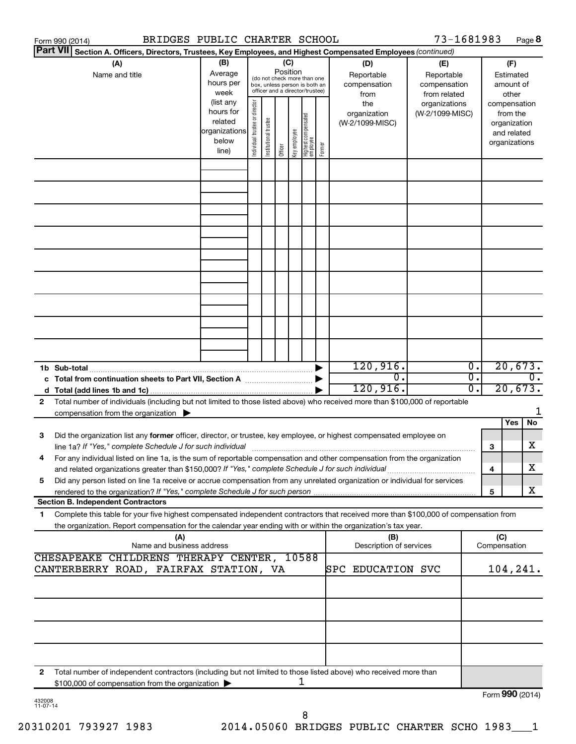|                 | BRIDGES PUBLIC CHARTER SCHOOL<br>Form 990 (2014)                                                                                     |               |                                |                       |          |              |                                                              |        |                                | 73-1681983      |                             |                     |               | Page 8           |
|-----------------|--------------------------------------------------------------------------------------------------------------------------------------|---------------|--------------------------------|-----------------------|----------|--------------|--------------------------------------------------------------|--------|--------------------------------|-----------------|-----------------------------|---------------------|---------------|------------------|
| <b>Part VII</b> | Section A. Officers, Directors, Trustees, Key Employees, and Highest Compensated Employees (continued)                               |               |                                |                       |          |              |                                                              |        |                                |                 |                             |                     |               |                  |
|                 | (A)                                                                                                                                  | (B)           |                                |                       | (C)      |              |                                                              |        | (D)                            | (E)             |                             |                     | (F)           |                  |
|                 | Name and title                                                                                                                       | Average       |                                |                       | Position |              |                                                              |        | Reportable                     | Reportable      |                             |                     | Estimated     |                  |
|                 |                                                                                                                                      | hours per     |                                |                       |          |              | (do not check more than one<br>box, unless person is both an |        | compensation                   | compensation    |                             |                     | amount of     |                  |
|                 |                                                                                                                                      | week          |                                |                       |          |              | officer and a director/trustee)                              |        | from                           | from related    |                             |                     | other         |                  |
|                 |                                                                                                                                      | (list any     |                                |                       |          |              |                                                              |        | the                            | organizations   |                             |                     | compensation  |                  |
|                 |                                                                                                                                      | hours for     |                                |                       |          |              |                                                              |        | organization                   | (W-2/1099-MISC) |                             |                     | from the      |                  |
|                 |                                                                                                                                      | related       |                                |                       |          |              |                                                              |        | (W-2/1099-MISC)                |                 |                             |                     | organization  |                  |
|                 |                                                                                                                                      | organizations |                                |                       |          |              |                                                              |        |                                |                 |                             |                     | and related   |                  |
|                 |                                                                                                                                      | below         |                                |                       |          |              |                                                              |        |                                |                 |                             |                     | organizations |                  |
|                 |                                                                                                                                      | line)         | Individual trustee or director | Institutional trustee | Officer  | Key employee | Highest compensated<br>  employee                            | Former |                                |                 |                             |                     |               |                  |
|                 |                                                                                                                                      |               |                                |                       |          |              |                                                              |        |                                |                 |                             |                     |               |                  |
|                 |                                                                                                                                      |               |                                |                       |          |              |                                                              |        |                                |                 |                             |                     |               |                  |
|                 |                                                                                                                                      |               |                                |                       |          |              |                                                              |        |                                |                 |                             |                     |               |                  |
|                 |                                                                                                                                      |               |                                |                       |          |              |                                                              |        |                                |                 |                             |                     |               |                  |
|                 |                                                                                                                                      |               |                                |                       |          |              |                                                              |        |                                |                 |                             |                     |               |                  |
|                 |                                                                                                                                      |               |                                |                       |          |              |                                                              |        |                                |                 |                             |                     |               |                  |
|                 |                                                                                                                                      |               |                                |                       |          |              |                                                              |        |                                |                 |                             |                     |               |                  |
|                 |                                                                                                                                      |               |                                |                       |          |              |                                                              |        |                                |                 |                             |                     |               |                  |
|                 |                                                                                                                                      |               |                                |                       |          |              |                                                              |        |                                |                 |                             |                     |               |                  |
|                 |                                                                                                                                      |               |                                |                       |          |              |                                                              |        |                                |                 |                             |                     |               |                  |
|                 |                                                                                                                                      |               |                                |                       |          |              |                                                              |        |                                |                 |                             |                     |               |                  |
|                 |                                                                                                                                      |               |                                |                       |          |              |                                                              |        |                                |                 |                             |                     |               |                  |
|                 |                                                                                                                                      |               |                                |                       |          |              |                                                              |        |                                |                 |                             |                     |               |                  |
|                 |                                                                                                                                      |               |                                |                       |          |              |                                                              |        |                                |                 |                             |                     |               |                  |
|                 |                                                                                                                                      |               |                                |                       |          |              |                                                              |        |                                |                 |                             |                     |               |                  |
|                 |                                                                                                                                      |               |                                |                       |          |              |                                                              |        |                                |                 |                             |                     |               |                  |
|                 |                                                                                                                                      |               |                                |                       |          |              |                                                              |        |                                |                 |                             |                     |               |                  |
|                 |                                                                                                                                      |               |                                |                       |          |              |                                                              |        |                                |                 |                             |                     |               |                  |
|                 |                                                                                                                                      |               |                                |                       |          |              |                                                              |        |                                |                 |                             |                     |               |                  |
|                 |                                                                                                                                      |               |                                |                       |          |              |                                                              |        |                                |                 |                             |                     |               |                  |
|                 |                                                                                                                                      |               |                                |                       |          |              |                                                              |        | 120,916.                       |                 | $\overline{\mathfrak{o}}$ . |                     | 20,673.       |                  |
|                 | c Total from continuation sheets to Part VII, Section A manufactured by                                                              |               |                                |                       |          |              |                                                              |        | $\overline{0}$ .               |                 | $\overline{0}$ .            |                     |               | $\overline{0}$ . |
|                 |                                                                                                                                      |               |                                |                       |          |              |                                                              |        | 120,916.                       |                 | 0.                          |                     | 20,673.       |                  |
| 2               | Total number of individuals (including but not limited to those listed above) who received more than \$100,000 of reportable         |               |                                |                       |          |              |                                                              |        |                                |                 |                             |                     |               |                  |
|                 |                                                                                                                                      |               |                                |                       |          |              |                                                              |        |                                |                 |                             |                     |               | 1                |
|                 | compensation from the organization $\blacktriangleright$                                                                             |               |                                |                       |          |              |                                                              |        |                                |                 |                             |                     | Yes           | No               |
|                 |                                                                                                                                      |               |                                |                       |          |              |                                                              |        |                                |                 |                             |                     |               |                  |
| 3               | Did the organization list any former officer, director, or trustee, key employee, or highest compensated employee on                 |               |                                |                       |          |              |                                                              |        |                                |                 |                             |                     |               |                  |
|                 | line 1a? If "Yes," complete Schedule J for such individual [11] manufacture manufacture in the set of the set o                      |               |                                |                       |          |              |                                                              |        |                                |                 |                             | 3                   |               | х                |
|                 | For any individual listed on line 1a, is the sum of reportable compensation and other compensation from the organization             |               |                                |                       |          |              |                                                              |        |                                |                 |                             |                     |               |                  |
|                 | and related organizations greater than \$150,000? If "Yes," complete Schedule J for such individual                                  |               |                                |                       |          |              |                                                              |        |                                |                 |                             | 4                   |               | х                |
| 5               | Did any person listed on line 1a receive or accrue compensation from any unrelated organization or individual for services           |               |                                |                       |          |              |                                                              |        |                                |                 |                             |                     |               |                  |
|                 |                                                                                                                                      |               |                                |                       |          |              |                                                              |        |                                |                 |                             | 5                   |               | X                |
|                 | <b>Section B. Independent Contractors</b>                                                                                            |               |                                |                       |          |              |                                                              |        |                                |                 |                             |                     |               |                  |
| 1               | Complete this table for your five highest compensated independent contractors that received more than \$100,000 of compensation from |               |                                |                       |          |              |                                                              |        |                                |                 |                             |                     |               |                  |
|                 |                                                                                                                                      |               |                                |                       |          |              |                                                              |        |                                |                 |                             |                     |               |                  |
|                 | the organization. Report compensation for the calendar year ending with or within the organization's tax year.                       |               |                                |                       |          |              |                                                              |        |                                |                 |                             |                     |               |                  |
|                 | (A)<br>Name and business address                                                                                                     |               |                                |                       |          |              |                                                              |        | (B)<br>Description of services |                 |                             | (C)<br>Compensation |               |                  |
|                 |                                                                                                                                      |               |                                |                       |          |              |                                                              |        |                                |                 |                             |                     |               |                  |
|                 | CHESAPEAKE CHILDRENS THERAPY CENTER,                                                                                                 |               |                                |                       |          |              | 10588                                                        |        |                                |                 |                             |                     |               |                  |
|                 | CANTERBERRY ROAD, FAIRFAX STATION, VA                                                                                                |               |                                |                       |          |              |                                                              |        | SPC<br><b>EDUCATION SVC</b>    |                 |                             |                     | 104,241.      |                  |
|                 |                                                                                                                                      |               |                                |                       |          |              |                                                              |        |                                |                 |                             |                     |               |                  |
|                 |                                                                                                                                      |               |                                |                       |          |              |                                                              |        |                                |                 |                             |                     |               |                  |
|                 |                                                                                                                                      |               |                                |                       |          |              |                                                              |        |                                |                 |                             |                     |               |                  |
|                 |                                                                                                                                      |               |                                |                       |          |              |                                                              |        |                                |                 |                             |                     |               |                  |
|                 |                                                                                                                                      |               |                                |                       |          |              |                                                              |        |                                |                 |                             |                     |               |                  |
|                 |                                                                                                                                      |               |                                |                       |          |              |                                                              |        |                                |                 |                             |                     |               |                  |
|                 |                                                                                                                                      |               |                                |                       |          |              |                                                              |        |                                |                 |                             |                     |               |                  |
|                 |                                                                                                                                      |               |                                |                       |          |              |                                                              |        |                                |                 |                             |                     |               |                  |
|                 |                                                                                                                                      |               |                                |                       |          |              |                                                              |        |                                |                 |                             |                     |               |                  |
| 2               | Total number of independent contractors (including but not limited to those listed above) who received more than                     |               |                                |                       |          |              |                                                              |        |                                |                 |                             |                     |               |                  |
|                 | \$100,000 of compensation from the organization                                                                                      |               |                                |                       |          |              | 1                                                            |        |                                |                 |                             |                     |               |                  |
| 432008          |                                                                                                                                      |               |                                |                       |          |              |                                                              |        |                                |                 |                             | Form 990 (2014)     |               |                  |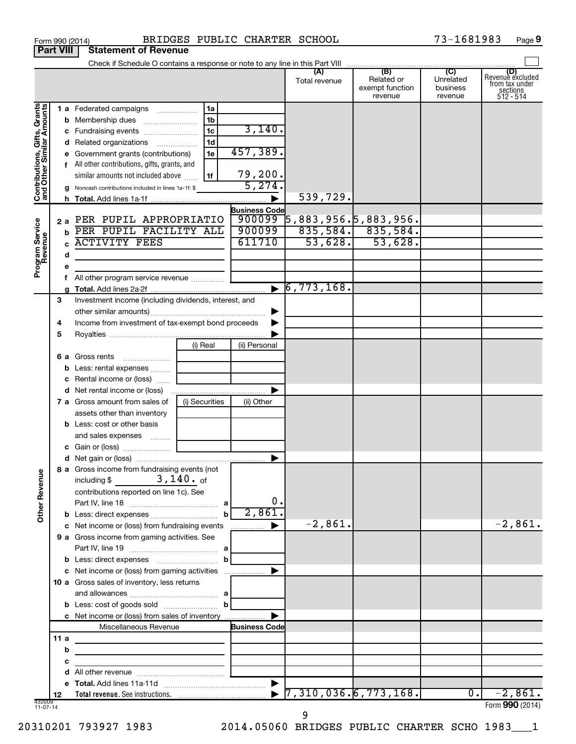|                                                           |      |   | Form 990 (2014)                                                           |                 | BRIDGES PUBLIC CHARTER SCHOOL |                               |                                                 | 73-1681983<br>Page 9                    |                                                             |  |
|-----------------------------------------------------------|------|---|---------------------------------------------------------------------------|-----------------|-------------------------------|-------------------------------|-------------------------------------------------|-----------------------------------------|-------------------------------------------------------------|--|
| <b>Part VIII</b>                                          |      |   | <b>Statement of Revenue</b>                                               |                 |                               |                               |                                                 |                                         |                                                             |  |
|                                                           |      |   |                                                                           |                 |                               |                               |                                                 |                                         |                                                             |  |
|                                                           |      |   |                                                                           |                 |                               | (A)<br>Total revenue          | (B)<br>Related or<br>exempt function<br>revenue | (C)<br>Unrelated<br>business<br>revenue | Revenue excluded<br>from tax under<br>sections<br>512 - 514 |  |
|                                                           |      |   | <b>1 a</b> Federated campaigns                                            | 1a              |                               |                               |                                                 |                                         |                                                             |  |
| Contributions, Gifts, Grants<br>and Other Similar Amounts |      |   |                                                                           | 1 <sub>b</sub>  |                               |                               |                                                 |                                         |                                                             |  |
|                                                           |      |   | c Fundraising events                                                      | $\overline{1c}$ | 3,140.                        |                               |                                                 |                                         |                                                             |  |
|                                                           |      |   | d Related organizations                                                   | 1d              |                               |                               |                                                 |                                         |                                                             |  |
|                                                           |      |   | e Government grants (contributions)                                       | 1e              | 457,389.                      |                               |                                                 |                                         |                                                             |  |
|                                                           |      |   | f All other contributions, gifts, grants, and                             |                 |                               |                               |                                                 |                                         |                                                             |  |
|                                                           |      |   | similar amounts not included above                                        | 1f              | 79,200.                       |                               |                                                 |                                         |                                                             |  |
|                                                           |      |   | g Noncash contributions included in lines 1a-1f: \$                       |                 | 5,274.                        |                               |                                                 |                                         |                                                             |  |
|                                                           |      |   |                                                                           |                 |                               | 539,729.                      |                                                 |                                         |                                                             |  |
|                                                           |      |   |                                                                           |                 | <b>Business Code</b>          |                               |                                                 |                                         |                                                             |  |
|                                                           | 2а   |   | PER PUPIL APPROPRIATIO                                                    |                 |                               | $900099$ 5,883,956.5,883,956. |                                                 |                                         |                                                             |  |
|                                                           |      | b | PER PUPIL FACILITY ALL                                                    |                 | 900099                        |                               | $835,584.$ 835,584.                             |                                         |                                                             |  |
|                                                           |      |   | <b>ACTIVITY FEES</b>                                                      |                 | 611710                        | 53,628.                       | 53,628.                                         |                                         |                                                             |  |
|                                                           |      | d |                                                                           |                 |                               |                               |                                                 |                                         |                                                             |  |
| Program Service<br>Revenue                                |      | е |                                                                           |                 |                               |                               |                                                 |                                         |                                                             |  |
|                                                           |      |   |                                                                           |                 |                               |                               |                                                 |                                         |                                                             |  |
|                                                           |      |   |                                                                           |                 |                               | $\triangleright$ 6,773,168.   |                                                 |                                         |                                                             |  |
|                                                           | 3    |   | Investment income (including dividends, interest, and                     |                 |                               |                               |                                                 |                                         |                                                             |  |
|                                                           |      |   |                                                                           |                 |                               |                               |                                                 |                                         |                                                             |  |
|                                                           | 4    |   | Income from investment of tax-exempt bond proceeds                        |                 |                               |                               |                                                 |                                         |                                                             |  |
|                                                           | 5    |   |                                                                           |                 |                               |                               |                                                 |                                         |                                                             |  |
|                                                           |      |   |                                                                           | (i) Real        | (ii) Personal                 |                               |                                                 |                                         |                                                             |  |
|                                                           |      |   | <b>6 a</b> Gross rents                                                    |                 |                               |                               |                                                 |                                         |                                                             |  |
|                                                           |      |   | <b>b</b> Less: rental expenses                                            |                 |                               |                               |                                                 |                                         |                                                             |  |
|                                                           |      |   | c Rental income or (loss)                                                 |                 |                               |                               |                                                 |                                         |                                                             |  |
|                                                           |      |   | d Net rental income or (loss)                                             |                 |                               |                               |                                                 |                                         |                                                             |  |
|                                                           |      |   | 7 a Gross amount from sales of                                            | (i) Securities  | (ii) Other                    |                               |                                                 |                                         |                                                             |  |
|                                                           |      |   | assets other than inventory                                               |                 |                               |                               |                                                 |                                         |                                                             |  |
|                                                           |      |   | <b>b</b> Less: cost or other basis                                        |                 |                               |                               |                                                 |                                         |                                                             |  |
|                                                           |      |   | and sales expenses                                                        |                 |                               |                               |                                                 |                                         |                                                             |  |
|                                                           |      |   |                                                                           |                 |                               |                               |                                                 |                                         |                                                             |  |
|                                                           |      |   |                                                                           |                 |                               |                               |                                                 |                                         |                                                             |  |
| <b>Other Revenue</b>                                      |      |   | 8 a Gross income from fundraising events (not<br>including \$ $3,140.$ of |                 |                               |                               |                                                 |                                         |                                                             |  |
|                                                           |      |   | contributions reported on line 1c). See                                   |                 |                               |                               |                                                 |                                         |                                                             |  |
|                                                           |      |   |                                                                           |                 | 0.                            |                               |                                                 |                                         |                                                             |  |
|                                                           |      |   |                                                                           | b               | 2,861.                        |                               |                                                 |                                         |                                                             |  |
|                                                           |      |   | c Net income or (loss) from fundraising events                            |                 | <u>.</u>                      | $-2,861.$                     |                                                 |                                         | $-2,861.$                                                   |  |
|                                                           |      |   | 9 a Gross income from gaming activities. See                              |                 |                               |                               |                                                 |                                         |                                                             |  |
|                                                           |      |   |                                                                           |                 |                               |                               |                                                 |                                         |                                                             |  |
|                                                           |      |   |                                                                           | b               |                               |                               |                                                 |                                         |                                                             |  |
|                                                           |      |   | c Net income or (loss) from gaming activities                             |                 |                               |                               |                                                 |                                         |                                                             |  |
|                                                           |      |   | 10 a Gross sales of inventory, less returns                               |                 |                               |                               |                                                 |                                         |                                                             |  |
|                                                           |      |   |                                                                           |                 |                               |                               |                                                 |                                         |                                                             |  |
|                                                           |      |   |                                                                           |                 |                               |                               |                                                 |                                         |                                                             |  |
|                                                           |      |   | c Net income or (loss) from sales of inventory                            |                 |                               |                               |                                                 |                                         |                                                             |  |
|                                                           |      |   | Miscellaneous Revenue                                                     |                 | <b>Business Code</b>          |                               |                                                 |                                         |                                                             |  |
|                                                           | 11 a |   |                                                                           |                 |                               |                               |                                                 |                                         |                                                             |  |
|                                                           |      | b |                                                                           |                 |                               |                               |                                                 |                                         |                                                             |  |
|                                                           |      | с |                                                                           |                 |                               |                               |                                                 |                                         |                                                             |  |
|                                                           |      | d |                                                                           |                 |                               |                               |                                                 |                                         |                                                             |  |
|                                                           | 12   |   |                                                                           |                 | $\blacktriangleright$         | $\sqrt{7,310,036.6,773,168.}$ |                                                 | $\overline{0}$ .                        | $-2,861.$                                                   |  |
| 432009<br>11-07-14                                        |      |   |                                                                           |                 |                               |                               |                                                 |                                         | Form 990 (2014)                                             |  |

20310201 793927 1983 2014.05060 BRIDGES PUBLIC CHARTER SCHO 1983\_\_\_1

9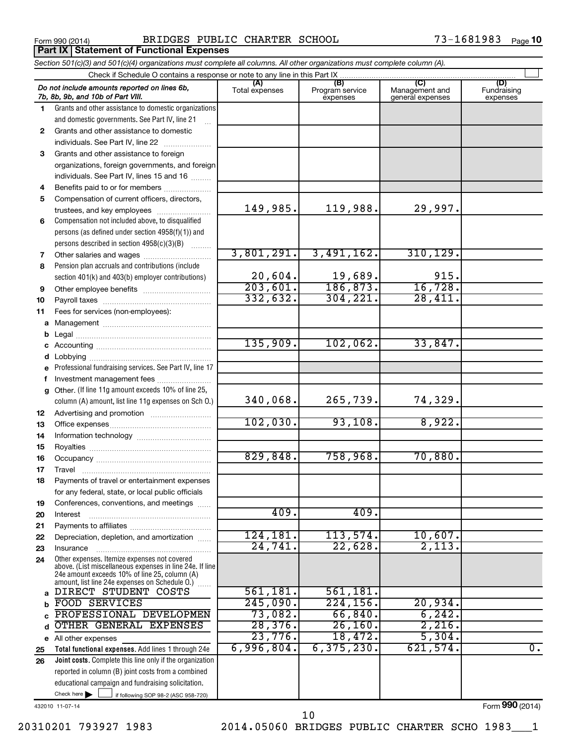**Part IX Statement of Functional Expenses**

Form 990 (2014) Page BRIDGES PUBLIC CHARTER SCHOOL 73-1681983

|                                                                             | Section 501(c)(3) and 501(c)(4) organizations must complete all columns. All other organizations must complete column (A).                                                                                    |                                    |                                    |                                           |                                |  |  |  |  |  |
|-----------------------------------------------------------------------------|---------------------------------------------------------------------------------------------------------------------------------------------------------------------------------------------------------------|------------------------------------|------------------------------------|-------------------------------------------|--------------------------------|--|--|--|--|--|
| Check if Schedule O contains a response or note to any line in this Part IX |                                                                                                                                                                                                               |                                    |                                    |                                           |                                |  |  |  |  |  |
|                                                                             | Do not include amounts reported on lines 6b,<br>7b, 8b, 9b, and 10b of Part VIII.                                                                                                                             | (A)<br>Total expenses              | (B)<br>Program service<br>expenses | (C)<br>Management and<br>general expenses | (D)<br>Fundraising<br>expenses |  |  |  |  |  |
| 1.                                                                          | Grants and other assistance to domestic organizations                                                                                                                                                         |                                    |                                    |                                           |                                |  |  |  |  |  |
|                                                                             | and domestic governments. See Part IV, line 21                                                                                                                                                                |                                    |                                    |                                           |                                |  |  |  |  |  |
| $\mathbf{2}$                                                                | Grants and other assistance to domestic                                                                                                                                                                       |                                    |                                    |                                           |                                |  |  |  |  |  |
|                                                                             | individuals. See Part IV, line 22                                                                                                                                                                             |                                    |                                    |                                           |                                |  |  |  |  |  |
| 3                                                                           | Grants and other assistance to foreign                                                                                                                                                                        |                                    |                                    |                                           |                                |  |  |  |  |  |
|                                                                             | organizations, foreign governments, and foreign                                                                                                                                                               |                                    |                                    |                                           |                                |  |  |  |  |  |
|                                                                             | individuals. See Part IV, lines 15 and 16                                                                                                                                                                     |                                    |                                    |                                           |                                |  |  |  |  |  |
| 4                                                                           | Benefits paid to or for members                                                                                                                                                                               |                                    |                                    |                                           |                                |  |  |  |  |  |
| 5                                                                           | Compensation of current officers, directors,                                                                                                                                                                  |                                    |                                    |                                           |                                |  |  |  |  |  |
|                                                                             | trustees, and key employees                                                                                                                                                                                   | 149,985.                           | 119,988.                           | 29,997.                                   |                                |  |  |  |  |  |
| 6                                                                           | Compensation not included above, to disqualified                                                                                                                                                              |                                    |                                    |                                           |                                |  |  |  |  |  |
|                                                                             | persons (as defined under section 4958(f)(1)) and                                                                                                                                                             |                                    |                                    |                                           |                                |  |  |  |  |  |
|                                                                             | persons described in section 4958(c)(3)(B)                                                                                                                                                                    |                                    |                                    |                                           |                                |  |  |  |  |  |
| 7                                                                           |                                                                                                                                                                                                               | 3,801,291.                         | 3,491,162.                         | 310, 129.                                 |                                |  |  |  |  |  |
| 8                                                                           | Pension plan accruals and contributions (include                                                                                                                                                              |                                    |                                    |                                           |                                |  |  |  |  |  |
|                                                                             | section 401(k) and 403(b) employer contributions)                                                                                                                                                             | 20,604.                            | $\frac{19,689}{186,873}$           | 915.<br>16,728.                           |                                |  |  |  |  |  |
| 9                                                                           |                                                                                                                                                                                                               | $\overline{203,601}$ .<br>332,632. | 304, 221.                          | 28,411.                                   |                                |  |  |  |  |  |
| 10                                                                          |                                                                                                                                                                                                               |                                    |                                    |                                           |                                |  |  |  |  |  |
| 11                                                                          | Fees for services (non-employees):                                                                                                                                                                            |                                    |                                    |                                           |                                |  |  |  |  |  |
| а                                                                           |                                                                                                                                                                                                               |                                    |                                    |                                           |                                |  |  |  |  |  |
| b                                                                           |                                                                                                                                                                                                               | 135,909.                           | 102,062.                           | 33,847.                                   |                                |  |  |  |  |  |
|                                                                             |                                                                                                                                                                                                               |                                    |                                    |                                           |                                |  |  |  |  |  |
| d                                                                           | Professional fundraising services. See Part IV, line 17                                                                                                                                                       |                                    |                                    |                                           |                                |  |  |  |  |  |
| е<br>f                                                                      | Investment management fees                                                                                                                                                                                    |                                    |                                    |                                           |                                |  |  |  |  |  |
| g                                                                           | Other. (If line 11g amount exceeds 10% of line 25,                                                                                                                                                            |                                    |                                    |                                           |                                |  |  |  |  |  |
|                                                                             | column (A) amount, list line 11g expenses on Sch O.)                                                                                                                                                          | 340,068.                           | 265,739.                           | 74,329.                                   |                                |  |  |  |  |  |
| 12                                                                          |                                                                                                                                                                                                               |                                    |                                    |                                           |                                |  |  |  |  |  |
| 13                                                                          |                                                                                                                                                                                                               | 102,030.                           | 93,108.                            | 8,922.                                    |                                |  |  |  |  |  |
| 14                                                                          |                                                                                                                                                                                                               |                                    |                                    |                                           |                                |  |  |  |  |  |
| 15                                                                          |                                                                                                                                                                                                               | 829, 848.                          | 758,968.                           | 70,880.                                   |                                |  |  |  |  |  |
| 16                                                                          |                                                                                                                                                                                                               |                                    |                                    |                                           |                                |  |  |  |  |  |
| 17                                                                          |                                                                                                                                                                                                               |                                    |                                    |                                           |                                |  |  |  |  |  |
| 18                                                                          | Payments of travel or entertainment expenses                                                                                                                                                                  |                                    |                                    |                                           |                                |  |  |  |  |  |
|                                                                             | for any federal, state, or local public officials<br>Conferences, conventions, and meetings                                                                                                                   |                                    |                                    |                                           |                                |  |  |  |  |  |
| 19<br>20                                                                    | Interest                                                                                                                                                                                                      | 409.                               | 409.                               |                                           |                                |  |  |  |  |  |
| 21                                                                          |                                                                                                                                                                                                               |                                    |                                    |                                           |                                |  |  |  |  |  |
| 22                                                                          | Depreciation, depletion, and amortization                                                                                                                                                                     | 124, 181.                          | 113,574.                           | 10,607.                                   |                                |  |  |  |  |  |
| 23                                                                          | Insurance                                                                                                                                                                                                     | 24,741.                            | 22,628.                            | 2,113.                                    |                                |  |  |  |  |  |
| 24                                                                          | Other expenses. Itemize expenses not covered<br>above. (List miscellaneous expenses in line 24e. If line<br>24e amount exceeds 10% of line 25, column (A)<br>amount, list line 24e expenses on Schedule O.) [ |                                    |                                    |                                           |                                |  |  |  |  |  |
| a                                                                           | DIRECT STUDENT COSTS                                                                                                                                                                                          | 561, 181.                          | 561,181.                           |                                           |                                |  |  |  |  |  |
| b                                                                           | FOOD SERVICES                                                                                                                                                                                                 | 245,090.                           | 224, 156.                          | 20,934.                                   |                                |  |  |  |  |  |
|                                                                             | PROFESSIONAL DEVELOPMEN                                                                                                                                                                                       | 73,082.                            | 66,840.                            | 6, 242.                                   |                                |  |  |  |  |  |
| d                                                                           | OTHER GENERAL EXPENSES                                                                                                                                                                                        | 28,376.                            | 26, 160.                           | 2,216.                                    |                                |  |  |  |  |  |
|                                                                             | e All other expenses                                                                                                                                                                                          | 23,776.                            | 18,472.                            | 5,304.                                    |                                |  |  |  |  |  |
| 25                                                                          | Total functional expenses. Add lines 1 through 24e                                                                                                                                                            | 6,996,804.                         | 6, 375, 230.                       | 621,574.                                  | $\overline{0}$ .               |  |  |  |  |  |
| 26                                                                          | Joint costs. Complete this line only if the organization                                                                                                                                                      |                                    |                                    |                                           |                                |  |  |  |  |  |
|                                                                             | reported in column (B) joint costs from a combined                                                                                                                                                            |                                    |                                    |                                           |                                |  |  |  |  |  |
|                                                                             | educational campaign and fundraising solicitation.                                                                                                                                                            |                                    |                                    |                                           |                                |  |  |  |  |  |
|                                                                             | Check here $\blacktriangleright$<br>if following SOP 98-2 (ASC 958-720)                                                                                                                                       |                                    |                                    |                                           |                                |  |  |  |  |  |

432010 11-07-14

Form (2014) **990**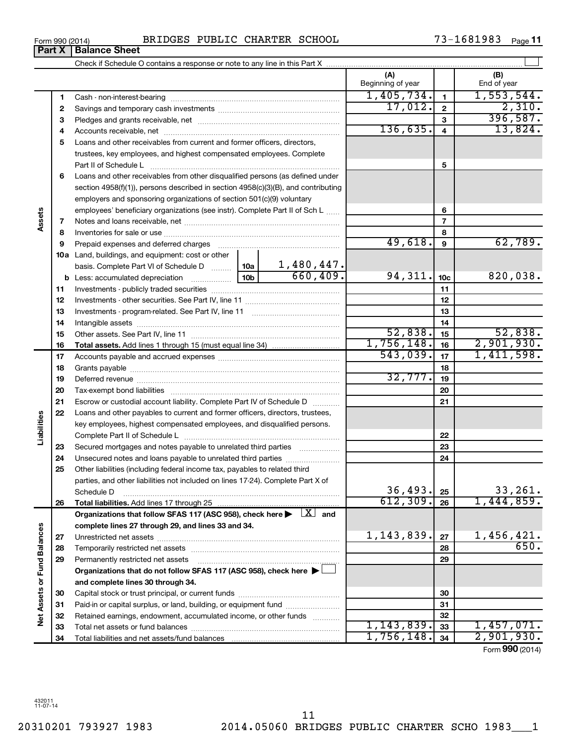Form 990 (2014) BRIDGES PUBLIC CHARTER SCHOOL 73-1681983 Page

Check if Schedule O contains a response or note to any line in this Part X

73-1681983 Page 11

 $\perp$ 

**(A) (B)**

Beginning of year  $\vert$  | End of year

|                             | 1  |                                                                                                                                     | 1,405,734.   | $\mathbf{1}$    | 1,553,544.         |
|-----------------------------|----|-------------------------------------------------------------------------------------------------------------------------------------|--------------|-----------------|--------------------|
|                             | 2  |                                                                                                                                     | 17,012.      | $\overline{2}$  | 2,310.             |
|                             | 3  |                                                                                                                                     |              | 3               | 396,587.           |
|                             | 4  |                                                                                                                                     | 136,635.     | $\overline{4}$  | 13,824.            |
|                             | 5  | Loans and other receivables from current and former officers, directors,                                                            |              |                 |                    |
|                             |    | trustees, key employees, and highest compensated employees. Complete                                                                |              |                 |                    |
|                             |    | Part II of Schedule L                                                                                                               |              | 5               |                    |
|                             | 6  | Loans and other receivables from other disqualified persons (as defined under                                                       |              |                 |                    |
|                             |    | section 4958(f)(1)), persons described in section 4958(c)(3)(B), and contributing                                                   |              |                 |                    |
|                             |    | employers and sponsoring organizations of section 501(c)(9) voluntary                                                               |              |                 |                    |
|                             |    | employees' beneficiary organizations (see instr). Complete Part II of Sch L                                                         |              | 6               |                    |
| Assets                      | 7  |                                                                                                                                     |              | $\overline{7}$  |                    |
|                             | 8  |                                                                                                                                     |              | 8               |                    |
|                             | 9  | Prepaid expenses and deferred charges                                                                                               | 49,618.      | 9               | 62,789.            |
|                             |    | 10a Land, buildings, and equipment: cost or other                                                                                   |              |                 |                    |
|                             |    | 1,480,447.<br>basis. Complete Part VI of Schedule D  10a                                                                            |              |                 |                    |
|                             |    | 660, 409.<br>10 <sub>b</sub><br><b>b</b> Less: accumulated depreciation                                                             | 94,311.      | 10 <sub>c</sub> | 820,038.           |
|                             | 11 |                                                                                                                                     |              | 11              |                    |
|                             | 12 |                                                                                                                                     |              | 12              |                    |
|                             | 13 |                                                                                                                                     |              | 13              |                    |
|                             | 14 |                                                                                                                                     |              | 14              |                    |
|                             | 15 |                                                                                                                                     | 52,838.      | 15              | 52,838.            |
|                             | 16 |                                                                                                                                     | 1,756,148.   | 16              | 2,901,930.         |
|                             | 17 |                                                                                                                                     | 543,039.     | 17              | 1,411,598.         |
|                             | 18 |                                                                                                                                     |              | 18              |                    |
|                             | 19 |                                                                                                                                     | 32,777.      | 19              |                    |
|                             | 20 |                                                                                                                                     |              | 20              |                    |
|                             | 21 | Escrow or custodial account liability. Complete Part IV of Schedule D                                                               |              | 21              |                    |
|                             | 22 | Loans and other payables to current and former officers, directors, trustees,                                                       |              |                 |                    |
|                             |    | key employees, highest compensated employees, and disqualified persons.                                                             |              |                 |                    |
| Liabilities                 |    |                                                                                                                                     |              | 22              |                    |
|                             | 23 | Secured mortgages and notes payable to unrelated third parties                                                                      |              | 23              |                    |
|                             | 24 | Unsecured notes and loans payable to unrelated third parties                                                                        |              | 24              |                    |
|                             | 25 | Other liabilities (including federal income tax, payables to related third                                                          |              |                 |                    |
|                             |    | parties, and other liabilities not included on lines 17-24). Complete Part X of                                                     |              |                 |                    |
|                             |    | Schedule D                                                                                                                          | 36, 493.     | 25              | 33, 261.           |
|                             | 26 |                                                                                                                                     | 612, 309.    | 26              | 1,444,859.         |
|                             |    | Organizations that follow SFAS 117 (ASC 958), check here $\blacktriangleright \begin{array}{ c } \hline X & \text{and} \end{array}$ |              |                 |                    |
|                             |    | complete lines 27 through 29, and lines 33 and 34.                                                                                  |              |                 |                    |
|                             | 27 |                                                                                                                                     | 1, 143, 839. | 27              | 1,456,421.<br>650. |
|                             | 28 |                                                                                                                                     |              | 28              |                    |
|                             | 29 | Permanently restricted net assets                                                                                                   |              | 29              |                    |
|                             |    | Organizations that do not follow SFAS 117 (ASC 958), check here $\blacktriangleright$                                               |              |                 |                    |
|                             |    | and complete lines 30 through 34.                                                                                                   |              |                 |                    |
| Net Assets or Fund Balances | 30 |                                                                                                                                     |              | 30              |                    |
|                             | 31 | Paid-in or capital surplus, or land, building, or equipment fund                                                                    |              | 31              |                    |
|                             | 32 | Retained earnings, endowment, accumulated income, or other funds                                                                    | 1, 143, 839. | 32              | 1,457,071.         |
|                             | 33 |                                                                                                                                     | 1,756,148.   | 33              | 2,901,930.         |
|                             | 34 |                                                                                                                                     |              | 34              |                    |
|                             |    |                                                                                                                                     |              |                 | Form 990 (2014)    |

**Part X Balance Sheet**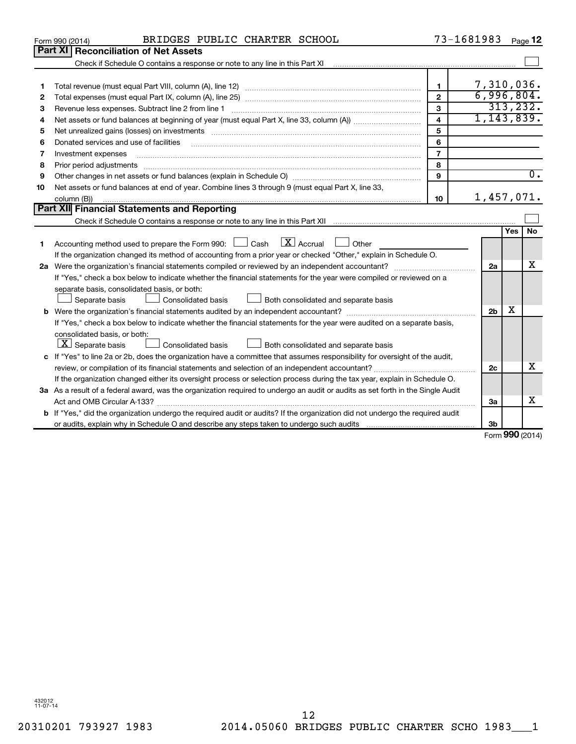|    | BRIDGES PUBLIC CHARTER SCHOOL<br>Form 990 (2014)                                                                                                                                                                               | 73-1681983     |                |                      | Page 12          |  |  |
|----|--------------------------------------------------------------------------------------------------------------------------------------------------------------------------------------------------------------------------------|----------------|----------------|----------------------|------------------|--|--|
|    | Part XI Reconciliation of Net Assets                                                                                                                                                                                           |                |                |                      |                  |  |  |
|    |                                                                                                                                                                                                                                |                |                |                      |                  |  |  |
|    |                                                                                                                                                                                                                                |                |                |                      |                  |  |  |
| 1  |                                                                                                                                                                                                                                | 1.             | 7,310,036.     |                      |                  |  |  |
| 2  |                                                                                                                                                                                                                                | $\mathfrak{p}$ | 6,996,804.     |                      | 313, 232.        |  |  |
| з  | 3                                                                                                                                                                                                                              |                |                |                      |                  |  |  |
| 4  | $\overline{\mathbf{4}}$                                                                                                                                                                                                        |                |                |                      |                  |  |  |
| 5  | Net unrealized gains (losses) on investments [111] www.martime.community.community.community.community.communi                                                                                                                 | 5              |                |                      |                  |  |  |
| 6  | Donated services and use of facilities                                                                                                                                                                                         | 6              |                |                      |                  |  |  |
| 7  | Investment expenses                                                                                                                                                                                                            | $\overline{7}$ |                |                      |                  |  |  |
| 8  | Prior period adjustments material contents and content and content and content and content and content and content and content and content and content and content and content and content and content and content and content | 8              |                |                      |                  |  |  |
| 9  |                                                                                                                                                                                                                                | 9              |                |                      | $\overline{0}$ . |  |  |
| 10 | Net assets or fund balances at end of year. Combine lines 3 through 9 (must equal Part X, line 33,                                                                                                                             |                |                |                      |                  |  |  |
|    | column (B))                                                                                                                                                                                                                    | 10             | 1,457,071.     |                      |                  |  |  |
|    | Part XII Financial Statements and Reporting                                                                                                                                                                                    |                |                |                      |                  |  |  |
|    |                                                                                                                                                                                                                                |                |                |                      |                  |  |  |
|    |                                                                                                                                                                                                                                |                |                | Yes                  | <b>No</b>        |  |  |
| 1  | $\mathbf{X}$ Accrual<br>Accounting method used to prepare the Form 990: [130] Cash<br>Other<br><b>Contract Contract</b>                                                                                                        |                |                |                      |                  |  |  |
|    | If the organization changed its method of accounting from a prior year or checked "Other," explain in Schedule O.                                                                                                              |                |                |                      |                  |  |  |
|    |                                                                                                                                                                                                                                |                | 2a             |                      | x                |  |  |
|    | If "Yes," check a box below to indicate whether the financial statements for the year were compiled or reviewed on a                                                                                                           |                |                |                      |                  |  |  |
|    | separate basis, consolidated basis, or both:                                                                                                                                                                                   |                |                |                      |                  |  |  |
|    | Consolidated basis<br>Both consolidated and separate basis<br>Separate basis                                                                                                                                                   |                |                |                      |                  |  |  |
|    |                                                                                                                                                                                                                                |                | 2 <sub>b</sub> | x                    |                  |  |  |
|    | If "Yes," check a box below to indicate whether the financial statements for the year were audited on a separate basis,                                                                                                        |                |                |                      |                  |  |  |
|    | consolidated basis, or both:                                                                                                                                                                                                   |                |                |                      |                  |  |  |
|    | $\lfloor x \rfloor$ Separate basis<br>Consolidated basis<br>Both consolidated and separate basis                                                                                                                               |                |                |                      |                  |  |  |
|    | c If "Yes" to line 2a or 2b, does the organization have a committee that assumes responsibility for oversight of the audit,                                                                                                    |                |                |                      |                  |  |  |
|    | review, or compilation of its financial statements and selection of an independent accountant?                                                                                                                                 |                | 2 <sub>c</sub> |                      | x                |  |  |
|    | If the organization changed either its oversight process or selection process during the tax year, explain in Schedule O.                                                                                                      |                |                |                      |                  |  |  |
|    | 3a As a result of a federal award, was the organization required to undergo an audit or audits as set forth in the Single Audit                                                                                                |                |                |                      |                  |  |  |
|    |                                                                                                                                                                                                                                |                | 3a             |                      | x                |  |  |
|    | <b>b</b> If "Yes," did the organization undergo the required audit or audits? If the organization did not undergo the required audit                                                                                           |                |                |                      |                  |  |  |
|    |                                                                                                                                                                                                                                |                | 3b             | $000 \text{ mod } 4$ |                  |  |  |
|    |                                                                                                                                                                                                                                |                |                |                      |                  |  |  |

Form (2014) **990**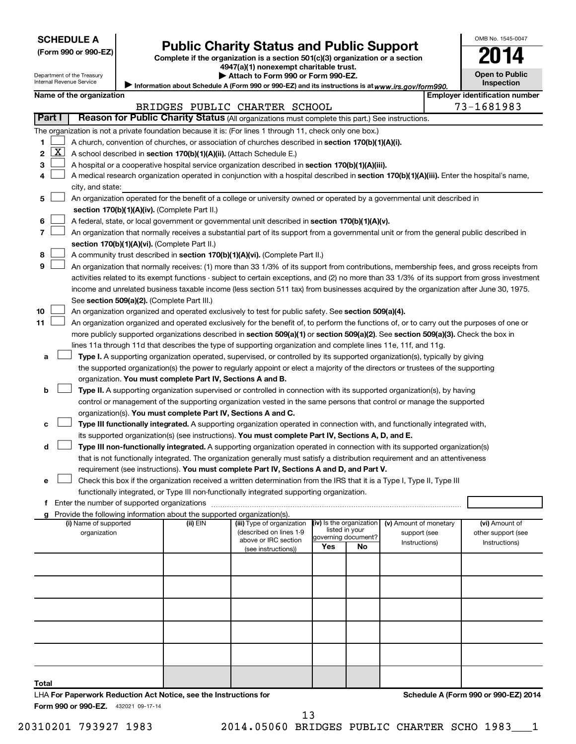Department of the Treasury Internal Revenue Service

| (Form 990 or 990-EZ |  |  |  |  |
|---------------------|--|--|--|--|
|---------------------|--|--|--|--|

# Form 990 or 990-EZ) **Public Charity Status and Public Support**<br>
Complete if the organization is a section 501(c)(3) organization or a section<br> **2014**

**4947(a)(1) nonexempt charitable trust.**

Information about Schedule A (Form 990 or 990-EZ) and its instructions is at www.irs.gov/form990. **| Attach to Form 990 or Form 990-EZ.** 

| <b>Open to Public</b><br>Inspection |
|-------------------------------------|
|                                     |

OMB No. 1545-0047

|               |                     | Name of the organization                                                                                                                                                                                                                        |          |                                                       |     |                          |                                        | <b>Employer identification number</b> |
|---------------|---------------------|-------------------------------------------------------------------------------------------------------------------------------------------------------------------------------------------------------------------------------------------------|----------|-------------------------------------------------------|-----|--------------------------|----------------------------------------|---------------------------------------|
| <b>Part I</b> |                     | Reason for Public Charity Status (All organizations must complete this part.) See instructions.                                                                                                                                                 |          | BRIDGES PUBLIC CHARTER SCHOOL                         |     |                          |                                        | 73-1681983                            |
|               |                     |                                                                                                                                                                                                                                                 |          |                                                       |     |                          |                                        |                                       |
|               |                     | The organization is not a private foundation because it is: (For lines 1 through 11, check only one box.)                                                                                                                                       |          |                                                       |     |                          |                                        |                                       |
| 1.<br>2       | $\lfloor x \rfloor$ | A church, convention of churches, or association of churches described in section 170(b)(1)(A)(i).                                                                                                                                              |          |                                                       |     |                          |                                        |                                       |
|               |                     | A school described in section 170(b)(1)(A)(ii). (Attach Schedule E.)                                                                                                                                                                            |          |                                                       |     |                          |                                        |                                       |
| з             |                     | A hospital or a cooperative hospital service organization described in section 170(b)(1)(A)(iii).<br>A medical research organization operated in conjunction with a hospital described in section 170(b)(1)(A)(iii). Enter the hospital's name, |          |                                                       |     |                          |                                        |                                       |
| 4             |                     | city, and state:                                                                                                                                                                                                                                |          |                                                       |     |                          |                                        |                                       |
| 5             |                     | An organization operated for the benefit of a college or university owned or operated by a governmental unit described in                                                                                                                       |          |                                                       |     |                          |                                        |                                       |
|               |                     | section 170(b)(1)(A)(iv). (Complete Part II.)                                                                                                                                                                                                   |          |                                                       |     |                          |                                        |                                       |
| 6             |                     | A federal, state, or local government or governmental unit described in section 170(b)(1)(A)(v).                                                                                                                                                |          |                                                       |     |                          |                                        |                                       |
| 7             |                     | An organization that normally receives a substantial part of its support from a governmental unit or from the general public described in                                                                                                       |          |                                                       |     |                          |                                        |                                       |
|               |                     | section 170(b)(1)(A)(vi). (Complete Part II.)                                                                                                                                                                                                   |          |                                                       |     |                          |                                        |                                       |
| 8             |                     | A community trust described in section 170(b)(1)(A)(vi). (Complete Part II.)                                                                                                                                                                    |          |                                                       |     |                          |                                        |                                       |
| 9             |                     | An organization that normally receives: (1) more than 33 1/3% of its support from contributions, membership fees, and gross receipts from                                                                                                       |          |                                                       |     |                          |                                        |                                       |
|               |                     | activities related to its exempt functions - subject to certain exceptions, and (2) no more than 33 1/3% of its support from gross investment                                                                                                   |          |                                                       |     |                          |                                        |                                       |
|               |                     | income and unrelated business taxable income (less section 511 tax) from businesses acquired by the organization after June 30, 1975.                                                                                                           |          |                                                       |     |                          |                                        |                                       |
|               |                     | See section 509(a)(2). (Complete Part III.)                                                                                                                                                                                                     |          |                                                       |     |                          |                                        |                                       |
| 10            |                     | An organization organized and operated exclusively to test for public safety. See section 509(a)(4).                                                                                                                                            |          |                                                       |     |                          |                                        |                                       |
| 11            |                     | An organization organized and operated exclusively for the benefit of, to perform the functions of, or to carry out the purposes of one or                                                                                                      |          |                                                       |     |                          |                                        |                                       |
|               |                     | more publicly supported organizations described in section 509(a)(1) or section 509(a)(2). See section 509(a)(3). Check the box in                                                                                                              |          |                                                       |     |                          |                                        |                                       |
|               |                     | lines 11a through 11d that describes the type of supporting organization and complete lines 11e, 11f, and 11g.                                                                                                                                  |          |                                                       |     |                          |                                        |                                       |
| a             |                     | Type I. A supporting organization operated, supervised, or controlled by its supported organization(s), typically by giving                                                                                                                     |          |                                                       |     |                          |                                        |                                       |
|               |                     | the supported organization(s) the power to regularly appoint or elect a majority of the directors or trustees of the supporting                                                                                                                 |          |                                                       |     |                          |                                        |                                       |
|               |                     | organization. You must complete Part IV, Sections A and B.                                                                                                                                                                                      |          |                                                       |     |                          |                                        |                                       |
| b             |                     | Type II. A supporting organization supervised or controlled in connection with its supported organization(s), by having                                                                                                                         |          |                                                       |     |                          |                                        |                                       |
|               |                     | control or management of the supporting organization vested in the same persons that control or manage the supported                                                                                                                            |          |                                                       |     |                          |                                        |                                       |
|               |                     | organization(s). You must complete Part IV, Sections A and C.                                                                                                                                                                                   |          |                                                       |     |                          |                                        |                                       |
| c             |                     | Type III functionally integrated. A supporting organization operated in connection with, and functionally integrated with,                                                                                                                      |          |                                                       |     |                          |                                        |                                       |
|               |                     | its supported organization(s) (see instructions). You must complete Part IV, Sections A, D, and E.                                                                                                                                              |          |                                                       |     |                          |                                        |                                       |
| d             |                     | Type III non-functionally integrated. A supporting organization operated in connection with its supported organization(s)                                                                                                                       |          |                                                       |     |                          |                                        |                                       |
|               |                     | that is not functionally integrated. The organization generally must satisfy a distribution requirement and an attentiveness                                                                                                                    |          |                                                       |     |                          |                                        |                                       |
|               |                     | requirement (see instructions). You must complete Part IV, Sections A and D, and Part V.                                                                                                                                                        |          |                                                       |     |                          |                                        |                                       |
| e             |                     | Check this box if the organization received a written determination from the IRS that it is a Type I, Type II, Type III                                                                                                                         |          |                                                       |     |                          |                                        |                                       |
|               |                     | functionally integrated, or Type III non-functionally integrated supporting organization.                                                                                                                                                       |          |                                                       |     |                          |                                        |                                       |
|               |                     |                                                                                                                                                                                                                                                 |          |                                                       |     |                          |                                        |                                       |
|               |                     | g Provide the following information about the supported organization(s).                                                                                                                                                                        |          |                                                       |     | (iv) Is the organization |                                        |                                       |
|               |                     | (i) Name of supported<br>organization                                                                                                                                                                                                           | (ii) EIN | (iii) Type of organization<br>(described on lines 1-9 |     | listed in your           | (v) Amount of monetary<br>support (see | (vi) Amount of<br>other support (see  |
|               |                     |                                                                                                                                                                                                                                                 |          | above or IRC section                                  |     | governing document?      | Instructions)                          | Instructions)                         |
|               |                     |                                                                                                                                                                                                                                                 |          | (see instructions))                                   | Yes | No                       |                                        |                                       |
|               |                     |                                                                                                                                                                                                                                                 |          |                                                       |     |                          |                                        |                                       |
|               |                     |                                                                                                                                                                                                                                                 |          |                                                       |     |                          |                                        |                                       |
|               |                     |                                                                                                                                                                                                                                                 |          |                                                       |     |                          |                                        |                                       |
|               |                     |                                                                                                                                                                                                                                                 |          |                                                       |     |                          |                                        |                                       |
|               |                     |                                                                                                                                                                                                                                                 |          |                                                       |     |                          |                                        |                                       |
|               |                     |                                                                                                                                                                                                                                                 |          |                                                       |     |                          |                                        |                                       |
|               |                     |                                                                                                                                                                                                                                                 |          |                                                       |     |                          |                                        |                                       |
|               |                     |                                                                                                                                                                                                                                                 |          |                                                       |     |                          |                                        |                                       |
|               |                     |                                                                                                                                                                                                                                                 |          |                                                       |     |                          |                                        |                                       |
|               |                     |                                                                                                                                                                                                                                                 |          |                                                       |     |                          |                                        |                                       |
| Total         |                     |                                                                                                                                                                                                                                                 |          |                                                       |     |                          |                                        |                                       |
|               |                     | LHA For Paperwork Reduction Act Notice, see the Instructions for                                                                                                                                                                                |          |                                                       |     |                          |                                        | Schedule A (Form 990 or 990-EZ) 2014  |
|               |                     | Form 990 or 990-EZ. 432021 09-17-14                                                                                                                                                                                                             |          |                                                       |     |                          |                                        |                                       |

13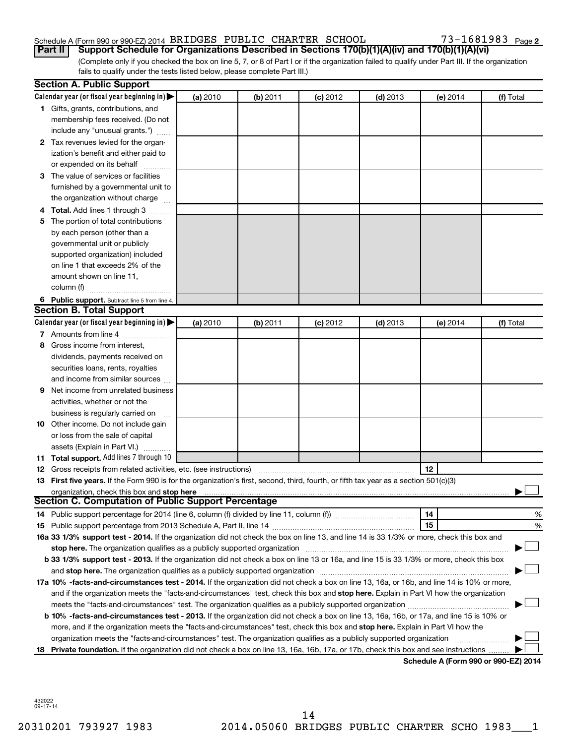# Schedule A (Form 990 or 990-EZ) 2014 BRIDGES PUBLIC CHARTER SCHOOL 73-1681983 Page

73-1681983 Page 2

(Complete only if you checked the box on line 5, 7, or 8 of Part I or if the organization failed to qualify under Part III. If the organization fails to qualify under the tests listed below, please complete Part III.) **Part II Support Schedule for Organizations Described in Sections 170(b)(1)(A)(iv) and 170(b)(1)(A)(vi)**

|    | <b>Section A. Public Support</b>                                                                                                           |          |          |            |            |                                           |           |
|----|--------------------------------------------------------------------------------------------------------------------------------------------|----------|----------|------------|------------|-------------------------------------------|-----------|
|    | Calendar year (or fiscal year beginning in) $\blacktriangleright$                                                                          | (a) 2010 | (b) 2011 | $(c)$ 2012 | $(d)$ 2013 | (e) 2014                                  | (f) Total |
|    | 1 Gifts, grants, contributions, and                                                                                                        |          |          |            |            |                                           |           |
|    | membership fees received. (Do not                                                                                                          |          |          |            |            |                                           |           |
|    | include any "unusual grants.")                                                                                                             |          |          |            |            |                                           |           |
|    | 2 Tax revenues levied for the organ-                                                                                                       |          |          |            |            |                                           |           |
|    | ization's benefit and either paid to                                                                                                       |          |          |            |            |                                           |           |
|    | or expended on its behalf                                                                                                                  |          |          |            |            |                                           |           |
| З  | The value of services or facilities                                                                                                        |          |          |            |            |                                           |           |
|    | furnished by a governmental unit to                                                                                                        |          |          |            |            |                                           |           |
|    | the organization without charge                                                                                                            |          |          |            |            |                                           |           |
|    | Total. Add lines 1 through 3                                                                                                               |          |          |            |            |                                           |           |
| 5. | The portion of total contributions                                                                                                         |          |          |            |            |                                           |           |
|    | by each person (other than a                                                                                                               |          |          |            |            |                                           |           |
|    | governmental unit or publicly                                                                                                              |          |          |            |            |                                           |           |
|    | supported organization) included                                                                                                           |          |          |            |            |                                           |           |
|    | on line 1 that exceeds 2% of the                                                                                                           |          |          |            |            |                                           |           |
|    | amount shown on line 11,                                                                                                                   |          |          |            |            |                                           |           |
|    | column (f)                                                                                                                                 |          |          |            |            |                                           |           |
|    | 6 Public support. Subtract line 5 from line 4.                                                                                             |          |          |            |            |                                           |           |
|    | <b>Section B. Total Support</b>                                                                                                            |          |          |            |            |                                           |           |
|    | Calendar year (or fiscal year beginning in) $\blacktriangleright$                                                                          | (a) 2010 | (b) 2011 | $(c)$ 2012 | $(d)$ 2013 | (e) 2014                                  | (f) Total |
|    | 7 Amounts from line 4                                                                                                                      |          |          |            |            |                                           |           |
| 8  | Gross income from interest,                                                                                                                |          |          |            |            |                                           |           |
|    | dividends, payments received on                                                                                                            |          |          |            |            |                                           |           |
|    | securities loans, rents, royalties                                                                                                         |          |          |            |            |                                           |           |
|    | and income from similar sources                                                                                                            |          |          |            |            |                                           |           |
| 9  | Net income from unrelated business                                                                                                         |          |          |            |            |                                           |           |
|    | activities, whether or not the                                                                                                             |          |          |            |            |                                           |           |
|    | business is regularly carried on                                                                                                           |          |          |            |            |                                           |           |
| 10 | Other income. Do not include gain                                                                                                          |          |          |            |            |                                           |           |
|    | or loss from the sale of capital                                                                                                           |          |          |            |            |                                           |           |
|    | assets (Explain in Part VI.)                                                                                                               |          |          |            |            |                                           |           |
|    | <b>11 Total support.</b> Add lines 7 through 10                                                                                            |          |          |            |            |                                           |           |
|    | <b>12</b> Gross receipts from related activities, etc. (see instructions)                                                                  |          |          |            |            | 12                                        |           |
|    | 13 First five years. If the Form 990 is for the organization's first, second, third, fourth, or fifth tax year as a section 501(c)(3)      |          |          |            |            |                                           |           |
|    | organization, check this box and stop here                                                                                                 |          |          |            |            |                                           |           |
|    | <b>Section C. Computation of Public Support Percentage</b>                                                                                 |          |          |            |            |                                           |           |
|    |                                                                                                                                            |          |          |            |            | 14                                        | %         |
|    |                                                                                                                                            |          |          |            |            | 15                                        | %         |
|    | 16a 33 1/3% support test - 2014. If the organization did not check the box on line 13, and line 14 is 33 1/3% or more, check this box and  |          |          |            |            |                                           |           |
|    | stop here. The organization qualifies as a publicly supported organization                                                                 |          |          |            |            |                                           |           |
|    | b 33 1/3% support test - 2013. If the organization did not check a box on line 13 or 16a, and line 15 is 33 1/3% or more, check this box   |          |          |            |            |                                           |           |
|    |                                                                                                                                            |          |          |            |            |                                           |           |
|    | 17a 10% -facts-and-circumstances test - 2014. If the organization did not check a box on line 13, 16a, or 16b, and line 14 is 10% or more, |          |          |            |            |                                           |           |
|    | and if the organization meets the "facts-and-circumstances" test, check this box and stop here. Explain in Part VI how the organization    |          |          |            |            |                                           |           |
|    | meets the "facts-and-circumstances" test. The organization qualifies as a publicly supported organization <i>manumumumum</i>               |          |          |            |            |                                           |           |
|    | b 10% -facts-and-circumstances test - 2013. If the organization did not check a box on line 13, 16a, 16b, or 17a, and line 15 is 10% or    |          |          |            |            |                                           |           |
|    | more, and if the organization meets the "facts-and-circumstances" test, check this box and stop here. Explain in Part VI how the           |          |          |            |            |                                           |           |
|    | organization meets the "facts-and-circumstances" test. The organization qualifies as a publicly supported organization                     |          |          |            |            |                                           |           |
|    | 18 Private foundation. If the organization did not check a box on line 13, 16a, 16b, 17a, or 17b, check this box and see instructions      |          |          |            |            | <b>Cohodulo A (Form 000 or 000 EZ) 20</b> |           |

**Schedule A (Form 990 or 990-EZ) 2014**

432022 09-17-14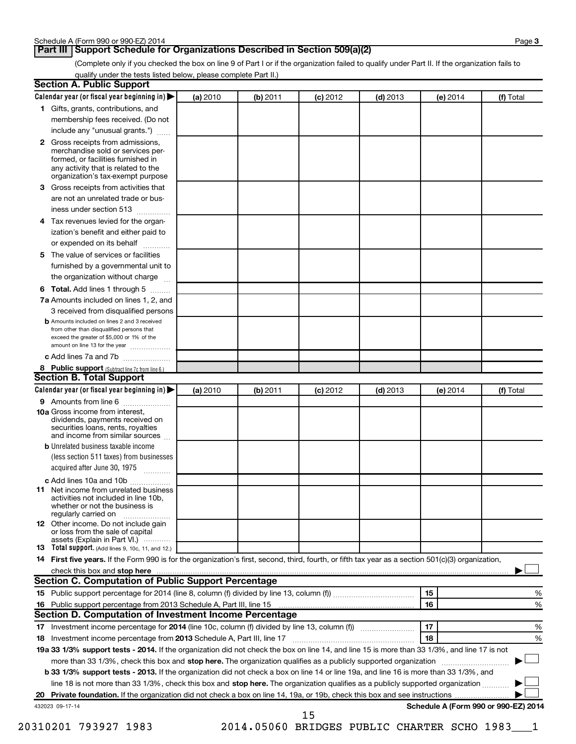# **Part III Support Schedule for Organizations Described in Section 509(a)(2)**

(Complete only if you checked the box on line 9 of Part I or if the organization failed to qualify under Part II. If the organization fails to qualify under the tests listed below, please complete Part II.)

|    | Calendar year (or fiscal year beginning in)                                                                                                         | (a) 2010 | (b) 2011 | $(c)$ 2012 | $(d)$ 2013 | (e) 2014 | (f) Total                            |
|----|-----------------------------------------------------------------------------------------------------------------------------------------------------|----------|----------|------------|------------|----------|--------------------------------------|
|    | 1 Gifts, grants, contributions, and                                                                                                                 |          |          |            |            |          |                                      |
|    | membership fees received. (Do not                                                                                                                   |          |          |            |            |          |                                      |
|    | include any "unusual grants.")                                                                                                                      |          |          |            |            |          |                                      |
|    | 2 Gross receipts from admissions,<br>merchandise sold or services per-<br>formed, or facilities furnished in                                        |          |          |            |            |          |                                      |
|    | any activity that is related to the<br>organization's tax-exempt purpose                                                                            |          |          |            |            |          |                                      |
| 3  | Gross receipts from activities that                                                                                                                 |          |          |            |            |          |                                      |
|    | are not an unrelated trade or bus-                                                                                                                  |          |          |            |            |          |                                      |
|    | iness under section 513                                                                                                                             |          |          |            |            |          |                                      |
| 4  | Tax revenues levied for the organ-                                                                                                                  |          |          |            |            |          |                                      |
|    | ization's benefit and either paid to                                                                                                                |          |          |            |            |          |                                      |
|    | or expended on its behalf                                                                                                                           |          |          |            |            |          |                                      |
| 5  | The value of services or facilities                                                                                                                 |          |          |            |            |          |                                      |
|    | furnished by a governmental unit to<br>the organization without charge                                                                              |          |          |            |            |          |                                      |
| 6  | Total. Add lines 1 through 5                                                                                                                        |          |          |            |            |          |                                      |
|    | 7a Amounts included on lines 1, 2, and                                                                                                              |          |          |            |            |          |                                      |
|    | 3 received from disqualified persons                                                                                                                |          |          |            |            |          |                                      |
|    | <b>b</b> Amounts included on lines 2 and 3 received                                                                                                 |          |          |            |            |          |                                      |
|    | from other than disqualified persons that<br>exceed the greater of \$5,000 or 1% of the<br>amount on line 13 for the year                           |          |          |            |            |          |                                      |
|    | c Add lines 7a and 7b                                                                                                                               |          |          |            |            |          |                                      |
|    | 8 Public support (Subtract line 7c from line 6.)                                                                                                    |          |          |            |            |          |                                      |
|    | <b>Section B. Total Support</b>                                                                                                                     |          |          |            |            |          |                                      |
|    | Calendar year (or fiscal year beginning in)                                                                                                         | (a) 2010 | (b) 2011 | $(c)$ 2012 | $(d)$ 2013 | (e) 2014 | (f) Total                            |
|    | 9 Amounts from line 6                                                                                                                               |          |          |            |            |          |                                      |
|    | <b>10a</b> Gross income from interest,<br>dividends, payments received on<br>securities loans, rents, royalties<br>and income from similar sources  |          |          |            |            |          |                                      |
|    | <b>b</b> Unrelated business taxable income                                                                                                          |          |          |            |            |          |                                      |
|    | (less section 511 taxes) from businesses<br>acquired after June 30, 1975<br>1.1.1.1.1.1.1.1.1.1                                                     |          |          |            |            |          |                                      |
|    | c Add lines 10a and 10b                                                                                                                             |          |          |            |            |          |                                      |
|    | <b>11</b> Net income from unrelated business<br>activities not included in line 10b.<br>whether or not the business is<br>regularly carried on      |          |          |            |            |          |                                      |
|    | 12 Other income. Do not include gain<br>or loss from the sale of capital                                                                            |          |          |            |            |          |                                      |
|    | assets (Explain in Part VI.)<br>13 Total support. (Add lines 9, 10c, 11, and 12.)                                                                   |          |          |            |            |          |                                      |
|    | 14 First five years. If the Form 990 is for the organization's first, second, third, fourth, or fifth tax year as a section 501(c)(3) organization, |          |          |            |            |          |                                      |
|    |                                                                                                                                                     |          |          |            |            |          |                                      |
|    | Section C. Computation of Public Support Percentage                                                                                                 |          |          |            |            |          |                                      |
|    |                                                                                                                                                     |          |          |            |            | 15       |                                      |
|    |                                                                                                                                                     |          |          |            |            | 16       |                                      |
|    |                                                                                                                                                     |          |          |            |            |          |                                      |
|    | Section D. Computation of Investment Income Percentage                                                                                              |          |          |            |            |          |                                      |
|    |                                                                                                                                                     |          |          |            |            | 17       |                                      |
| 18 |                                                                                                                                                     |          |          |            |            | 18       |                                      |
|    | 19a 33 1/3% support tests - 2014. If the organization did not check the box on line 14, and line 15 is more than 33 1/3%, and line 17 is not        |          |          |            |            |          |                                      |
|    |                                                                                                                                                     |          |          |            |            |          |                                      |
|    | more than 33 1/3%, check this box and stop here. The organization qualifies as a publicly supported organization <i>manameromany con-</i>           |          |          |            |            |          |                                      |
|    | b 33 1/3% support tests - 2013. If the organization did not check a box on line 14 or line 19a, and line 16 is more than 33 1/3%, and               |          |          |            |            |          |                                      |
|    | line 18 is not more than 33 1/3%, check this box and stop here. The organization qualifies as a publicly supported organization                     |          |          |            |            |          |                                      |
|    |                                                                                                                                                     |          |          |            |            |          | Schedule A (Form 990 or 990-EZ) 2014 |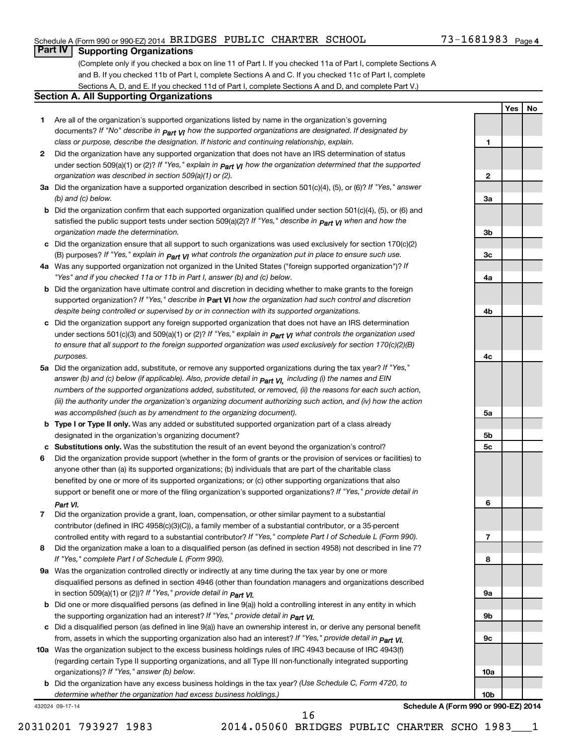# Schedule A (Form 990 or 990-EZ) 2014 BRIDGES PUBLIC CHARTER SCHOOL 73-1681983 Page

# 73-1681983 <sub>Page 4</sub>

**1**

**2**

**3a**

**3b**

**3c**

**Yes No**

# **Part IV Supporting Organizations**

(Complete only if you checked a box on line 11 of Part I. If you checked 11a of Part I, complete Sections A and B. If you checked 11b of Part I, complete Sections A and C. If you checked 11c of Part I, complete Sections A, D, and E. If you checked 11d of Part I, complete Sections A and D, and complete Part V.)

### **Section A. All Supporting Organizations**

- **1** Are all of the organization's supported organizations listed by name in the organization's governing documents? If "No" describe in  $_{\mathsf{Part}}$   $_{\mathsf{V}}$  how the supported organizations are designated. If designated by *class or purpose, describe the designation. If historic and continuing relationship, explain.*
- **2** Did the organization have any supported organization that does not have an IRS determination of status under section 509(a)(1) or (2)? If "Yes," explain in  $_{\sf Part}$   $_{\sf VI}$  how the organization determined that the supported *organization was described in section 509(a)(1) or (2).*
- **3a** Did the organization have a supported organization described in section 501(c)(4), (5), or (6)? If "Yes," answer *(b) and (c) below.*
- **b** Did the organization confirm that each supported organization qualified under section 501(c)(4), (5), or (6) and satisfied the public support tests under section 509(a)(2)? If "Yes," describe in  $_{\rm Part}$   $_{\rm VI}$  when and how the *organization made the determination.*
- **c** Did the organization ensure that all support to such organizations was used exclusively for section 170(c)(2) (B) purposes? If "Yes," explain in  $_{\mathsf{Part}}$   $_{\mathsf{V}}$  what controls the organization put in place to ensure such use.
- **4 a** *If* Was any supported organization not organized in the United States ("foreign supported organization")? *"Yes" and if you checked 11a or 11b in Part I, answer (b) and (c) below.*
- **b** Did the organization have ultimate control and discretion in deciding whether to make grants to the foreign supported organization? If "Yes," describe in Part VI how the organization had such control and discretion *despite being controlled or supervised by or in connection with its supported organizations.*
- **c** Did the organization support any foreign supported organization that does not have an IRS determination under sections 501(c)(3) and 509(a)(1) or (2)? If "Yes," ex*plain in*  $_{\sf Part}$  *v*J what controls the organization used *to ensure that all support to the foreign supported organization was used exclusively for section 170(c)(2)(B) purposes.*
- **5a** Did the organization add, substitute, or remove any supported organizations during the tax year? If "Yes," answer (b) and (c) below (if applicable). Also, provide detail in  $_{\mathsf{Part}}$   $_{\mathsf{V{\mathsf{I}}}}$ , including (i) the names and EIN *numbers of the supported organizations added, substituted, or removed, (ii) the reasons for each such action, (iii) the authority under the organization's organizing document authorizing such action, and (iv) how the action was accomplished (such as by amendment to the organizing document).*
- **b** Type I or Type II only. Was any added or substituted supported organization part of a class already designated in the organization's organizing document?
- **c Substitutions only.**  Was the substitution the result of an event beyond the organization's control?
- **6** Did the organization provide support (whether in the form of grants or the provision of services or facilities) to support or benefit one or more of the filing organization's supported organizations? If "Yes," provide detail in anyone other than (a) its supported organizations; (b) individuals that are part of the charitable class benefited by one or more of its supported organizations; or (c) other supporting organizations that also *Part VI.*
- **7** Did the organization provide a grant, loan, compensation, or other similar payment to a substantial controlled entity with regard to a substantial contributor? If "Yes," complete Part I of Schedule L (Form 990). contributor (defined in IRC 4958(c)(3)(C)), a family member of a substantial contributor, or a 35-percent
- **8** Did the organization make a loan to a disqualified person (as defined in section 4958) not described in line 7? *If "Yes," complete Part I of Schedule L (Form 990).*
- **9 a** Was the organization controlled directly or indirectly at any time during the tax year by one or more *If "Yes," provide detail in*  in section 509(a)(1) or (2))? *Part VI.* disqualified persons as defined in section 4946 (other than foundation managers and organizations described
- **b** Did one or more disqualified persons (as defined in line 9(a)) hold a controlling interest in any entity in which  *If "Yes," provide detail in*  the supporting organization had an interest? *Part VI.*
- **c** Did a disqualified person (as defined in line 9(a)) have an ownership interest in, or derive any personal benefit from, assets in which the supporting organization also had an interest? If "Yes," *provide detail in Part VI.*
- **10 a** Was the organization subject to the excess business holdings rules of IRC 4943 because of IRC 4943(f)  *If "Yes," answer (b) below.* organizations)? (regarding certain Type II supporting organizations, and all Type III non-functionally integrated supporting
- **b** Did the organization have any excess business holdings in the tax year? (Use Schedule C, Form 4720, to *determine whether the organization had excess business holdings.)*

432024 09-17-14

**Schedule A (Form 990 or 990-EZ) 2014**

16

**4a 4b 4c 5a 5b 5c 6 7 8 9a 9b 9c 10a 10b**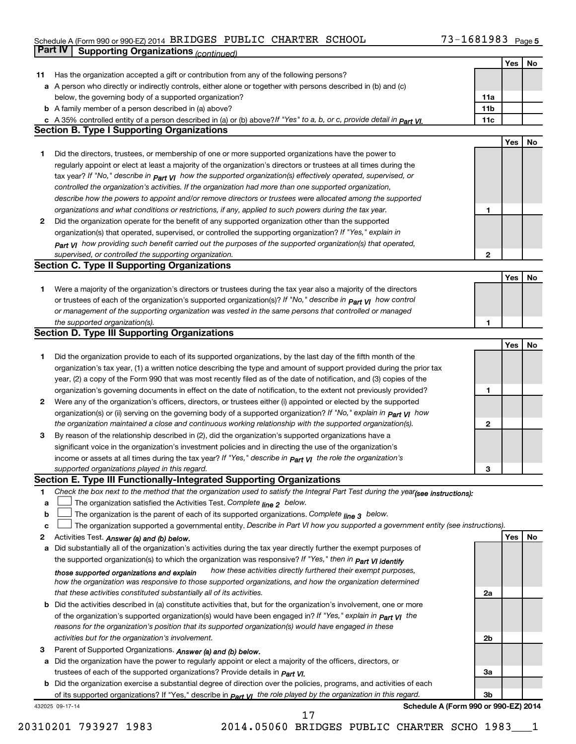#### Schedule A (Form 990 or 990-EZ) 2014 BRIDGES PUBLIC CHARTER SCHOOL / 3-I 6 8 I 9 8 9 Page BRIDGES PUBLIC CHARTER SCHOOL 73-1681983

|    | <b>Part IV</b>  | <b>Supporting Organizations (continued)</b>                                                                                      |                 |     |    |
|----|-----------------|----------------------------------------------------------------------------------------------------------------------------------|-----------------|-----|----|
|    |                 |                                                                                                                                  |                 | Yes | No |
| 11 |                 | Has the organization accepted a gift or contribution from any of the following persons?                                          |                 |     |    |
| а  |                 | A person who directly or indirectly controls, either alone or together with persons described in (b) and (c)                     |                 |     |    |
|    |                 | below, the governing body of a supported organization?                                                                           | 11a             |     |    |
|    |                 | <b>b</b> A family member of a person described in (a) above?                                                                     | 11 <sub>b</sub> |     |    |
|    |                 | c A 35% controlled entity of a person described in (a) or (b) above? If "Yes" to a, b, or c, provide detail in Part VI.          | 11c             |     |    |
|    |                 | <b>Section B. Type I Supporting Organizations</b>                                                                                |                 |     |    |
|    |                 |                                                                                                                                  |                 | Yes | No |
| 1. |                 | Did the directors, trustees, or membership of one or more supported organizations have the power to                              |                 |     |    |
|    |                 | regularly appoint or elect at least a majority of the organization's directors or trustees at all times during the               |                 |     |    |
|    |                 | tax year? If "No," describe in $P_{\text{part}}$ VI how the supported organization(s) effectively operated, supervised, or       |                 |     |    |
|    |                 | controlled the organization's activities. If the organization had more than one supported organization,                          |                 |     |    |
|    |                 | describe how the powers to appoint and/or remove directors or trustees were allocated among the supported                        |                 |     |    |
|    |                 | organizations and what conditions or restrictions, if any, applied to such powers during the tax year.                           | 1               |     |    |
| 2  |                 | Did the organization operate for the benefit of any supported organization other than the supported                              |                 |     |    |
|    |                 | organization(s) that operated, supervised, or controlled the supporting organization? If "Yes," explain in                       |                 |     |    |
|    |                 | $_{Part}$ v <sub>I</sub> how providing such benefit carried out the purposes of the supported organization(s) that operated,     |                 |     |    |
|    |                 | supervised, or controlled the supporting organization.                                                                           | 2               |     |    |
|    |                 | <b>Section C. Type II Supporting Organizations</b>                                                                               |                 |     |    |
|    |                 |                                                                                                                                  |                 | Yes | No |
| 1. |                 | Were a majority of the organization's directors or trustees during the tax year also a majority of the directors                 |                 |     |    |
|    |                 | or trustees of each of the organization's supported organization(s)? If "No," describe in <b>Part VI</b> how control             |                 |     |    |
|    |                 | or management of the supporting organization was vested in the same persons that controlled or managed                           |                 |     |    |
|    |                 | the supported organization(s).                                                                                                   | 1               |     |    |
|    |                 | <b>Section D. Type III Supporting Organizations</b>                                                                              |                 |     |    |
|    |                 |                                                                                                                                  |                 | Yes | No |
| 1  |                 | Did the organization provide to each of its supported organizations, by the last day of the fifth month of the                   |                 |     |    |
|    |                 | organization's tax year, (1) a written notice describing the type and amount of support provided during the prior tax            |                 |     |    |
|    |                 | year, (2) a copy of the Form 990 that was most recently filed as of the date of notification, and (3) copies of the              |                 |     |    |
|    |                 | organization's governing documents in effect on the date of notification, to the extent not previously provided?                 | 1               |     |    |
| 2  |                 | Were any of the organization's officers, directors, or trustees either (i) appointed or elected by the supported                 |                 |     |    |
|    |                 | organization(s) or (ii) serving on the governing body of a supported organization? If "No," explain in <b>Part VI</b> how        |                 |     |    |
|    |                 | the organization maintained a close and continuous working relationship with the supported organization(s).                      | 2               |     |    |
| 3  |                 | By reason of the relationship described in (2), did the organization's supported organizations have a                            |                 |     |    |
|    |                 | significant voice in the organization's investment policies and in directing the use of the organization's                       |                 |     |    |
|    |                 | income or assets at all times during the tax year? If "Yes," describe in $_{Part}$ y the role the organization's                 |                 |     |    |
|    |                 | supported organizations played in this regard.                                                                                   | з               |     |    |
|    |                 | Section E. Type III Functionally-Integrated Supporting Organizations                                                             |                 |     |    |
| 1  |                 | Check the box next to the method that the organization used to satisfy the Integral Part Test during the year(see instructions): |                 |     |    |
| a  |                 | The organization satisfied the Activities Test. Complete line 2 below.                                                           |                 |     |    |
| b  |                 | The organization is the parent of each of its supported organizations. Complete $_{\text{line 3}}$ below.                        |                 |     |    |
| c  |                 | The organization supported a governmental entity. Describe in Part VI how you supported a government entity (see instructions).  |                 |     |    |
| 2  |                 | Activities Test. Answer (a) and (b) below.                                                                                       |                 | Yes | No |
| а  |                 | Did substantially all of the organization's activities during the tax year directly further the exempt purposes of               |                 |     |    |
|    |                 | the supported organization(s) to which the organization was responsive? If "Yes," then in Part VI identify                       |                 |     |    |
|    |                 | how these activities directly furthered their exempt purposes,<br>those supported organizations and explain                      |                 |     |    |
|    |                 | how the organization was responsive to those supported organizations, and how the organization determined                        |                 |     |    |
|    |                 | that these activities constituted substantially all of its activities.                                                           | 2a              |     |    |
| b  |                 | Did the activities described in (a) constitute activities that, but for the organization's involvement, one or more              |                 |     |    |
|    |                 | of the organization's supported organization(s) would have been engaged in? If "Yes," explain in $P_{art}$ $V_I$ the             |                 |     |    |
|    |                 | reasons for the organization's position that its supported organization(s) would have engaged in these                           |                 |     |    |
|    |                 | activities but for the organization's involvement.                                                                               | 2b              |     |    |
| З  |                 | Parent of Supported Organizations. Answer (a) and (b) below.                                                                     |                 |     |    |
| а  |                 | Did the organization have the power to regularly appoint or elect a majority of the officers, directors, or                      |                 |     |    |
|    |                 | trustees of each of the supported organizations? Provide details in <i>Part VI.</i>                                              | За              |     |    |
|    |                 | <b>b</b> Did the organization exercise a substantial degree of direction over the policies, programs, and activities of each     |                 |     |    |
|    |                 | of its supported organizations? If "Yes," describe in $P_{\text{Qff}}$ $y_1$ the role played by the organization in this regard. | Зb              |     |    |
|    | 432025 09-17-14 | Schedule A (Form 990 or 990-EZ) 2014                                                                                             |                 |     |    |

20310201 793927 1983 2014.05060 BRIDGES PUBLIC CHARTER SCHO 1983\_\_\_1

17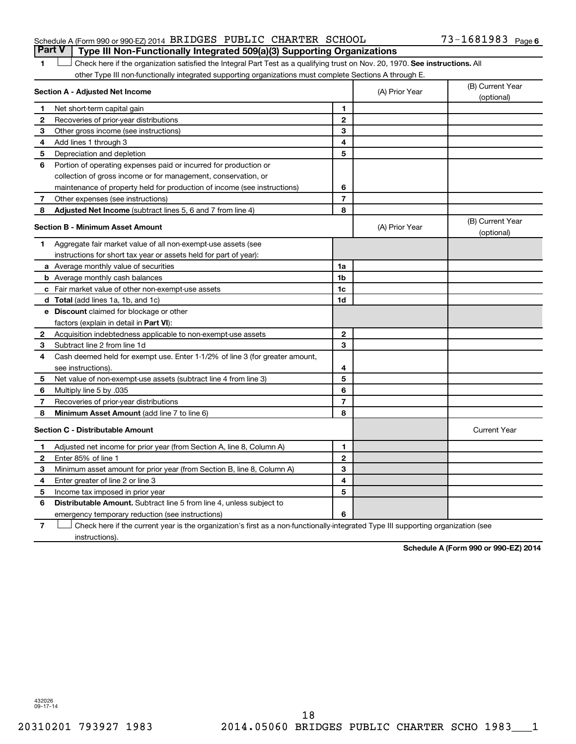# Schedule A (Form 990 or 990-EZ) 2014 BRIDGES PUBLIC CHARTER SCHOOL 73-1681983 Page **Part V Type III Non-Functionally Integrated 509(a)(3) Supporting Organizations**

1 **Letter on Reck here if the organization satisfied the Integral Part Test as a qualifying trust on Nov. 20, 1970. See instructions. All** other Type III non-functionally integrated supporting organizations must complete Sections A through E.

|   | Section A - Adjusted Net Income                                                                                                   |                | (A) Prior Year | (B) Current Year<br>(optional) |
|---|-----------------------------------------------------------------------------------------------------------------------------------|----------------|----------------|--------------------------------|
| 1 | Net short-term capital gain                                                                                                       | 1              |                |                                |
| 2 | Recoveries of prior-year distributions                                                                                            | $\mathbf{2}$   |                |                                |
| З | Other gross income (see instructions)                                                                                             | 3              |                |                                |
| 4 | Add lines 1 through 3                                                                                                             | 4              |                |                                |
| 5 | Depreciation and depletion                                                                                                        | 5              |                |                                |
| 6 | Portion of operating expenses paid or incurred for production or                                                                  |                |                |                                |
|   | collection of gross income or for management, conservation, or                                                                    |                |                |                                |
|   | maintenance of property held for production of income (see instructions)                                                          | 6              |                |                                |
| 7 | Other expenses (see instructions)                                                                                                 | $\overline{7}$ |                |                                |
| 8 | Adjusted Net Income (subtract lines 5, 6 and 7 from line 4)                                                                       | 8              |                |                                |
|   | <b>Section B - Minimum Asset Amount</b>                                                                                           |                | (A) Prior Year | (B) Current Year<br>(optional) |
| 1 | Aggregate fair market value of all non-exempt-use assets (see                                                                     |                |                |                                |
|   | instructions for short tax year or assets held for part of year):                                                                 |                |                |                                |
|   | <b>a</b> Average monthly value of securities                                                                                      | 1a             |                |                                |
|   | <b>b</b> Average monthly cash balances                                                                                            | 1 <sub>b</sub> |                |                                |
|   | <b>c</b> Fair market value of other non-exempt-use assets                                                                         | 1c             |                |                                |
|   | <b>d</b> Total (add lines 1a, 1b, and 1c)                                                                                         | 1d             |                |                                |
|   | <b>e</b> Discount claimed for blockage or other                                                                                   |                |                |                                |
|   | factors (explain in detail in <b>Part VI</b> ):                                                                                   |                |                |                                |
| 2 | Acquisition indebtedness applicable to non-exempt-use assets                                                                      | $\mathbf{2}$   |                |                                |
| 3 | Subtract line 2 from line 1d                                                                                                      | 3              |                |                                |
| 4 | Cash deemed held for exempt use. Enter 1-1/2% of line 3 (for greater amount,                                                      |                |                |                                |
|   | see instructions).                                                                                                                | 4              |                |                                |
| 5 | Net value of non-exempt-use assets (subtract line 4 from line 3)                                                                  | 5              |                |                                |
| 6 | Multiply line 5 by .035                                                                                                           | 6              |                |                                |
| 7 | Recoveries of prior-year distributions                                                                                            | $\overline{7}$ |                |                                |
| 8 | <b>Minimum Asset Amount (add line 7 to line 6)</b>                                                                                | 8              |                |                                |
|   | <b>Section C - Distributable Amount</b>                                                                                           |                |                | <b>Current Year</b>            |
| 1 | Adjusted net income for prior year (from Section A, line 8, Column A)                                                             | $\mathbf{1}$   |                |                                |
| 2 | Enter 85% of line 1                                                                                                               | $\mathbf{2}$   |                |                                |
| З | Minimum asset amount for prior year (from Section B, line 8, Column A)                                                            | 3              |                |                                |
| 4 | Enter greater of line 2 or line 3                                                                                                 | 4              |                |                                |
| 5 | Income tax imposed in prior year                                                                                                  | 5              |                |                                |
| 6 | <b>Distributable Amount.</b> Subtract line 5 from line 4, unless subject to                                                       |                |                |                                |
|   | emergency temporary reduction (see instructions)                                                                                  | 6              |                |                                |
| 7 | Check here if the current year is the organization's first as a non-functionally-integrated Type III supporting organization (see |                |                |                                |

instructions).

**Schedule A (Form 990 or 990-EZ) 2014**

432026 09-17-14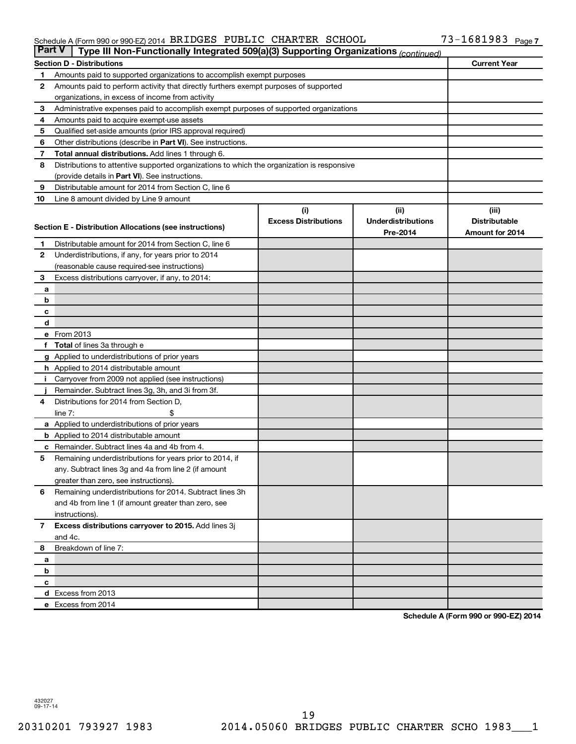#### Schedule A (Form 990 or 990-EZ) 2014 BRIDGES PUBLIC CHARTER SCHOOL / 3-I 6 8 I 9 8 9 Page BRIDGES PUBLIC CHARTER SCHOOL 73-1681983

|             | <b>Part V</b><br>Type III Non-Functionally Integrated 509(a)(3) Supporting Organizations (continued)    |                             |                           |                      |  |  |  |
|-------------|---------------------------------------------------------------------------------------------------------|-----------------------------|---------------------------|----------------------|--|--|--|
|             | <b>Current Year</b><br><b>Section D - Distributions</b>                                                 |                             |                           |                      |  |  |  |
| 1           | Amounts paid to supported organizations to accomplish exempt purposes                                   |                             |                           |                      |  |  |  |
| 2           | Amounts paid to perform activity that directly furthers exempt purposes of supported                    |                             |                           |                      |  |  |  |
|             | organizations, in excess of income from activity                                                        |                             |                           |                      |  |  |  |
| 3           | Administrative expenses paid to accomplish exempt purposes of supported organizations                   |                             |                           |                      |  |  |  |
| 4           | Amounts paid to acquire exempt-use assets                                                               |                             |                           |                      |  |  |  |
| 5           | Qualified set-aside amounts (prior IRS approval required)                                               |                             |                           |                      |  |  |  |
| 6           | Other distributions (describe in Part VI). See instructions.                                            |                             |                           |                      |  |  |  |
| 7           | Total annual distributions. Add lines 1 through 6.                                                      |                             |                           |                      |  |  |  |
| 8           | Distributions to attentive supported organizations to which the organization is responsive              |                             |                           |                      |  |  |  |
|             | (provide details in Part VI). See instructions.                                                         |                             |                           |                      |  |  |  |
| 9           | Distributable amount for 2014 from Section C, line 6                                                    |                             |                           |                      |  |  |  |
| 10          | Line 8 amount divided by Line 9 amount                                                                  |                             |                           |                      |  |  |  |
|             |                                                                                                         | (i)                         | (ii)                      | (iii)                |  |  |  |
|             | Section E - Distribution Allocations (see instructions)                                                 | <b>Excess Distributions</b> | <b>Underdistributions</b> | <b>Distributable</b> |  |  |  |
|             |                                                                                                         |                             | Pre-2014                  | Amount for 2014      |  |  |  |
| 1           | Distributable amount for 2014 from Section C, line 6                                                    |                             |                           |                      |  |  |  |
| 2           | Underdistributions, if any, for years prior to 2014                                                     |                             |                           |                      |  |  |  |
|             | (reasonable cause required-see instructions)                                                            |                             |                           |                      |  |  |  |
| 3           | Excess distributions carryover, if any, to 2014:                                                        |                             |                           |                      |  |  |  |
| a           |                                                                                                         |                             |                           |                      |  |  |  |
| b           |                                                                                                         |                             |                           |                      |  |  |  |
| с           |                                                                                                         |                             |                           |                      |  |  |  |
| d           |                                                                                                         |                             |                           |                      |  |  |  |
|             | e From 2013                                                                                             |                             |                           |                      |  |  |  |
| f           | <b>Total</b> of lines 3a through e                                                                      |                             |                           |                      |  |  |  |
|             | <b>g</b> Applied to underdistributions of prior years                                                   |                             |                           |                      |  |  |  |
|             | <b>h</b> Applied to 2014 distributable amount                                                           |                             |                           |                      |  |  |  |
|             | Carryover from 2009 not applied (see instructions)                                                      |                             |                           |                      |  |  |  |
|             | Remainder. Subtract lines 3g, 3h, and 3i from 3f.                                                       |                             |                           |                      |  |  |  |
| 4           | Distributions for 2014 from Section D,                                                                  |                             |                           |                      |  |  |  |
|             | line $7:$                                                                                               |                             |                           |                      |  |  |  |
|             | a Applied to underdistributions of prior years                                                          |                             |                           |                      |  |  |  |
|             | <b>b</b> Applied to 2014 distributable amount                                                           |                             |                           |                      |  |  |  |
| с<br>5      | Remainder. Subtract lines 4a and 4b from 4.<br>Remaining underdistributions for years prior to 2014, if |                             |                           |                      |  |  |  |
|             | any. Subtract lines 3g and 4a from line 2 (if amount                                                    |                             |                           |                      |  |  |  |
|             | greater than zero, see instructions).                                                                   |                             |                           |                      |  |  |  |
| 6           | Remaining underdistributions for 2014. Subtract lines 3h                                                |                             |                           |                      |  |  |  |
|             | and 4b from line 1 (if amount greater than zero, see                                                    |                             |                           |                      |  |  |  |
|             | instructions).                                                                                          |                             |                           |                      |  |  |  |
| $7^{\circ}$ | Excess distributions carryover to 2015. Add lines 3j                                                    |                             |                           |                      |  |  |  |
|             | and 4c.                                                                                                 |                             |                           |                      |  |  |  |
| 8           | Breakdown of line 7:                                                                                    |                             |                           |                      |  |  |  |
| а           |                                                                                                         |                             |                           |                      |  |  |  |
| b           |                                                                                                         |                             |                           |                      |  |  |  |
| c           |                                                                                                         |                             |                           |                      |  |  |  |
|             | d Excess from 2013                                                                                      |                             |                           |                      |  |  |  |
|             | e Excess from 2014                                                                                      |                             |                           |                      |  |  |  |

**Schedule A (Form 990 or 990-EZ) 2014**

432027 09-17-14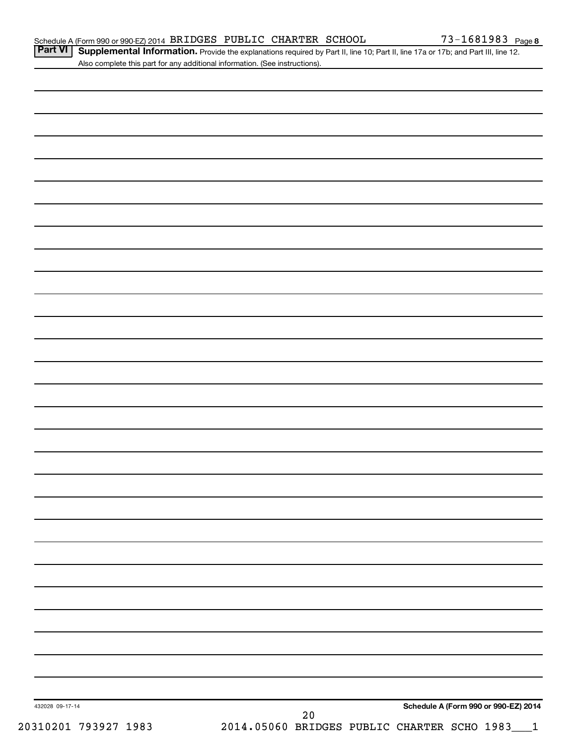Part VI | Supplemental Information. Provide the explanations required by Part II, line 10; Part II, line 17a or 17b; and Part III, line 12. Also complete this part for any additional information. (See instructions).

| 432028 09-17-14      |                                                     |  | Schedule A (Form 990 or 990-EZ) 2014 |  |
|----------------------|-----------------------------------------------------|--|--------------------------------------|--|
| 20310201 793927 1983 | 20<br>2014.05060 BRIDGES PUBLIC CHARTER SCHO 1983_1 |  |                                      |  |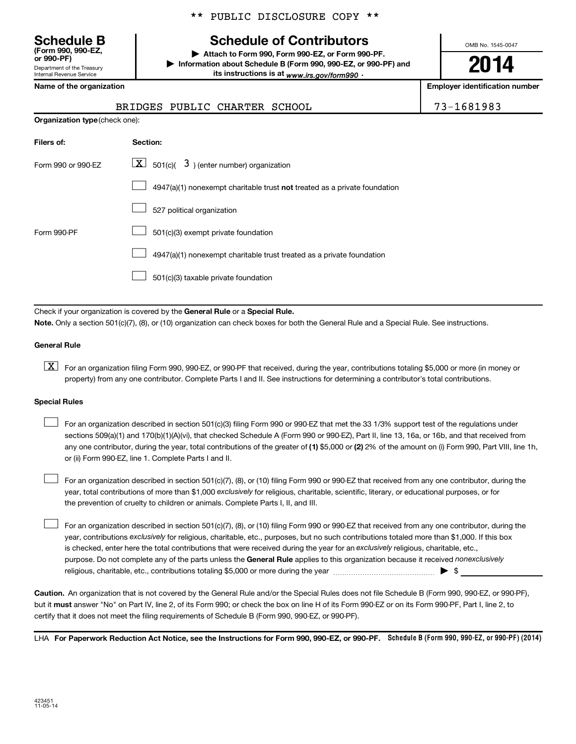Department of the Treasury Internal Revenue Service **(Form 990, 990-EZ,**

|  |  | ** PUBLIC DISCLOSURE COPY ** |  |  |
|--|--|------------------------------|--|--|
|--|--|------------------------------|--|--|

# **Schedule B Schedule of Contributors**

**or 990-PF) | Attach to Form 990, Form 990-EZ, or Form 990-PF. | Information about Schedule B (Form 990, 990-EZ, or 990-PF) and** its instructions is at <sub>www.irs.gov/form990  $\cdot$ </sub>

OMB No. 1545-0047

# **2014**

**Name of the organization Employer identification number**

|  |  | $3 - 1681983$ |  |
|--|--|---------------|--|
|--|--|---------------|--|

| BRIDGES PUBLIC CHARTER SCHOOL | 73-1681983 |
|-------------------------------|------------|
|                               |            |

| <b>Organization type (check one):</b> |                                                                           |  |
|---------------------------------------|---------------------------------------------------------------------------|--|
| Filers of:                            | Section:                                                                  |  |
| Form 990 or 990-EZ                    | $\lfloor \underline{X} \rfloor$ 501(c)( 3) (enter number) organization    |  |
|                                       | 4947(a)(1) nonexempt charitable trust not treated as a private foundation |  |
|                                       | 527 political organization                                                |  |
| Form 990-PF                           | 501(c)(3) exempt private foundation                                       |  |
|                                       | 4947(a)(1) nonexempt charitable trust treated as a private foundation     |  |
|                                       | 501(c)(3) taxable private foundation                                      |  |

Check if your organization is covered by the General Rule or a Special Rule.

**Note.**  Only a section 501(c)(7), (8), or (10) organization can check boxes for both the General Rule and a Special Rule. See instructions.

## **General Rule**

**K** For an organization filing Form 990, 990-EZ, or 990-PF that received, during the year, contributions totaling \$5,000 or more (in money or property) from any one contributor. Complete Parts I and II. See instructions for determining a contributor's total contributions.

### **Special Rules**

 $\Box$ 

any one contributor, during the year, total contributions of the greater of **(1)** \$5,000 or **(2)** 2% of the amount on (i) Form 990, Part VIII, line 1h, For an organization described in section 501(c)(3) filing Form 990 or 990-EZ that met the 33 1/3% support test of the regulations under sections 509(a)(1) and 170(b)(1)(A)(vi), that checked Schedule A (Form 990 or 990-EZ), Part II, line 13, 16a, or 16b, and that received from or (ii) Form 990-EZ, line 1. Complete Parts I and II.  $\Box$ 

year, total contributions of more than \$1,000 *exclusively* for religious, charitable, scientific, literary, or educational purposes, or for For an organization described in section 501(c)(7), (8), or (10) filing Form 990 or 990-EZ that received from any one contributor, during the the prevention of cruelty to children or animals. Complete Parts I, II, and III.  $\Box$ 

purpose. Do not complete any of the parts unless the General Rule applies to this organization because it received nonexclusively year, contributions exclusively for religious, charitable, etc., purposes, but no such contributions totaled more than \$1,000. If this box is checked, enter here the total contributions that were received during the year for an exclusively religious, charitable, etc., For an organization described in section 501(c)(7), (8), or (10) filing Form 990 or 990-EZ that received from any one contributor, during the religious, charitable, etc., contributions totaling \$5,000 or more during the year  $\ldots$  $\ldots$  $\ldots$  $\ldots$  $\ldots$  $\ldots$ 

**Caution.** An organization that is not covered by the General Rule and/or the Special Rules does not file Schedule B (Form 990, 990-EZ, or 990-PF),  **must** but it answer "No" on Part IV, line 2, of its Form 990; or check the box on line H of its Form 990-EZ or on its Form 990-PF, Part I, line 2, to certify that it does not meet the filing requirements of Schedule B (Form 990, 990-EZ, or 990-PF).

LHA For Paperwork Reduction Act Notice, see the Instructions for Form 990, 990-EZ, or 990-PF. Schedule B (Form 990, 990-EZ, or 990-PF) (2014)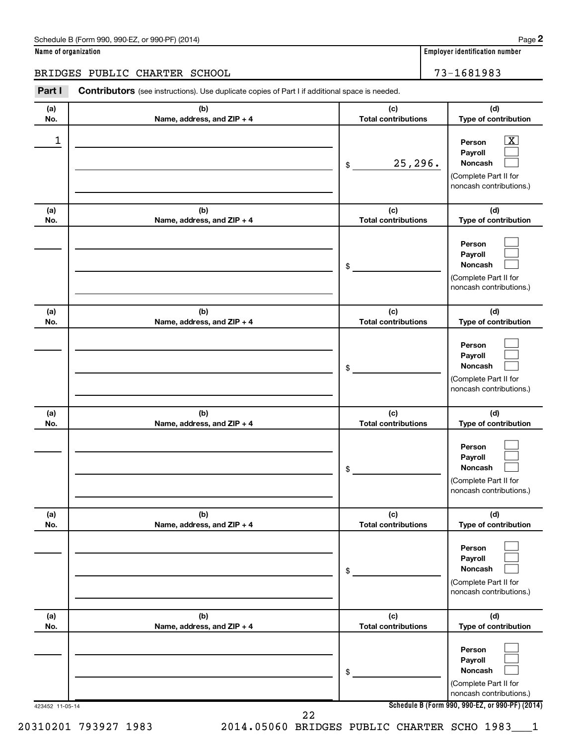| Schedule B (Form 990, 990-EZ, or 990-PF) (2014)<br>$\sqrt{2}$ and $\sqrt{2}$ and $\sqrt{2}$ and $\sqrt{2}$ and $\sqrt{2}$ and $\sqrt{2}$ and $\sqrt{2}$ and $\sqrt{2}$ and $\sqrt{2}$ and $\sqrt{2}$ and $\sqrt{2}$ and $\sqrt{2}$ and $\sqrt{2}$ and $\sqrt{2}$ and $\sqrt{2}$ and $\sqrt{2}$ and $\sqrt{2}$ and $\sqrt{2}$ and $\sqrt{2$ | Page |
|--------------------------------------------------------------------------------------------------------------------------------------------------------------------------------------------------------------------------------------------------------------------------------------------------------------------------------------------|------|
|--------------------------------------------------------------------------------------------------------------------------------------------------------------------------------------------------------------------------------------------------------------------------------------------------------------------------------------------|------|

| Name of organization |  |  |
|----------------------|--|--|
|----------------------|--|--|

# BRIDGES PUBLIC CHARTER SCHOOL 73-1681983

423452 11-05-14 **Schedule B (Form 990, 990-EZ, or 990-PF) (2014) (a) No. (b) Name, address, and ZIP + 4 (c) Total contributions (d) Type of contribution Person Payroll Noncash (a) No. (b) Name, address, and ZIP + 4 (c) Total contributions (d) Type of contribution Person Payroll Noncash (a) No. (b) Name, address, and ZIP + 4 (c) Total contributions (d) Type of contribution Person Payroll Noncash (a) No. (b) Name, address, and ZIP + 4 (c) Total contributions (d) Type of contribution Person Payroll Noncash (a) No. (b) Name, address, and ZIP + 4 (c) Total contributions (d) Type of contribution Person Payroll Noncash (a) No. (b) Name, address, and ZIP + 4 (c) Total contributions (d) Type of contribution Person Payroll Noncash Part I** Contributors (see instructions). Use duplicate copies of Part I if additional space is needed. \$ (Complete Part II for noncash contributions.) \$ (Complete Part II for noncash contributions.) \$ (Complete Part II for noncash contributions.) \$ (Complete Part II for noncash contributions.) \$ (Complete Part II for noncash contributions.) \$ (Complete Part II for noncash contributions.)  $\boxed{\textbf{X}}$  $\Box$  $\Box$  $\Box$  $\Box$  $\Box$  $\Box$  $\Box$  $\Box$  $\Box$  $\Box$  $\Box$  $\Box$  $\Box$  $\Box$  $\Box$  $\Box$  $\Box$  $\begin{array}{|c|c|c|c|c|}\hline \ \text{1} & \text{Person} & \text{X} \ \hline \end{array}$ 25,296. 20310201 793927 1983 2014.05060 BRIDGES PUBLIC CHARTER SCHO 1983\_\_\_1 22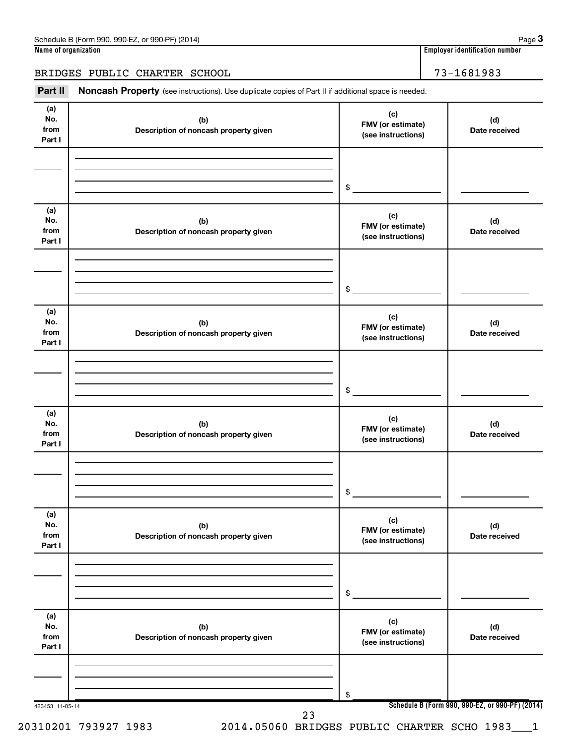BRIDGES PUBLIC CHARTER SCHOOL 73-1681983

Part II Noncash Property (see instructions). Use duplicate copies of Part II if additional space is needed.

| No.<br>from<br>Part I        | (b)<br>Description of noncash property given | (c)<br>FMV (or estimate)<br>(see instructions) | (d)<br>Date received                            |
|------------------------------|----------------------------------------------|------------------------------------------------|-------------------------------------------------|
|                              |                                              | \$                                             |                                                 |
|                              |                                              |                                                |                                                 |
| (a)<br>No.<br>from<br>Part I | (b)<br>Description of noncash property given | (c)<br>FMV (or estimate)<br>(see instructions) | (d)<br>Date received                            |
|                              |                                              |                                                |                                                 |
|                              |                                              | $\frac{1}{2}$                                  |                                                 |
|                              |                                              |                                                |                                                 |
| (a)<br>No.<br>from<br>Part I | (b)<br>Description of noncash property given | (c)<br>FMV (or estimate)<br>(see instructions) | (d)<br>Date received                            |
|                              |                                              |                                                |                                                 |
|                              |                                              |                                                |                                                 |
|                              |                                              | $$\tilde{}}$                                   |                                                 |
| (a)<br>No.<br>from<br>Part I | (b)<br>Description of noncash property given | (c)<br>FMV (or estimate)<br>(see instructions) | (d)<br>Date received                            |
|                              |                                              |                                                |                                                 |
|                              |                                              |                                                |                                                 |
|                              |                                              | $\frac{1}{2}$                                  |                                                 |
| (a)<br>No.<br>from<br>Part I | (b)<br>Description of noncash property given | (c)<br>FMV (or estimate)<br>(see instructions) | (d)<br>Date received                            |
|                              |                                              |                                                |                                                 |
|                              |                                              | \$                                             |                                                 |
|                              |                                              |                                                |                                                 |
| (a)<br>No.<br>from<br>Part I | (b)<br>Description of noncash property given | (c)<br>FMV (or estimate)<br>(see instructions) | (d)<br>Date received                            |
|                              |                                              |                                                |                                                 |
|                              |                                              |                                                |                                                 |
| 423453 11-05-14              |                                              | \$                                             | Schedule B (Form 990, 990-EZ, or 990-PF) (2014) |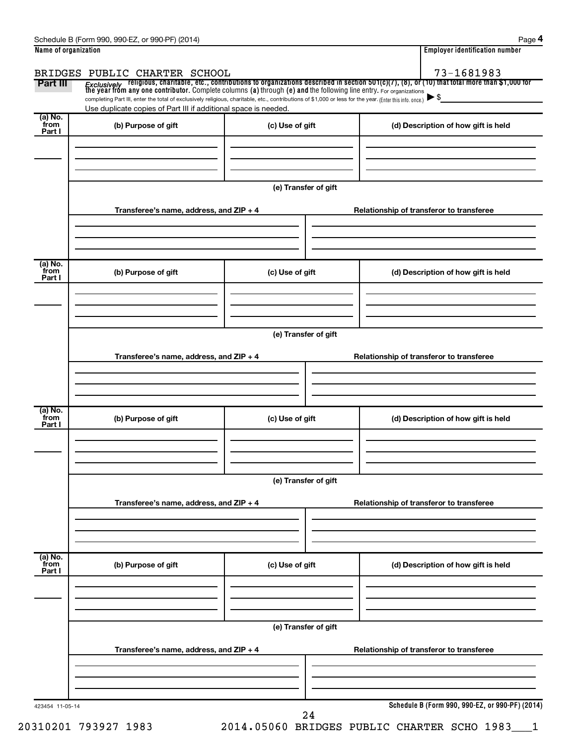| Schedule<br>, (2014)<br>990-EZ<br>990-PF<br>m 990<br>∙orm<br>or<br>ь | ade                                     |
|----------------------------------------------------------------------|-----------------------------------------|
| Name of organization                                                 | <br>r identitication number<br>-mnlover |

| Name of organization      |                                                                                                                                                          |                      | <b>Employer identification number</b>                                                                                                                                                                                                   |
|---------------------------|----------------------------------------------------------------------------------------------------------------------------------------------------------|----------------------|-----------------------------------------------------------------------------------------------------------------------------------------------------------------------------------------------------------------------------------------|
| Part III                  | BRIDGES PUBLIC CHARTER SCHOOL                                                                                                                            |                      | 73-1681983                                                                                                                                                                                                                              |
|                           | completing Part III, enter the total of exclusively religious, charitable, etc., contributions of \$1,000 or less for the year. (Enter this info. once.) |                      | <i>Exclusively</i> religious, charitable, etc., contributions to organizations described in section 501(c)(7), (8), or (10) that total more than \$1,000 for<br>the year from any one contributor. Complete columns (a) through (e) and |
|                           | Use duplicate copies of Part III if additional space is needed.                                                                                          |                      |                                                                                                                                                                                                                                         |
| (a) No.<br>from<br>Part I | (b) Purpose of gift                                                                                                                                      | (c) Use of gift      | (d) Description of how gift is held                                                                                                                                                                                                     |
|                           |                                                                                                                                                          | (e) Transfer of gift |                                                                                                                                                                                                                                         |
|                           | Transferee's name, address, and ZIP + 4                                                                                                                  |                      | Relationship of transferor to transferee                                                                                                                                                                                                |
| (a) No.<br>from<br>Part I | (b) Purpose of gift                                                                                                                                      | (c) Use of gift      | (d) Description of how gift is held                                                                                                                                                                                                     |
|                           | Transferee's name, address, and ZIP + 4                                                                                                                  | (e) Transfer of gift | Relationship of transferor to transferee                                                                                                                                                                                                |
|                           |                                                                                                                                                          |                      |                                                                                                                                                                                                                                         |
| (a) No.<br>from<br>Part I | (b) Purpose of gift                                                                                                                                      | (c) Use of gift      | (d) Description of how gift is held                                                                                                                                                                                                     |
|                           |                                                                                                                                                          |                      |                                                                                                                                                                                                                                         |
|                           | Transferee's name, address, and ZIP + 4                                                                                                                  | (e) Transfer of gift | Relationship of transferor to transferee                                                                                                                                                                                                |
| (a) No.<br>from<br>Part I | (b) Purpose of gift                                                                                                                                      | (c) Use of gift      | (d) Description of how gift is held                                                                                                                                                                                                     |
|                           |                                                                                                                                                          | (e) Transfer of gift |                                                                                                                                                                                                                                         |
|                           | Transferee's name, address, and ZIP + 4                                                                                                                  |                      | Relationship of transferor to transferee                                                                                                                                                                                                |
| 423454 11-05-14           |                                                                                                                                                          | 24                   | Schedule B (Form 990, 990-EZ, or 990-PF) (2014)                                                                                                                                                                                         |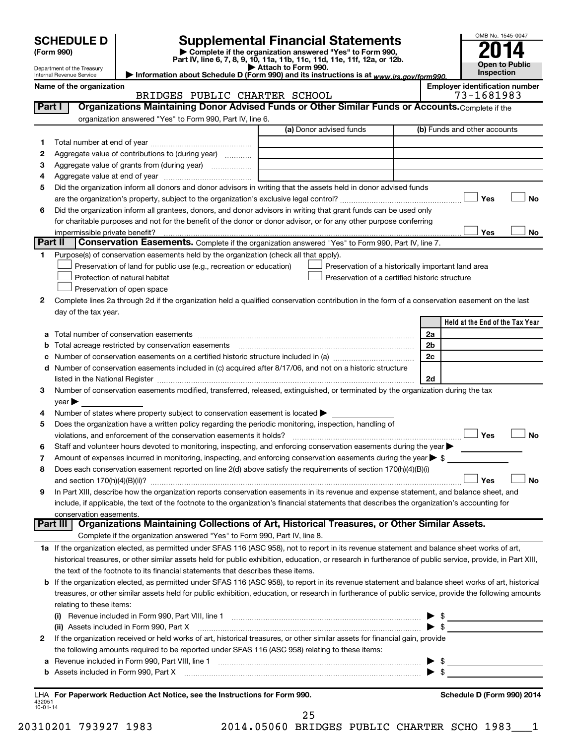|                          |                                                        |                                                                                                                                                                                                                                                         |                                                                                                      |                         | OMB No. 1545-0047                     |
|--------------------------|--------------------------------------------------------|---------------------------------------------------------------------------------------------------------------------------------------------------------------------------------------------------------------------------------------------------------|------------------------------------------------------------------------------------------------------|-------------------------|---------------------------------------|
|                          | <b>SCHEDULE D</b>                                      |                                                                                                                                                                                                                                                         | <b>Supplemental Financial Statements</b><br>Complete if the organization answered "Yes" to Form 990, |                         |                                       |
|                          | (Form 990)                                             |                                                                                                                                                                                                                                                         | Part IV, line 6, 7, 8, 9, 10, 11a, 11b, 11c, 11d, 11e, 11f, 12a, or 12b.                             |                         | <b>Open to Public</b>                 |
|                          | Department of the Treasury<br>Internal Revenue Service | Information about Schedule D (Form 990) and its instructions is at www.irs.gov/form990.                                                                                                                                                                 | Attach to Form 990.                                                                                  |                         | Inspection                            |
|                          | Name of the organization                               |                                                                                                                                                                                                                                                         |                                                                                                      |                         | <b>Employer identification number</b> |
|                          |                                                        | BRIDGES PUBLIC CHARTER SCHOOL                                                                                                                                                                                                                           |                                                                                                      |                         | 73-1681983                            |
| Part I                   |                                                        | Organizations Maintaining Donor Advised Funds or Other Similar Funds or Accounts. Complete if the<br>organization answered "Yes" to Form 990, Part IV, line 6.                                                                                          |                                                                                                      |                         |                                       |
|                          |                                                        |                                                                                                                                                                                                                                                         | (a) Donor advised funds                                                                              |                         | (b) Funds and other accounts          |
| 1                        |                                                        |                                                                                                                                                                                                                                                         |                                                                                                      |                         |                                       |
| 2                        |                                                        | Aggregate value of contributions to (during year)                                                                                                                                                                                                       |                                                                                                      |                         |                                       |
| з                        |                                                        |                                                                                                                                                                                                                                                         | the control of the control of the control of the control of the control of                           |                         |                                       |
| 4                        |                                                        |                                                                                                                                                                                                                                                         |                                                                                                      |                         |                                       |
| 5                        |                                                        | Did the organization inform all donors and donor advisors in writing that the assets held in donor advised funds                                                                                                                                        |                                                                                                      |                         |                                       |
|                          |                                                        |                                                                                                                                                                                                                                                         |                                                                                                      |                         | <b>No</b><br>Yes                      |
| 6                        |                                                        | Did the organization inform all grantees, donors, and donor advisors in writing that grant funds can be used only                                                                                                                                       |                                                                                                      |                         |                                       |
|                          | impermissible private benefit?                         | for charitable purposes and not for the benefit of the donor or donor advisor, or for any other purpose conferring                                                                                                                                      |                                                                                                      |                         | Yes<br>No                             |
| Part II                  |                                                        | <b>Conservation Easements.</b> Complete if the organization answered "Yes" to Form 990, Part IV, line 7.                                                                                                                                                |                                                                                                      |                         |                                       |
| 1                        |                                                        | Purpose(s) of conservation easements held by the organization (check all that apply).                                                                                                                                                                   |                                                                                                      |                         |                                       |
|                          |                                                        | Preservation of land for public use (e.g., recreation or education)                                                                                                                                                                                     | Preservation of a historically important land area                                                   |                         |                                       |
|                          |                                                        | Protection of natural habitat                                                                                                                                                                                                                           | Preservation of a certified historic structure                                                       |                         |                                       |
|                          |                                                        | Preservation of open space                                                                                                                                                                                                                              |                                                                                                      |                         |                                       |
| 2                        |                                                        | Complete lines 2a through 2d if the organization held a qualified conservation contribution in the form of a conservation easement on the last                                                                                                          |                                                                                                      |                         |                                       |
|                          | day of the tax year.                                   |                                                                                                                                                                                                                                                         |                                                                                                      |                         |                                       |
|                          |                                                        |                                                                                                                                                                                                                                                         |                                                                                                      |                         | Held at the End of the Tax Year       |
|                          |                                                        |                                                                                                                                                                                                                                                         |                                                                                                      | 2a<br>2b                |                                       |
| b<br>с                   |                                                        | Total acreage restricted by conservation easements [11] matter conservation conservation of the set of the set of the set of the set of the set of the set of the set of the set of the set of the set of the set of the set o                          |                                                                                                      | 2c                      |                                       |
| d                        |                                                        | Number of conservation easements included in (c) acquired after 8/17/06, and not on a historic structure                                                                                                                                                |                                                                                                      |                         |                                       |
|                          |                                                        |                                                                                                                                                                                                                                                         |                                                                                                      | 2d                      |                                       |
| 3                        |                                                        | Number of conservation easements modified, transferred, released, extinguished, or terminated by the organization during the tax                                                                                                                        |                                                                                                      |                         |                                       |
|                          | year                                                   |                                                                                                                                                                                                                                                         |                                                                                                      |                         |                                       |
| 4                        |                                                        | Number of states where property subject to conservation easement is located $\blacktriangleright$                                                                                                                                                       |                                                                                                      |                         |                                       |
| 5                        |                                                        | Does the organization have a written policy regarding the periodic monitoring, inspection, handling of                                                                                                                                                  |                                                                                                      |                         |                                       |
|                          |                                                        |                                                                                                                                                                                                                                                         |                                                                                                      |                         | $\Box$ Yes<br><b>Ν</b> ο              |
| 6                        |                                                        | Staff and volunteer hours devoted to monitoring, inspecting, and enforcing conservation easements during the year                                                                                                                                       |                                                                                                      |                         |                                       |
| 7<br>8                   |                                                        | Amount of expenses incurred in monitoring, inspecting, and enforcing conservation easements during the year $\blacktriangleright$ \$<br>Does each conservation easement reported on line 2(d) above satisfy the requirements of section 170(h)(4)(B)(i) |                                                                                                      |                         |                                       |
|                          |                                                        |                                                                                                                                                                                                                                                         |                                                                                                      |                         | No<br>Yes                             |
| 9                        |                                                        | In Part XIII, describe how the organization reports conservation easements in its revenue and expense statement, and balance sheet, and                                                                                                                 |                                                                                                      |                         |                                       |
|                          |                                                        | include, if applicable, the text of the footnote to the organization's financial statements that describes the organization's accounting for                                                                                                            |                                                                                                      |                         |                                       |
|                          | conservation easements.                                |                                                                                                                                                                                                                                                         |                                                                                                      |                         |                                       |
|                          | Part III                                               | Organizations Maintaining Collections of Art, Historical Treasures, or Other Similar Assets.                                                                                                                                                            |                                                                                                      |                         |                                       |
|                          |                                                        | Complete if the organization answered "Yes" to Form 990, Part IV, line 8.                                                                                                                                                                               |                                                                                                      |                         |                                       |
|                          |                                                        | 1a If the organization elected, as permitted under SFAS 116 (ASC 958), not to report in its revenue statement and balance sheet works of art,                                                                                                           |                                                                                                      |                         |                                       |
|                          |                                                        | historical treasures, or other similar assets held for public exhibition, education, or research in furtherance of public service, provide, in Part XIII,<br>the text of the footnote to its financial statements that describes these items.           |                                                                                                      |                         |                                       |
| b                        |                                                        | If the organization elected, as permitted under SFAS 116 (ASC 958), to report in its revenue statement and balance sheet works of art, historical                                                                                                       |                                                                                                      |                         |                                       |
|                          |                                                        | treasures, or other similar assets held for public exhibition, education, or research in furtherance of public service, provide the following amounts                                                                                                   |                                                                                                      |                         |                                       |
|                          | relating to these items:                               |                                                                                                                                                                                                                                                         |                                                                                                      |                         |                                       |
|                          |                                                        |                                                                                                                                                                                                                                                         |                                                                                                      |                         | $\triangleright$ \$                   |
|                          |                                                        | (ii) Assets included in Form 990, Part X                                                                                                                                                                                                                |                                                                                                      |                         | $\triangleright$ \$                   |
| 2                        |                                                        | If the organization received or held works of art, historical treasures, or other similar assets for financial gain, provide                                                                                                                            |                                                                                                      |                         |                                       |
|                          |                                                        | the following amounts required to be reported under SFAS 116 (ASC 958) relating to these items:                                                                                                                                                         |                                                                                                      |                         |                                       |
| а                        |                                                        |                                                                                                                                                                                                                                                         |                                                                                                      |                         |                                       |
| b                        | Assets included in Form 990, Part X                    |                                                                                                                                                                                                                                                         |                                                                                                      | $\blacktriangleright$ s |                                       |
|                          |                                                        |                                                                                                                                                                                                                                                         |                                                                                                      |                         |                                       |
| 432051<br>$10 - 01 - 14$ |                                                        | LHA For Paperwork Reduction Act Notice, see the Instructions for Form 990.                                                                                                                                                                              |                                                                                                      |                         | Schedule D (Form 990) 2014            |

|  |  |  |  |  |  |  | 20310201 793927 1983 |  |
|--|--|--|--|--|--|--|----------------------|--|
|--|--|--|--|--|--|--|----------------------|--|

20310201 793927 1983 2014.05060 BRIDGES PUBLIC CHARTER SCHO 1983\_\_\_1 25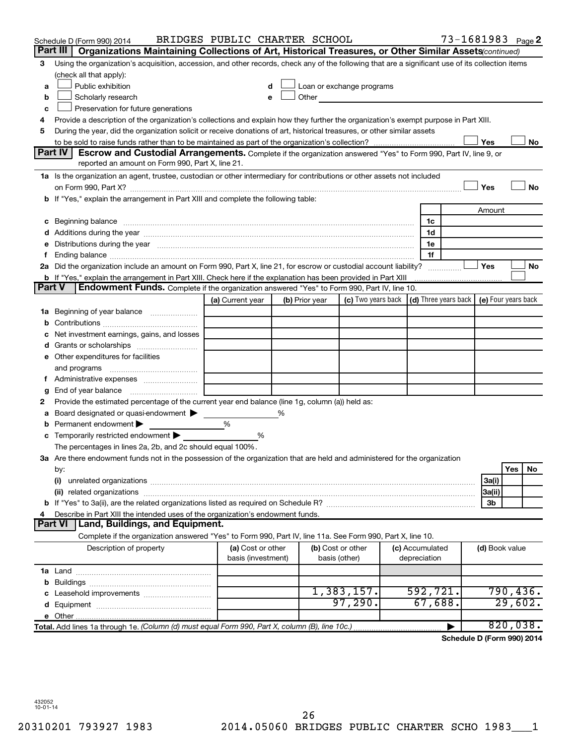| Part III<br>Organizations Maintaining Collections of Art, Historical Treasures, or Other Similar Assets (continued)<br>Using the organization's acquisition, accession, and other records, check any of the following that are a significant use of its collection items<br>3<br>(check all that apply):<br>Public exhibition<br>Loan or exchange programs<br>a<br>Other and the contract of the contract of the contract of the contract of the contract of the contract of the contract of the contract of the contract of the contract of the contract of the contract of the contract of the<br>Scholarly research<br>b<br>Preservation for future generations<br>с<br>Provide a description of the organization's collections and explain how they further the organization's exempt purpose in Part XIII.<br>4<br>During the year, did the organization solicit or receive donations of art, historical treasures, or other similar assets<br>5<br>Yes<br>No<br>Part IV I<br><b>Escrow and Custodial Arrangements.</b> Complete if the organization answered "Yes" to Form 990, Part IV, line 9, or<br>reported an amount on Form 990, Part X, line 21.<br>1a Is the organization an agent, trustee, custodian or other intermediary for contributions or other assets not included<br>Yes<br><b>No</b><br>b If "Yes," explain the arrangement in Part XIII and complete the following table:<br>Amount<br>1c<br>1d<br>e Distributions during the year measurement contained and all the control of the set of the set of the set of the set of the set of the set of the set of the set of the set of the set of the set of the set of the set of th<br>1e<br>1f<br>2a Did the organization include an amount on Form 990, Part X, line 21, for escrow or custodial account liability?<br>Yes<br>No<br><b>b</b> If "Yes," explain the arrangement in Part XIII. Check here if the explanation has been provided in Part XIII<br><b>Part V</b><br><b>Endowment Funds.</b> Complete if the organization answered "Yes" to Form 990, Part IV, line 10.<br>(c) Two years back $\vert$ (d) Three years back $\vert$ (e) Four years back<br>(a) Current year<br>(b) Prior year<br>1a Beginning of year balance<br>b<br>Net investment earnings, gains, and losses<br>с<br>e Other expenditures for facilities<br>and programs<br>g<br>Provide the estimated percentage of the current year end balance (line 1g, column (a)) held as:<br>2<br>Board designated or quasi-endowment ><br>%<br>а<br>Permanent endowment<br>%<br>b<br><b>c</b> Temporarily restricted endowment $\blacktriangleright$<br>%<br>The percentages in lines 2a, 2b, and 2c should equal 100%.<br>3a Are there endowment funds not in the possession of the organization that are held and administered for the organization<br>Yes<br>No<br>by:<br>(i)<br>3a(i)<br>3a(ii)<br>3b<br>Describe in Part XIII the intended uses of the organization's endowment funds.<br>4<br>Land, Buildings, and Equipment.<br><b>Part VI</b><br>Complete if the organization answered "Yes" to Form 990, Part IV, line 11a. See Form 990, Part X, line 10.<br>(a) Cost or other<br>(b) Cost or other<br>Description of property<br>(c) Accumulated<br>(d) Book value<br>basis (investment)<br>depreciation<br>basis (other)<br>592, 721.<br>1,383,157.<br>790,436.<br>97,290.<br>67,688.<br>29,602.<br>820,038.<br>Total. Add lines 1a through 1e. (Column (d) must equal Form 990, Part X, column (B), line 10c.) | Schedule D (Form 990) 2014 | BRIDGES PUBLIC CHARTER SCHOOL |  |  | 73-1681983 <sub>Page</sub> 2 |  |  |
|---------------------------------------------------------------------------------------------------------------------------------------------------------------------------------------------------------------------------------------------------------------------------------------------------------------------------------------------------------------------------------------------------------------------------------------------------------------------------------------------------------------------------------------------------------------------------------------------------------------------------------------------------------------------------------------------------------------------------------------------------------------------------------------------------------------------------------------------------------------------------------------------------------------------------------------------------------------------------------------------------------------------------------------------------------------------------------------------------------------------------------------------------------------------------------------------------------------------------------------------------------------------------------------------------------------------------------------------------------------------------------------------------------------------------------------------------------------------------------------------------------------------------------------------------------------------------------------------------------------------------------------------------------------------------------------------------------------------------------------------------------------------------------------------------------------------------------------------------------------------------------------------------------------------------------------------------------------------------------------------------------------------------------------------------------------------------------------------------------------------------------------------------------------------------------------------------------------------------------------------------------------------------------------------------------------------------------------------------------------------------------------------------------------------------------------------------------------------------------------------------------------------------------------------------------------------------------------------------------------------------------------------------------------------------------------------------------------------------------------------------------------------------------------------------------------------------------------------------------------------------------------------------------------------------------------------------------------------------------------------------------------------------------------------------------------------------------------------------------------------------------------------------------------------------------------------------------------------------------------------------------------------------------------------------------------------------------------------------------------------------------------------------------------------------------------------------------------------------|----------------------------|-------------------------------|--|--|------------------------------|--|--|
|                                                                                                                                                                                                                                                                                                                                                                                                                                                                                                                                                                                                                                                                                                                                                                                                                                                                                                                                                                                                                                                                                                                                                                                                                                                                                                                                                                                                                                                                                                                                                                                                                                                                                                                                                                                                                                                                                                                                                                                                                                                                                                                                                                                                                                                                                                                                                                                                                                                                                                                                                                                                                                                                                                                                                                                                                                                                                                                                                                                                                                                                                                                                                                                                                                                                                                                                                                                                                                                                           |                            |                               |  |  |                              |  |  |
|                                                                                                                                                                                                                                                                                                                                                                                                                                                                                                                                                                                                                                                                                                                                                                                                                                                                                                                                                                                                                                                                                                                                                                                                                                                                                                                                                                                                                                                                                                                                                                                                                                                                                                                                                                                                                                                                                                                                                                                                                                                                                                                                                                                                                                                                                                                                                                                                                                                                                                                                                                                                                                                                                                                                                                                                                                                                                                                                                                                                                                                                                                                                                                                                                                                                                                                                                                                                                                                                           |                            |                               |  |  |                              |  |  |
|                                                                                                                                                                                                                                                                                                                                                                                                                                                                                                                                                                                                                                                                                                                                                                                                                                                                                                                                                                                                                                                                                                                                                                                                                                                                                                                                                                                                                                                                                                                                                                                                                                                                                                                                                                                                                                                                                                                                                                                                                                                                                                                                                                                                                                                                                                                                                                                                                                                                                                                                                                                                                                                                                                                                                                                                                                                                                                                                                                                                                                                                                                                                                                                                                                                                                                                                                                                                                                                                           |                            |                               |  |  |                              |  |  |
|                                                                                                                                                                                                                                                                                                                                                                                                                                                                                                                                                                                                                                                                                                                                                                                                                                                                                                                                                                                                                                                                                                                                                                                                                                                                                                                                                                                                                                                                                                                                                                                                                                                                                                                                                                                                                                                                                                                                                                                                                                                                                                                                                                                                                                                                                                                                                                                                                                                                                                                                                                                                                                                                                                                                                                                                                                                                                                                                                                                                                                                                                                                                                                                                                                                                                                                                                                                                                                                                           |                            |                               |  |  |                              |  |  |
|                                                                                                                                                                                                                                                                                                                                                                                                                                                                                                                                                                                                                                                                                                                                                                                                                                                                                                                                                                                                                                                                                                                                                                                                                                                                                                                                                                                                                                                                                                                                                                                                                                                                                                                                                                                                                                                                                                                                                                                                                                                                                                                                                                                                                                                                                                                                                                                                                                                                                                                                                                                                                                                                                                                                                                                                                                                                                                                                                                                                                                                                                                                                                                                                                                                                                                                                                                                                                                                                           |                            |                               |  |  |                              |  |  |
|                                                                                                                                                                                                                                                                                                                                                                                                                                                                                                                                                                                                                                                                                                                                                                                                                                                                                                                                                                                                                                                                                                                                                                                                                                                                                                                                                                                                                                                                                                                                                                                                                                                                                                                                                                                                                                                                                                                                                                                                                                                                                                                                                                                                                                                                                                                                                                                                                                                                                                                                                                                                                                                                                                                                                                                                                                                                                                                                                                                                                                                                                                                                                                                                                                                                                                                                                                                                                                                                           |                            |                               |  |  |                              |  |  |
|                                                                                                                                                                                                                                                                                                                                                                                                                                                                                                                                                                                                                                                                                                                                                                                                                                                                                                                                                                                                                                                                                                                                                                                                                                                                                                                                                                                                                                                                                                                                                                                                                                                                                                                                                                                                                                                                                                                                                                                                                                                                                                                                                                                                                                                                                                                                                                                                                                                                                                                                                                                                                                                                                                                                                                                                                                                                                                                                                                                                                                                                                                                                                                                                                                                                                                                                                                                                                                                                           |                            |                               |  |  |                              |  |  |
|                                                                                                                                                                                                                                                                                                                                                                                                                                                                                                                                                                                                                                                                                                                                                                                                                                                                                                                                                                                                                                                                                                                                                                                                                                                                                                                                                                                                                                                                                                                                                                                                                                                                                                                                                                                                                                                                                                                                                                                                                                                                                                                                                                                                                                                                                                                                                                                                                                                                                                                                                                                                                                                                                                                                                                                                                                                                                                                                                                                                                                                                                                                                                                                                                                                                                                                                                                                                                                                                           |                            |                               |  |  |                              |  |  |
|                                                                                                                                                                                                                                                                                                                                                                                                                                                                                                                                                                                                                                                                                                                                                                                                                                                                                                                                                                                                                                                                                                                                                                                                                                                                                                                                                                                                                                                                                                                                                                                                                                                                                                                                                                                                                                                                                                                                                                                                                                                                                                                                                                                                                                                                                                                                                                                                                                                                                                                                                                                                                                                                                                                                                                                                                                                                                                                                                                                                                                                                                                                                                                                                                                                                                                                                                                                                                                                                           |                            |                               |  |  |                              |  |  |
|                                                                                                                                                                                                                                                                                                                                                                                                                                                                                                                                                                                                                                                                                                                                                                                                                                                                                                                                                                                                                                                                                                                                                                                                                                                                                                                                                                                                                                                                                                                                                                                                                                                                                                                                                                                                                                                                                                                                                                                                                                                                                                                                                                                                                                                                                                                                                                                                                                                                                                                                                                                                                                                                                                                                                                                                                                                                                                                                                                                                                                                                                                                                                                                                                                                                                                                                                                                                                                                                           |                            |                               |  |  |                              |  |  |
|                                                                                                                                                                                                                                                                                                                                                                                                                                                                                                                                                                                                                                                                                                                                                                                                                                                                                                                                                                                                                                                                                                                                                                                                                                                                                                                                                                                                                                                                                                                                                                                                                                                                                                                                                                                                                                                                                                                                                                                                                                                                                                                                                                                                                                                                                                                                                                                                                                                                                                                                                                                                                                                                                                                                                                                                                                                                                                                                                                                                                                                                                                                                                                                                                                                                                                                                                                                                                                                                           |                            |                               |  |  |                              |  |  |
|                                                                                                                                                                                                                                                                                                                                                                                                                                                                                                                                                                                                                                                                                                                                                                                                                                                                                                                                                                                                                                                                                                                                                                                                                                                                                                                                                                                                                                                                                                                                                                                                                                                                                                                                                                                                                                                                                                                                                                                                                                                                                                                                                                                                                                                                                                                                                                                                                                                                                                                                                                                                                                                                                                                                                                                                                                                                                                                                                                                                                                                                                                                                                                                                                                                                                                                                                                                                                                                                           |                            |                               |  |  |                              |  |  |
|                                                                                                                                                                                                                                                                                                                                                                                                                                                                                                                                                                                                                                                                                                                                                                                                                                                                                                                                                                                                                                                                                                                                                                                                                                                                                                                                                                                                                                                                                                                                                                                                                                                                                                                                                                                                                                                                                                                                                                                                                                                                                                                                                                                                                                                                                                                                                                                                                                                                                                                                                                                                                                                                                                                                                                                                                                                                                                                                                                                                                                                                                                                                                                                                                                                                                                                                                                                                                                                                           |                            |                               |  |  |                              |  |  |
|                                                                                                                                                                                                                                                                                                                                                                                                                                                                                                                                                                                                                                                                                                                                                                                                                                                                                                                                                                                                                                                                                                                                                                                                                                                                                                                                                                                                                                                                                                                                                                                                                                                                                                                                                                                                                                                                                                                                                                                                                                                                                                                                                                                                                                                                                                                                                                                                                                                                                                                                                                                                                                                                                                                                                                                                                                                                                                                                                                                                                                                                                                                                                                                                                                                                                                                                                                                                                                                                           |                            |                               |  |  |                              |  |  |
|                                                                                                                                                                                                                                                                                                                                                                                                                                                                                                                                                                                                                                                                                                                                                                                                                                                                                                                                                                                                                                                                                                                                                                                                                                                                                                                                                                                                                                                                                                                                                                                                                                                                                                                                                                                                                                                                                                                                                                                                                                                                                                                                                                                                                                                                                                                                                                                                                                                                                                                                                                                                                                                                                                                                                                                                                                                                                                                                                                                                                                                                                                                                                                                                                                                                                                                                                                                                                                                                           |                            |                               |  |  |                              |  |  |
|                                                                                                                                                                                                                                                                                                                                                                                                                                                                                                                                                                                                                                                                                                                                                                                                                                                                                                                                                                                                                                                                                                                                                                                                                                                                                                                                                                                                                                                                                                                                                                                                                                                                                                                                                                                                                                                                                                                                                                                                                                                                                                                                                                                                                                                                                                                                                                                                                                                                                                                                                                                                                                                                                                                                                                                                                                                                                                                                                                                                                                                                                                                                                                                                                                                                                                                                                                                                                                                                           |                            |                               |  |  |                              |  |  |
|                                                                                                                                                                                                                                                                                                                                                                                                                                                                                                                                                                                                                                                                                                                                                                                                                                                                                                                                                                                                                                                                                                                                                                                                                                                                                                                                                                                                                                                                                                                                                                                                                                                                                                                                                                                                                                                                                                                                                                                                                                                                                                                                                                                                                                                                                                                                                                                                                                                                                                                                                                                                                                                                                                                                                                                                                                                                                                                                                                                                                                                                                                                                                                                                                                                                                                                                                                                                                                                                           |                            |                               |  |  |                              |  |  |
|                                                                                                                                                                                                                                                                                                                                                                                                                                                                                                                                                                                                                                                                                                                                                                                                                                                                                                                                                                                                                                                                                                                                                                                                                                                                                                                                                                                                                                                                                                                                                                                                                                                                                                                                                                                                                                                                                                                                                                                                                                                                                                                                                                                                                                                                                                                                                                                                                                                                                                                                                                                                                                                                                                                                                                                                                                                                                                                                                                                                                                                                                                                                                                                                                                                                                                                                                                                                                                                                           |                            |                               |  |  |                              |  |  |
|                                                                                                                                                                                                                                                                                                                                                                                                                                                                                                                                                                                                                                                                                                                                                                                                                                                                                                                                                                                                                                                                                                                                                                                                                                                                                                                                                                                                                                                                                                                                                                                                                                                                                                                                                                                                                                                                                                                                                                                                                                                                                                                                                                                                                                                                                                                                                                                                                                                                                                                                                                                                                                                                                                                                                                                                                                                                                                                                                                                                                                                                                                                                                                                                                                                                                                                                                                                                                                                                           |                            |                               |  |  |                              |  |  |
|                                                                                                                                                                                                                                                                                                                                                                                                                                                                                                                                                                                                                                                                                                                                                                                                                                                                                                                                                                                                                                                                                                                                                                                                                                                                                                                                                                                                                                                                                                                                                                                                                                                                                                                                                                                                                                                                                                                                                                                                                                                                                                                                                                                                                                                                                                                                                                                                                                                                                                                                                                                                                                                                                                                                                                                                                                                                                                                                                                                                                                                                                                                                                                                                                                                                                                                                                                                                                                                                           |                            |                               |  |  |                              |  |  |
|                                                                                                                                                                                                                                                                                                                                                                                                                                                                                                                                                                                                                                                                                                                                                                                                                                                                                                                                                                                                                                                                                                                                                                                                                                                                                                                                                                                                                                                                                                                                                                                                                                                                                                                                                                                                                                                                                                                                                                                                                                                                                                                                                                                                                                                                                                                                                                                                                                                                                                                                                                                                                                                                                                                                                                                                                                                                                                                                                                                                                                                                                                                                                                                                                                                                                                                                                                                                                                                                           |                            |                               |  |  |                              |  |  |
|                                                                                                                                                                                                                                                                                                                                                                                                                                                                                                                                                                                                                                                                                                                                                                                                                                                                                                                                                                                                                                                                                                                                                                                                                                                                                                                                                                                                                                                                                                                                                                                                                                                                                                                                                                                                                                                                                                                                                                                                                                                                                                                                                                                                                                                                                                                                                                                                                                                                                                                                                                                                                                                                                                                                                                                                                                                                                                                                                                                                                                                                                                                                                                                                                                                                                                                                                                                                                                                                           |                            |                               |  |  |                              |  |  |
|                                                                                                                                                                                                                                                                                                                                                                                                                                                                                                                                                                                                                                                                                                                                                                                                                                                                                                                                                                                                                                                                                                                                                                                                                                                                                                                                                                                                                                                                                                                                                                                                                                                                                                                                                                                                                                                                                                                                                                                                                                                                                                                                                                                                                                                                                                                                                                                                                                                                                                                                                                                                                                                                                                                                                                                                                                                                                                                                                                                                                                                                                                                                                                                                                                                                                                                                                                                                                                                                           |                            |                               |  |  |                              |  |  |
|                                                                                                                                                                                                                                                                                                                                                                                                                                                                                                                                                                                                                                                                                                                                                                                                                                                                                                                                                                                                                                                                                                                                                                                                                                                                                                                                                                                                                                                                                                                                                                                                                                                                                                                                                                                                                                                                                                                                                                                                                                                                                                                                                                                                                                                                                                                                                                                                                                                                                                                                                                                                                                                                                                                                                                                                                                                                                                                                                                                                                                                                                                                                                                                                                                                                                                                                                                                                                                                                           |                            |                               |  |  |                              |  |  |
|                                                                                                                                                                                                                                                                                                                                                                                                                                                                                                                                                                                                                                                                                                                                                                                                                                                                                                                                                                                                                                                                                                                                                                                                                                                                                                                                                                                                                                                                                                                                                                                                                                                                                                                                                                                                                                                                                                                                                                                                                                                                                                                                                                                                                                                                                                                                                                                                                                                                                                                                                                                                                                                                                                                                                                                                                                                                                                                                                                                                                                                                                                                                                                                                                                                                                                                                                                                                                                                                           |                            |                               |  |  |                              |  |  |
|                                                                                                                                                                                                                                                                                                                                                                                                                                                                                                                                                                                                                                                                                                                                                                                                                                                                                                                                                                                                                                                                                                                                                                                                                                                                                                                                                                                                                                                                                                                                                                                                                                                                                                                                                                                                                                                                                                                                                                                                                                                                                                                                                                                                                                                                                                                                                                                                                                                                                                                                                                                                                                                                                                                                                                                                                                                                                                                                                                                                                                                                                                                                                                                                                                                                                                                                                                                                                                                                           |                            |                               |  |  |                              |  |  |
|                                                                                                                                                                                                                                                                                                                                                                                                                                                                                                                                                                                                                                                                                                                                                                                                                                                                                                                                                                                                                                                                                                                                                                                                                                                                                                                                                                                                                                                                                                                                                                                                                                                                                                                                                                                                                                                                                                                                                                                                                                                                                                                                                                                                                                                                                                                                                                                                                                                                                                                                                                                                                                                                                                                                                                                                                                                                                                                                                                                                                                                                                                                                                                                                                                                                                                                                                                                                                                                                           |                            |                               |  |  |                              |  |  |
|                                                                                                                                                                                                                                                                                                                                                                                                                                                                                                                                                                                                                                                                                                                                                                                                                                                                                                                                                                                                                                                                                                                                                                                                                                                                                                                                                                                                                                                                                                                                                                                                                                                                                                                                                                                                                                                                                                                                                                                                                                                                                                                                                                                                                                                                                                                                                                                                                                                                                                                                                                                                                                                                                                                                                                                                                                                                                                                                                                                                                                                                                                                                                                                                                                                                                                                                                                                                                                                                           |                            |                               |  |  |                              |  |  |
|                                                                                                                                                                                                                                                                                                                                                                                                                                                                                                                                                                                                                                                                                                                                                                                                                                                                                                                                                                                                                                                                                                                                                                                                                                                                                                                                                                                                                                                                                                                                                                                                                                                                                                                                                                                                                                                                                                                                                                                                                                                                                                                                                                                                                                                                                                                                                                                                                                                                                                                                                                                                                                                                                                                                                                                                                                                                                                                                                                                                                                                                                                                                                                                                                                                                                                                                                                                                                                                                           |                            |                               |  |  |                              |  |  |
|                                                                                                                                                                                                                                                                                                                                                                                                                                                                                                                                                                                                                                                                                                                                                                                                                                                                                                                                                                                                                                                                                                                                                                                                                                                                                                                                                                                                                                                                                                                                                                                                                                                                                                                                                                                                                                                                                                                                                                                                                                                                                                                                                                                                                                                                                                                                                                                                                                                                                                                                                                                                                                                                                                                                                                                                                                                                                                                                                                                                                                                                                                                                                                                                                                                                                                                                                                                                                                                                           |                            |                               |  |  |                              |  |  |
|                                                                                                                                                                                                                                                                                                                                                                                                                                                                                                                                                                                                                                                                                                                                                                                                                                                                                                                                                                                                                                                                                                                                                                                                                                                                                                                                                                                                                                                                                                                                                                                                                                                                                                                                                                                                                                                                                                                                                                                                                                                                                                                                                                                                                                                                                                                                                                                                                                                                                                                                                                                                                                                                                                                                                                                                                                                                                                                                                                                                                                                                                                                                                                                                                                                                                                                                                                                                                                                                           |                            |                               |  |  |                              |  |  |
|                                                                                                                                                                                                                                                                                                                                                                                                                                                                                                                                                                                                                                                                                                                                                                                                                                                                                                                                                                                                                                                                                                                                                                                                                                                                                                                                                                                                                                                                                                                                                                                                                                                                                                                                                                                                                                                                                                                                                                                                                                                                                                                                                                                                                                                                                                                                                                                                                                                                                                                                                                                                                                                                                                                                                                                                                                                                                                                                                                                                                                                                                                                                                                                                                                                                                                                                                                                                                                                                           |                            |                               |  |  |                              |  |  |
|                                                                                                                                                                                                                                                                                                                                                                                                                                                                                                                                                                                                                                                                                                                                                                                                                                                                                                                                                                                                                                                                                                                                                                                                                                                                                                                                                                                                                                                                                                                                                                                                                                                                                                                                                                                                                                                                                                                                                                                                                                                                                                                                                                                                                                                                                                                                                                                                                                                                                                                                                                                                                                                                                                                                                                                                                                                                                                                                                                                                                                                                                                                                                                                                                                                                                                                                                                                                                                                                           |                            |                               |  |  |                              |  |  |
|                                                                                                                                                                                                                                                                                                                                                                                                                                                                                                                                                                                                                                                                                                                                                                                                                                                                                                                                                                                                                                                                                                                                                                                                                                                                                                                                                                                                                                                                                                                                                                                                                                                                                                                                                                                                                                                                                                                                                                                                                                                                                                                                                                                                                                                                                                                                                                                                                                                                                                                                                                                                                                                                                                                                                                                                                                                                                                                                                                                                                                                                                                                                                                                                                                                                                                                                                                                                                                                                           |                            |                               |  |  |                              |  |  |
|                                                                                                                                                                                                                                                                                                                                                                                                                                                                                                                                                                                                                                                                                                                                                                                                                                                                                                                                                                                                                                                                                                                                                                                                                                                                                                                                                                                                                                                                                                                                                                                                                                                                                                                                                                                                                                                                                                                                                                                                                                                                                                                                                                                                                                                                                                                                                                                                                                                                                                                                                                                                                                                                                                                                                                                                                                                                                                                                                                                                                                                                                                                                                                                                                                                                                                                                                                                                                                                                           |                            |                               |  |  |                              |  |  |
|                                                                                                                                                                                                                                                                                                                                                                                                                                                                                                                                                                                                                                                                                                                                                                                                                                                                                                                                                                                                                                                                                                                                                                                                                                                                                                                                                                                                                                                                                                                                                                                                                                                                                                                                                                                                                                                                                                                                                                                                                                                                                                                                                                                                                                                                                                                                                                                                                                                                                                                                                                                                                                                                                                                                                                                                                                                                                                                                                                                                                                                                                                                                                                                                                                                                                                                                                                                                                                                                           |                            |                               |  |  |                              |  |  |
|                                                                                                                                                                                                                                                                                                                                                                                                                                                                                                                                                                                                                                                                                                                                                                                                                                                                                                                                                                                                                                                                                                                                                                                                                                                                                                                                                                                                                                                                                                                                                                                                                                                                                                                                                                                                                                                                                                                                                                                                                                                                                                                                                                                                                                                                                                                                                                                                                                                                                                                                                                                                                                                                                                                                                                                                                                                                                                                                                                                                                                                                                                                                                                                                                                                                                                                                                                                                                                                                           |                            |                               |  |  |                              |  |  |
|                                                                                                                                                                                                                                                                                                                                                                                                                                                                                                                                                                                                                                                                                                                                                                                                                                                                                                                                                                                                                                                                                                                                                                                                                                                                                                                                                                                                                                                                                                                                                                                                                                                                                                                                                                                                                                                                                                                                                                                                                                                                                                                                                                                                                                                                                                                                                                                                                                                                                                                                                                                                                                                                                                                                                                                                                                                                                                                                                                                                                                                                                                                                                                                                                                                                                                                                                                                                                                                                           |                            |                               |  |  |                              |  |  |
|                                                                                                                                                                                                                                                                                                                                                                                                                                                                                                                                                                                                                                                                                                                                                                                                                                                                                                                                                                                                                                                                                                                                                                                                                                                                                                                                                                                                                                                                                                                                                                                                                                                                                                                                                                                                                                                                                                                                                                                                                                                                                                                                                                                                                                                                                                                                                                                                                                                                                                                                                                                                                                                                                                                                                                                                                                                                                                                                                                                                                                                                                                                                                                                                                                                                                                                                                                                                                                                                           |                            |                               |  |  |                              |  |  |
|                                                                                                                                                                                                                                                                                                                                                                                                                                                                                                                                                                                                                                                                                                                                                                                                                                                                                                                                                                                                                                                                                                                                                                                                                                                                                                                                                                                                                                                                                                                                                                                                                                                                                                                                                                                                                                                                                                                                                                                                                                                                                                                                                                                                                                                                                                                                                                                                                                                                                                                                                                                                                                                                                                                                                                                                                                                                                                                                                                                                                                                                                                                                                                                                                                                                                                                                                                                                                                                                           |                            |                               |  |  |                              |  |  |
|                                                                                                                                                                                                                                                                                                                                                                                                                                                                                                                                                                                                                                                                                                                                                                                                                                                                                                                                                                                                                                                                                                                                                                                                                                                                                                                                                                                                                                                                                                                                                                                                                                                                                                                                                                                                                                                                                                                                                                                                                                                                                                                                                                                                                                                                                                                                                                                                                                                                                                                                                                                                                                                                                                                                                                                                                                                                                                                                                                                                                                                                                                                                                                                                                                                                                                                                                                                                                                                                           |                            |                               |  |  |                              |  |  |
|                                                                                                                                                                                                                                                                                                                                                                                                                                                                                                                                                                                                                                                                                                                                                                                                                                                                                                                                                                                                                                                                                                                                                                                                                                                                                                                                                                                                                                                                                                                                                                                                                                                                                                                                                                                                                                                                                                                                                                                                                                                                                                                                                                                                                                                                                                                                                                                                                                                                                                                                                                                                                                                                                                                                                                                                                                                                                                                                                                                                                                                                                                                                                                                                                                                                                                                                                                                                                                                                           |                            |                               |  |  |                              |  |  |
|                                                                                                                                                                                                                                                                                                                                                                                                                                                                                                                                                                                                                                                                                                                                                                                                                                                                                                                                                                                                                                                                                                                                                                                                                                                                                                                                                                                                                                                                                                                                                                                                                                                                                                                                                                                                                                                                                                                                                                                                                                                                                                                                                                                                                                                                                                                                                                                                                                                                                                                                                                                                                                                                                                                                                                                                                                                                                                                                                                                                                                                                                                                                                                                                                                                                                                                                                                                                                                                                           |                            |                               |  |  |                              |  |  |
|                                                                                                                                                                                                                                                                                                                                                                                                                                                                                                                                                                                                                                                                                                                                                                                                                                                                                                                                                                                                                                                                                                                                                                                                                                                                                                                                                                                                                                                                                                                                                                                                                                                                                                                                                                                                                                                                                                                                                                                                                                                                                                                                                                                                                                                                                                                                                                                                                                                                                                                                                                                                                                                                                                                                                                                                                                                                                                                                                                                                                                                                                                                                                                                                                                                                                                                                                                                                                                                                           |                            |                               |  |  |                              |  |  |
|                                                                                                                                                                                                                                                                                                                                                                                                                                                                                                                                                                                                                                                                                                                                                                                                                                                                                                                                                                                                                                                                                                                                                                                                                                                                                                                                                                                                                                                                                                                                                                                                                                                                                                                                                                                                                                                                                                                                                                                                                                                                                                                                                                                                                                                                                                                                                                                                                                                                                                                                                                                                                                                                                                                                                                                                                                                                                                                                                                                                                                                                                                                                                                                                                                                                                                                                                                                                                                                                           |                            |                               |  |  |                              |  |  |
|                                                                                                                                                                                                                                                                                                                                                                                                                                                                                                                                                                                                                                                                                                                                                                                                                                                                                                                                                                                                                                                                                                                                                                                                                                                                                                                                                                                                                                                                                                                                                                                                                                                                                                                                                                                                                                                                                                                                                                                                                                                                                                                                                                                                                                                                                                                                                                                                                                                                                                                                                                                                                                                                                                                                                                                                                                                                                                                                                                                                                                                                                                                                                                                                                                                                                                                                                                                                                                                                           |                            |                               |  |  |                              |  |  |
|                                                                                                                                                                                                                                                                                                                                                                                                                                                                                                                                                                                                                                                                                                                                                                                                                                                                                                                                                                                                                                                                                                                                                                                                                                                                                                                                                                                                                                                                                                                                                                                                                                                                                                                                                                                                                                                                                                                                                                                                                                                                                                                                                                                                                                                                                                                                                                                                                                                                                                                                                                                                                                                                                                                                                                                                                                                                                                                                                                                                                                                                                                                                                                                                                                                                                                                                                                                                                                                                           |                            |                               |  |  |                              |  |  |
|                                                                                                                                                                                                                                                                                                                                                                                                                                                                                                                                                                                                                                                                                                                                                                                                                                                                                                                                                                                                                                                                                                                                                                                                                                                                                                                                                                                                                                                                                                                                                                                                                                                                                                                                                                                                                                                                                                                                                                                                                                                                                                                                                                                                                                                                                                                                                                                                                                                                                                                                                                                                                                                                                                                                                                                                                                                                                                                                                                                                                                                                                                                                                                                                                                                                                                                                                                                                                                                                           |                            |                               |  |  |                              |  |  |
|                                                                                                                                                                                                                                                                                                                                                                                                                                                                                                                                                                                                                                                                                                                                                                                                                                                                                                                                                                                                                                                                                                                                                                                                                                                                                                                                                                                                                                                                                                                                                                                                                                                                                                                                                                                                                                                                                                                                                                                                                                                                                                                                                                                                                                                                                                                                                                                                                                                                                                                                                                                                                                                                                                                                                                                                                                                                                                                                                                                                                                                                                                                                                                                                                                                                                                                                                                                                                                                                           |                            |                               |  |  |                              |  |  |
|                                                                                                                                                                                                                                                                                                                                                                                                                                                                                                                                                                                                                                                                                                                                                                                                                                                                                                                                                                                                                                                                                                                                                                                                                                                                                                                                                                                                                                                                                                                                                                                                                                                                                                                                                                                                                                                                                                                                                                                                                                                                                                                                                                                                                                                                                                                                                                                                                                                                                                                                                                                                                                                                                                                                                                                                                                                                                                                                                                                                                                                                                                                                                                                                                                                                                                                                                                                                                                                                           |                            |                               |  |  |                              |  |  |

**Schedule D (Form 990) 2014**

432052 10-01-14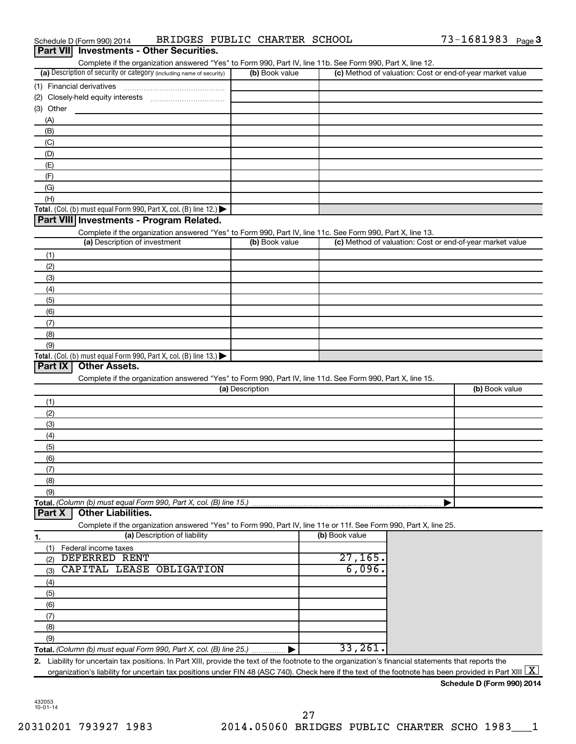| BRIDGES PUBLIC CHARTER SCHOOL<br>Schedule D (Form 990) 2014                                                                                                                                                                                                                                                                   |                 |                | 73-1681983 Page 3                                         |  |
|-------------------------------------------------------------------------------------------------------------------------------------------------------------------------------------------------------------------------------------------------------------------------------------------------------------------------------|-----------------|----------------|-----------------------------------------------------------|--|
| <b>Investments - Other Securities.</b><br>Part VIII                                                                                                                                                                                                                                                                           |                 |                |                                                           |  |
| Complete if the organization answered "Yes" to Form 990, Part IV, line 11b. See Form 990, Part X, line 12.                                                                                                                                                                                                                    |                 |                |                                                           |  |
| (a) Description of security or category (including name of security)                                                                                                                                                                                                                                                          | (b) Book value  |                | (c) Method of valuation: Cost or end-of-year market value |  |
|                                                                                                                                                                                                                                                                                                                               |                 |                |                                                           |  |
| (2) Closely-held equity interests                                                                                                                                                                                                                                                                                             |                 |                |                                                           |  |
| (3) Other<br>(A)                                                                                                                                                                                                                                                                                                              |                 |                |                                                           |  |
| (B)                                                                                                                                                                                                                                                                                                                           |                 |                |                                                           |  |
| (C)                                                                                                                                                                                                                                                                                                                           |                 |                |                                                           |  |
| (D)                                                                                                                                                                                                                                                                                                                           |                 |                |                                                           |  |
| (E)                                                                                                                                                                                                                                                                                                                           |                 |                |                                                           |  |
| (F)                                                                                                                                                                                                                                                                                                                           |                 |                |                                                           |  |
| (G)                                                                                                                                                                                                                                                                                                                           |                 |                |                                                           |  |
| (H)                                                                                                                                                                                                                                                                                                                           |                 |                |                                                           |  |
| Total. (Col. (b) must equal Form 990, Part X, col. (B) line 12.) $\blacktriangleright$                                                                                                                                                                                                                                        |                 |                |                                                           |  |
| Part VIII Investments - Program Related.                                                                                                                                                                                                                                                                                      |                 |                |                                                           |  |
| Complete if the organization answered "Yes" to Form 990, Part IV, line 11c. See Form 990, Part X, line 13.<br>(a) Description of investment                                                                                                                                                                                   | (b) Book value  |                | (c) Method of valuation: Cost or end-of-year market value |  |
|                                                                                                                                                                                                                                                                                                                               |                 |                |                                                           |  |
| (1)<br>(2)                                                                                                                                                                                                                                                                                                                    |                 |                |                                                           |  |
| (3)                                                                                                                                                                                                                                                                                                                           |                 |                |                                                           |  |
| (4)                                                                                                                                                                                                                                                                                                                           |                 |                |                                                           |  |
| (5)                                                                                                                                                                                                                                                                                                                           |                 |                |                                                           |  |
| (6)                                                                                                                                                                                                                                                                                                                           |                 |                |                                                           |  |
| (7)                                                                                                                                                                                                                                                                                                                           |                 |                |                                                           |  |
| (8)                                                                                                                                                                                                                                                                                                                           |                 |                |                                                           |  |
| (9)                                                                                                                                                                                                                                                                                                                           |                 |                |                                                           |  |
| Total. (Col. (b) must equal Form 990, Part X, col. (B) line 13.) $\blacktriangleright$                                                                                                                                                                                                                                        |                 |                |                                                           |  |
| <b>Other Assets.</b><br>Part IX                                                                                                                                                                                                                                                                                               |                 |                |                                                           |  |
| Complete if the organization answered "Yes" to Form 990, Part IV, line 11d. See Form 990, Part X, line 15.                                                                                                                                                                                                                    | (a) Description |                | (b) Book value                                            |  |
| (1)                                                                                                                                                                                                                                                                                                                           |                 |                |                                                           |  |
| (2)                                                                                                                                                                                                                                                                                                                           |                 |                |                                                           |  |
| (3)                                                                                                                                                                                                                                                                                                                           |                 |                |                                                           |  |
| (4)                                                                                                                                                                                                                                                                                                                           |                 |                |                                                           |  |
| (5)                                                                                                                                                                                                                                                                                                                           |                 |                |                                                           |  |
| (6)                                                                                                                                                                                                                                                                                                                           |                 |                |                                                           |  |
| (7)                                                                                                                                                                                                                                                                                                                           |                 |                |                                                           |  |
| (8)                                                                                                                                                                                                                                                                                                                           |                 |                |                                                           |  |
| (9)                                                                                                                                                                                                                                                                                                                           |                 |                |                                                           |  |
| Total. (Column (b) must equal Form 990, Part X, col. (B) line 15.)<br><b>Other Liabilities.</b><br>Part X                                                                                                                                                                                                                     |                 |                |                                                           |  |
| Complete if the organization answered "Yes" to Form 990, Part IV, line 11e or 11f. See Form 990, Part X, line 25.                                                                                                                                                                                                             |                 |                |                                                           |  |
| (a) Description of liability<br>1.                                                                                                                                                                                                                                                                                            |                 | (b) Book value |                                                           |  |
| (1)<br>Federal income taxes                                                                                                                                                                                                                                                                                                   |                 |                |                                                           |  |
| DEFERRED<br>RENT<br>(2)                                                                                                                                                                                                                                                                                                       |                 | 27,165.        |                                                           |  |
| CAPITAL<br>OBLIGATION<br>LEASE<br>(3)                                                                                                                                                                                                                                                                                         |                 | 6,096.         |                                                           |  |
| (4)                                                                                                                                                                                                                                                                                                                           |                 |                |                                                           |  |
| (5)                                                                                                                                                                                                                                                                                                                           |                 |                |                                                           |  |
| (6)                                                                                                                                                                                                                                                                                                                           |                 |                |                                                           |  |
| (7)                                                                                                                                                                                                                                                                                                                           |                 |                |                                                           |  |
| (8)                                                                                                                                                                                                                                                                                                                           |                 |                |                                                           |  |
| (9)                                                                                                                                                                                                                                                                                                                           |                 | 33,261         |                                                           |  |
| Total. (Column (b) must equal Form 990, Part X, col. (B) line 25.)                                                                                                                                                                                                                                                            |                 |                |                                                           |  |
| 2. Liability for uncertain tax positions. In Part XIII, provide the text of the footnote to the organization's financial statements that reports the<br>organization's liability for uncertain tax positions under FIN 48 (ASC 740). Check here if the text of the footnote has been provided in Part XIII $\boxed{\text{X}}$ |                 |                |                                                           |  |
|                                                                                                                                                                                                                                                                                                                               |                 |                |                                                           |  |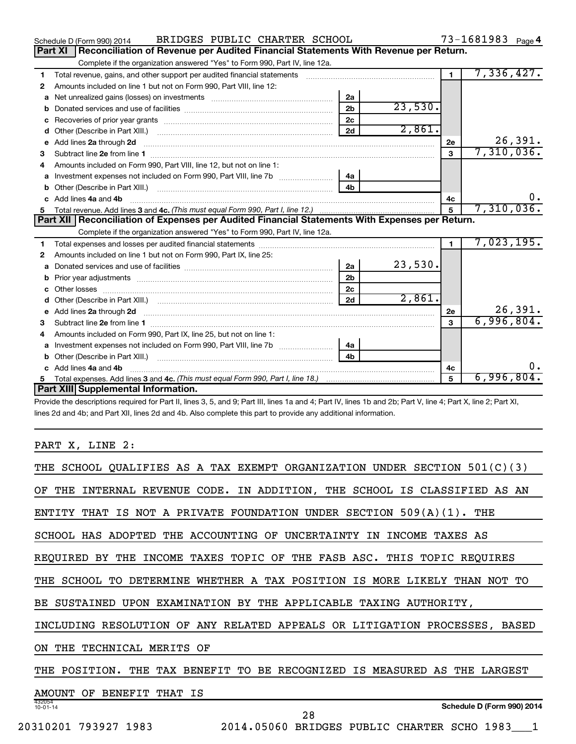|    | BRIDGES PUBLIC CHARTER SCHOOL<br>Schedule D (Form 990) 2014                                                                                                                                                                    |                |         |                | 73-1681983 Page 4 |
|----|--------------------------------------------------------------------------------------------------------------------------------------------------------------------------------------------------------------------------------|----------------|---------|----------------|-------------------|
|    | Reconciliation of Revenue per Audited Financial Statements With Revenue per Return.<br><b>Part XI</b>                                                                                                                          |                |         |                |                   |
|    | Complete if the organization answered "Yes" to Form 990, Part IV, line 12a.                                                                                                                                                    |                |         |                |                   |
| 1  | Total revenue, gains, and other support per audited financial statements [11, 11] matter controller and the support per audited financial statements [11] matter controller and the support of the statements [11] matter cont |                |         | $\blacksquare$ | 7,336,427.        |
| 2  | Amounts included on line 1 but not on Form 990, Part VIII, line 12:                                                                                                                                                            |                |         |                |                   |
| a  |                                                                                                                                                                                                                                | 2a             |         |                |                   |
| b  |                                                                                                                                                                                                                                | 2 <sub>b</sub> | 23,530. |                |                   |
| c  |                                                                                                                                                                                                                                | 2c             |         |                |                   |
| d  | Other (Describe in Part XIII.) <b>Construction Contract Construction</b> Chemistry Chemistry Chemistry Chemistry Chemistry                                                                                                     | 2d             | 2,861.  |                |                   |
| e  |                                                                                                                                                                                                                                |                |         | 2е             | 26,391.           |
| 3  |                                                                                                                                                                                                                                |                |         | 3              | 7,310,036.        |
|    | Amounts included on Form 990. Part VIII. line 12, but not on line 1:                                                                                                                                                           |                |         |                |                   |
| a  | Investment expenses not included on Form 990, Part VIII, line 7b                                                                                                                                                               | 4a             |         |                |                   |
|    |                                                                                                                                                                                                                                | 4 <sub>b</sub> |         |                |                   |
|    | Add lines 4a and 4b                                                                                                                                                                                                            |                |         | 4c             | 0.                |
| 5  |                                                                                                                                                                                                                                |                |         | 5              | 7,310,036.        |
|    |                                                                                                                                                                                                                                |                |         |                |                   |
|    | Part XII   Reconciliation of Expenses per Audited Financial Statements With Expenses per Return.                                                                                                                               |                |         |                |                   |
|    | Complete if the organization answered "Yes" to Form 990, Part IV, line 12a.                                                                                                                                                    |                |         |                |                   |
| 1  |                                                                                                                                                                                                                                |                |         | $\mathbf{1}$   | 7,023,195.        |
| 2  | Amounts included on line 1 but not on Form 990, Part IX, line 25:                                                                                                                                                              |                |         |                |                   |
| a  |                                                                                                                                                                                                                                | 2a             | 23,530. |                |                   |
|    |                                                                                                                                                                                                                                | 2 <sub>b</sub> |         |                |                   |
| C. |                                                                                                                                                                                                                                | 2 <sub>c</sub> |         |                |                   |
| d  |                                                                                                                                                                                                                                | 2d             | 2,861.  |                |                   |
|    |                                                                                                                                                                                                                                |                |         | 2e             | 26,391.           |
| з  |                                                                                                                                                                                                                                |                |         | $\mathbf{a}$   | 6,996,804.        |
| 4  | Amounts included on Form 990, Part IX, line 25, but not on line 1:                                                                                                                                                             |                |         |                |                   |
| a  |                                                                                                                                                                                                                                | 4a             |         |                |                   |
|    |                                                                                                                                                                                                                                | 4h             |         |                |                   |
|    | c Add lines 4a and 4b                                                                                                                                                                                                          |                |         | 4c             | 0.                |
|    | Part XIII Supplemental Information.                                                                                                                                                                                            |                |         | 5              | 6,996,804.        |

Provide the descriptions required for Part II, lines 3, 5, and 9; Part III, lines 1a and 4; Part IV, lines 1b and 2b; Part V, line 4; Part X, line 2; Part XI, lines 2d and 4b; and Part XII, lines 2d and 4b. Also complete this part to provide any additional information.

PART X, LINE 2:

| THE SCHOOL QUALIFIES AS A TAX EXEMPT ORGANIZATION UNDER SECTION 501(C)(3)     |
|-------------------------------------------------------------------------------|
| THE INTERNAL REVENUE CODE. IN ADDITION, THE SCHOOL IS CLASSIFIED AS AN<br>OF. |
| ENTITY THAT IS NOT A PRIVATE FOUNDATION UNDER SECTION $509(A)(1)$ . THE       |
| SCHOOL HAS ADOPTED THE ACCOUNTING OF UNCERTAINTY IN INCOME TAXES AS           |
| INCOME TAXES TOPIC OF THE FASB ASC. THIS TOPIC REQUIRES<br>REOUIRED BY THE    |
| THE SCHOOL TO DETERMINE WHETHER A TAX POSITION IS MORE LIKELY THAN NOT TO     |
| SUSTAINED UPON EXAMINATION BY THE APPLICABLE TAXING AUTHORITY,<br>BE.         |
| INCLUDING RESOLUTION OF ANY RELATED APPEALS OR LITIGATION PROCESSES, BASED    |
| THE TECHNICAL MERITS OF<br>ON.                                                |
| THE TAX BENEFIT TO BE RECOGNIZED IS MEASURED AS THE LARGEST<br>THE POSITION.  |
| BENEFIT THAT IS<br>AMOUNT OF                                                  |
| 432054<br>Schedule D (Form 990) 2014<br>$10 - 01 - 14$<br>28                  |
| 2014.05060 BRIDGES PUBLIC CHARTER SCHO 1983 1<br>20310201 793927 1983         |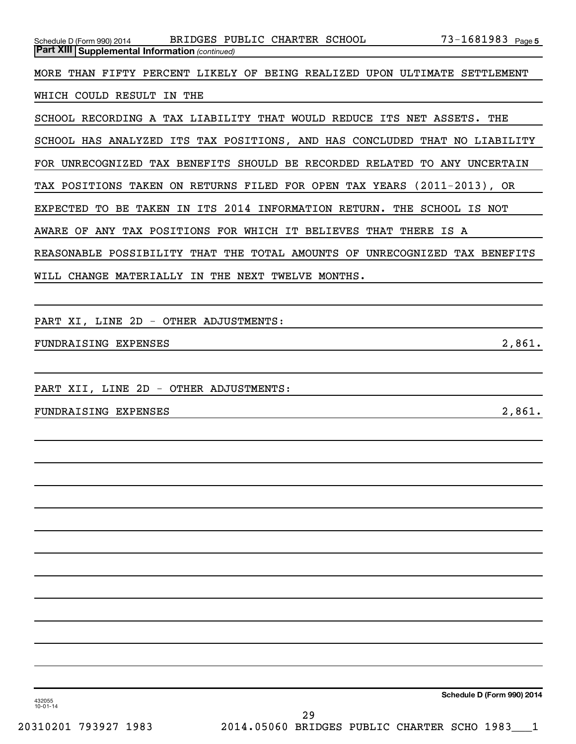| Schedule D (Form 990) 2014                            | BRIDGES PUBLIC CHARTER SCHOOL                                      | 73-1681983 <sub>Page 5</sub>                                              |
|-------------------------------------------------------|--------------------------------------------------------------------|---------------------------------------------------------------------------|
| <b>Part XIII Supplemental Information (continued)</b> |                                                                    |                                                                           |
|                                                       |                                                                    |                                                                           |
|                                                       |                                                                    | MORE THAN FIFTY PERCENT LIKELY OF BEING REALIZED UPON ULTIMATE SETTLEMENT |
|                                                       |                                                                    |                                                                           |
| WHICH COULD RESULT IN THE                             |                                                                    |                                                                           |
|                                                       |                                                                    |                                                                           |
|                                                       | SCHOOL RECORDING A TAX LIABILITY THAT WOULD REDUCE ITS NET ASSETS. | THE                                                                       |

SCHOOL HAS ANALYZED ITS TAX POSITIONS, AND HAS CONCLUDED THAT NO LIABILITY

FOR UNRECOGNIZED TAX BENEFITS SHOULD BE RECORDED RELATED TO ANY UNCERTAIN

TAX POSITIONS TAKEN ON RETURNS FILED FOR OPEN TAX YEARS (2011-2013), OR

EXPECTED TO BE TAKEN IN ITS 2014 INFORMATION RETURN. THE SCHOOL IS NOT

AWARE OF ANY TAX POSITIONS FOR WHICH IT BELIEVES THAT THERE IS A

REASONABLE POSSIBILITY THAT THE TOTAL AMOUNTS OF UNRECOGNIZED TAX BENEFITS

WILL CHANGE MATERIALLY IN THE NEXT TWELVE MONTHS.

PART XI, LINE 2D - OTHER ADJUSTMENTS:

FUNDRAISING EXPENSES 2,861.

PART XII, LINE 2D - OTHER ADJUSTMENTS:

FUNDRAISING EXPENSES 2,861.

**Schedule D (Form 990) 2014**

432055 10-01-14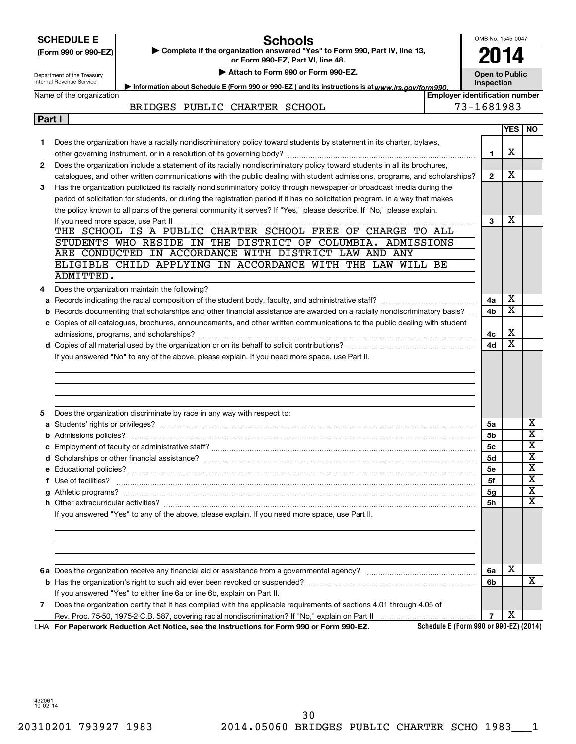|        | <b>SCHEDULE E</b><br>(Form 990 or 990-EZ) | <b>Schools</b><br>Complete if the organization answered "Yes" to Form 990, Part IV, line 13,                                  |                                        | OMB No. 1545-0047     |                         |                              |  |
|--------|-------------------------------------------|-------------------------------------------------------------------------------------------------------------------------------|----------------------------------------|-----------------------|-------------------------|------------------------------|--|
|        |                                           | or Form 990-EZ, Part VI, line 48.                                                                                             |                                        |                       | 2014                    |                              |  |
|        | Department of the Treasury                | Attach to Form 990 or Form 990-EZ.                                                                                            |                                        | <b>Open to Public</b> |                         |                              |  |
|        | Internal Revenue Service                  | Information about Schedule E (Form 990 or 990-EZ) and its instructions is at www.irs.gov/form990.                             |                                        | Inspection            |                         |                              |  |
|        | Name of the organization                  |                                                                                                                               | <b>Employer identification number</b>  | 73-1681983            |                         |                              |  |
| Part I |                                           | BRIDGES PUBLIC CHARTER SCHOOL                                                                                                 |                                        |                       |                         |                              |  |
|        |                                           |                                                                                                                               |                                        |                       |                         | YES   NO                     |  |
| 1      |                                           | Does the organization have a racially nondiscriminatory policy toward students by statement in its charter, bylaws,           |                                        |                       |                         |                              |  |
|        |                                           |                                                                                                                               |                                        | 1                     | х                       |                              |  |
| 2      |                                           | Does the organization include a statement of its racially nondiscriminatory policy toward students in all its brochures,      |                                        |                       |                         |                              |  |
|        |                                           | catalogues, and other written communications with the public dealing with student admissions, programs, and scholarships?     |                                        | $\mathbf{2}$          | X                       |                              |  |
| З      |                                           | Has the organization publicized its racially nondiscriminatory policy through newspaper or broadcast media during the         |                                        |                       |                         |                              |  |
|        |                                           | period of solicitation for students, or during the registration period if it has no solicitation program, in a way that makes |                                        |                       |                         |                              |  |
|        |                                           | the policy known to all parts of the general community it serves? If "Yes," please describe. If "No," please explain.         |                                        |                       |                         |                              |  |
|        |                                           |                                                                                                                               |                                        | 3                     | х                       |                              |  |
|        |                                           | THE SCHOOL IS A PUBLIC CHARTER SCHOOL FREE OF CHARGE TO ALL                                                                   |                                        |                       |                         |                              |  |
|        |                                           | STUDENTS WHO RESIDE IN THE DISTRICT OF COLUMBIA. ADMISSIONS<br>ARE CONDUCTED IN ACCORDANCE WITH DISTRICT LAW AND ANY          |                                        |                       |                         |                              |  |
|        |                                           | ELIGIBLE CHILD APPLYING IN ACCORDANCE WITH THE LAW WILL BE                                                                    |                                        |                       |                         |                              |  |
|        | ADMITTED.                                 |                                                                                                                               |                                        |                       |                         |                              |  |
| 4      |                                           | Does the organization maintain the following?                                                                                 |                                        |                       |                         |                              |  |
|        |                                           |                                                                                                                               |                                        | 4a                    | х                       |                              |  |
| b      |                                           | Records documenting that scholarships and other financial assistance are awarded on a racially nondiscriminatory basis?       |                                        | 4b                    | $\overline{\textbf{x}}$ |                              |  |
|        |                                           | c Copies of all catalogues, brochures, announcements, and other written communications to the public dealing with student     |                                        |                       |                         |                              |  |
|        |                                           |                                                                                                                               |                                        | 4c                    | х                       |                              |  |
|        |                                           |                                                                                                                               |                                        | 4d                    | $\overline{\textbf{x}}$ |                              |  |
|        |                                           | If you answered "No" to any of the above, please explain. If you need more space, use Part II.                                |                                        |                       |                         |                              |  |
|        |                                           |                                                                                                                               |                                        |                       |                         |                              |  |
|        |                                           |                                                                                                                               |                                        |                       |                         |                              |  |
|        |                                           |                                                                                                                               |                                        |                       |                         |                              |  |
|        |                                           |                                                                                                                               |                                        |                       |                         |                              |  |
| 5      |                                           | Does the organization discriminate by race in any way with respect to:                                                        |                                        |                       |                         |                              |  |
|        |                                           |                                                                                                                               |                                        | 5a                    |                         | х<br>$\overline{\textbf{x}}$ |  |
|        |                                           |                                                                                                                               |                                        | 5b                    |                         | $\overline{\mathbf{x}}$      |  |
|        |                                           |                                                                                                                               |                                        | 5c<br>5d              |                         | $\overline{\mathbf{X}}$      |  |
|        |                                           |                                                                                                                               |                                        | 5е                    |                         | X                            |  |
|        | f Use of facilities?                      |                                                                                                                               |                                        | 5f                    |                         | X                            |  |
|        |                                           |                                                                                                                               |                                        | 5g                    |                         | X                            |  |
|        |                                           |                                                                                                                               |                                        | 5h                    |                         | $\overline{\text{X}}$        |  |
|        |                                           | If you answered "Yes" to any of the above, please explain. If you need more space, use Part II.                               |                                        |                       |                         |                              |  |
|        |                                           |                                                                                                                               |                                        |                       |                         |                              |  |
|        |                                           |                                                                                                                               |                                        |                       |                         |                              |  |
|        |                                           |                                                                                                                               |                                        |                       |                         |                              |  |
|        |                                           |                                                                                                                               |                                        |                       |                         |                              |  |
|        |                                           |                                                                                                                               |                                        | 6a                    | X                       |                              |  |
|        |                                           |                                                                                                                               |                                        | 6b                    |                         | x                            |  |
|        |                                           | If you answered "Yes" to either line 6a or line 6b, explain on Part II.                                                       |                                        |                       |                         |                              |  |
| 7      |                                           | Does the organization certify that it has complied with the applicable requirements of sections 4.01 through 4.05 of          |                                        |                       |                         |                              |  |
|        |                                           | LHA For Paperwork Reduction Act Notice, see the Instructions for Form 990 or Form 990-EZ.                                     | Schedule E (Form 990 or 990-EZ) (2014) | 7                     | х                       |                              |  |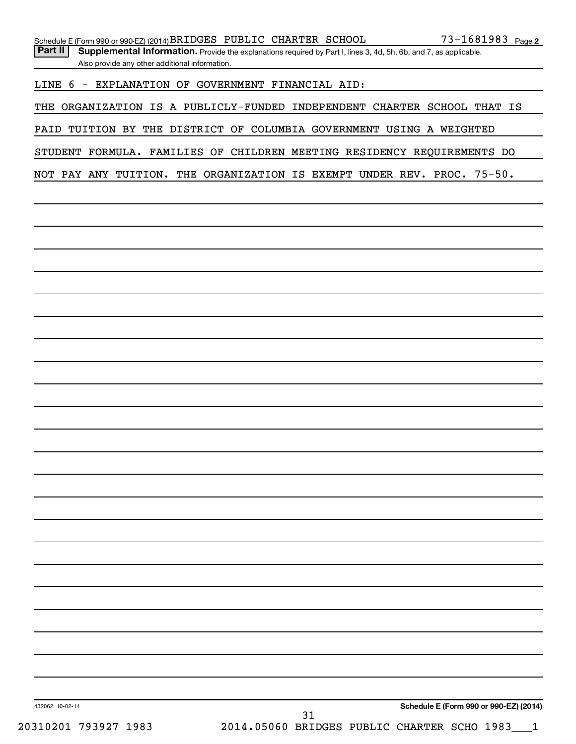| Part $  $ | Supplemental Information. Provide the explanations required by Part I, lines 3, 4d, 5h, 6b, and 7, as applicable. |
|-----------|-------------------------------------------------------------------------------------------------------------------|
|           | Also provide any other additional information.                                                                    |

LINE 6 - EXPLANATION OF GOVERNMENT FINANCIAL AID:

THE ORGANIZATION IS A PUBLICLY-FUNDED INDEPENDENT CHARTER SCHOOL THAT IS

PAID TUITION BY THE DISTRICT OF COLUMBIA GOVERNMENT USING A WEIGHTED

STUDENT FORMULA. FAMILIES OF CHILDREN MEETING RESIDENCY REQUIREMENTS DO

NOT PAY ANY TUITION. THE ORGANIZATION IS EXEMPT UNDER REV. PROC. 75-50.

432062 10-02-14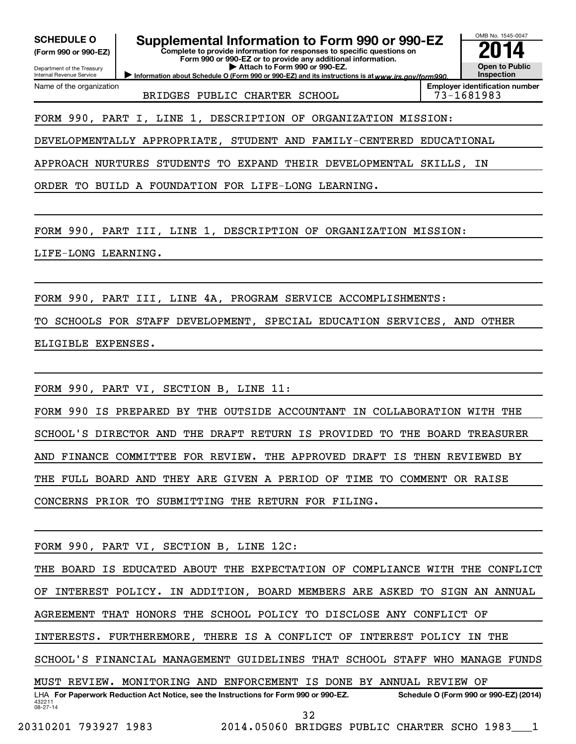**(Form 990 or 990-EZ)**

Department of the Treasury Internal Revenue Service

Name of the organization

SCHEDULE O **Supplemental Information to Form 990 or 990-EZ 2014** 

**Complete to provide information for responses to specific questions on Form 990 or 990-EZ or to provide any additional information. | Attach to Form 990 or 990-EZ.**

OMB No. 1545-0047

**Open to Public Inspection Employer identification number**

Information about Schedule O (Form 990 or 990-EZ) and its instructions is at www.irs.gov/form990.

BRIDGES PUBLIC CHARTER SCHOOL 73-1681983

FORM 990, PART I, LINE 1, DESCRIPTION OF ORGANIZATION MISSION:

DEVELOPMENTALLY APPROPRIATE, STUDENT AND FAMILY-CENTERED EDUCATIONAL

APPROACH NURTURES STUDENTS TO EXPAND THEIR DEVELOPMENTAL SKILLS, IN

ORDER TO BUILD A FOUNDATION FOR LIFE-LONG LEARNING.

FORM 990, PART III, LINE 1, DESCRIPTION OF ORGANIZATION MISSION:

LIFE-LONG LEARNING.

FORM 990, PART III, LINE 4A, PROGRAM SERVICE ACCOMPLISHMENTS:

TO SCHOOLS FOR STAFF DEVELOPMENT, SPECIAL EDUCATION SERVICES, AND OTHER

ELIGIBLE EXPENSES.

FORM 990, PART VI, SECTION B, LINE 11:

FORM 990 IS PREPARED BY THE OUTSIDE ACCOUNTANT IN COLLABORATION WITH THE SCHOOL'S DIRECTOR AND THE DRAFT RETURN IS PROVIDED TO THE BOARD TREASURER AND FINANCE COMMITTEE FOR REVIEW. THE APPROVED DRAFT IS THEN REVIEWED BY THE FULL BOARD AND THEY ARE GIVEN A PERIOD OF TIME TO COMMENT OR RAISE CONCERNS PRIOR TO SUBMITTING THE RETURN FOR FILING.

FORM 990, PART VI, SECTION B, LINE 12C:

432211 08-27-14 LHA For Paperwork Reduction Act Notice, see the Instructions for Form 990 or 990-EZ. Schedule O (Form 990 or 990-EZ) (2014) THE BOARD IS EDUCATED ABOUT THE EXPECTATION OF COMPLIANCE WITH THE CONFLICT OF INTEREST POLICY. IN ADDITION, BOARD MEMBERS ARE ASKED TO SIGN AN ANNUAL AGREEMENT THAT HONORS THE SCHOOL POLICY TO DISCLOSE ANY CONFLICT OF INTERESTS. FURTHEREMORE, THERE IS A CONFLICT OF INTEREST POLICY IN THE SCHOOL'S FINANCIAL MANAGEMENT GUIDELINES THAT SCHOOL STAFF WHO MANAGE FUNDS MUST REVIEW. MONITORING AND ENFORCEMENT IS DONE BY ANNUAL REVIEW OF 32

20310201 793927 1983 2014.05060 BRIDGES PUBLIC CHARTER SCHO 1983\_\_\_1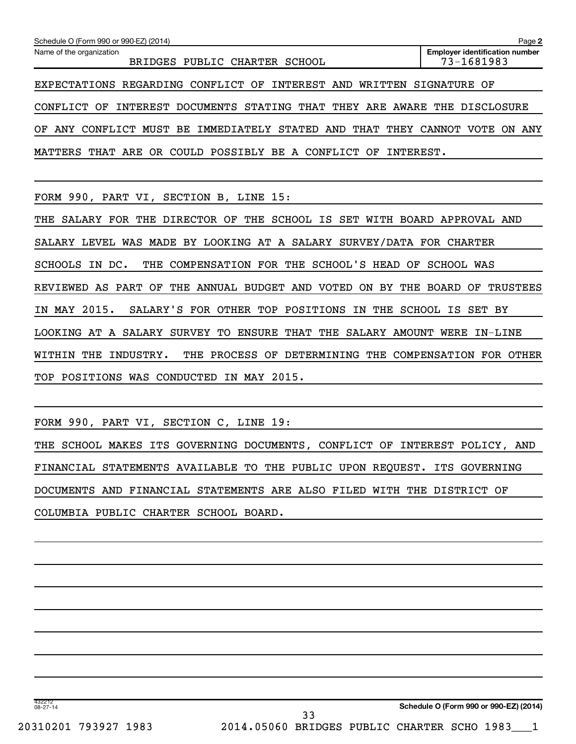| Schedule O (Form 990 or 990-EZ) (2014)                                      | Page 2                                              |
|-----------------------------------------------------------------------------|-----------------------------------------------------|
| Name of the organization<br>BRIDGES PUBLIC CHARTER SCHOOL                   | <b>Employer identification number</b><br>73-1681983 |
| EXPECTATIONS REGARDING CONFLICT OF INTEREST AND WRITTEN SIGNATURE OF        |                                                     |
| CONFLICT OF INTEREST DOCUMENTS STATING THAT THEY ARE AWARE THE DISCLOSURE   |                                                     |
| OF ANY CONFLICT MUST BE IMMEDIATELY STATED AND THAT THEY CANNOT VOTE ON ANY |                                                     |
| MATTERS THAT ARE OR COULD POSSIBLY BE A CONFLICT OF INTEREST.               |                                                     |

FORM 990, PART VI, SECTION B, LINE 15:

THE SALARY FOR THE DIRECTOR OF THE SCHOOL IS SET WITH BOARD APPROVAL AND SALARY LEVEL WAS MADE BY LOOKING AT A SALARY SURVEY/DATA FOR CHARTER SCHOOLS IN DC. THE COMPENSATION FOR THE SCHOOL'S HEAD OF SCHOOL WAS REVIEWED AS PART OF THE ANNUAL BUDGET AND VOTED ON BY THE BOARD OF TRUSTEES IN MAY 2015. SALARY'S FOR OTHER TOP POSITIONS IN THE SCHOOL IS SET BY LOOKING AT A SALARY SURVEY TO ENSURE THAT THE SALARY AMOUNT WERE IN-LINE WITHIN THE INDUSTRY. THE PROCESS OF DETERMINING THE COMPENSATION FOR OTHER TOP POSITIONS WAS CONDUCTED IN MAY 2015.

FORM 990, PART VI, SECTION C, LINE 19:

THE SCHOOL MAKES ITS GOVERNING DOCUMENTS, CONFLICT OF INTEREST POLICY, AND FINANCIAL STATEMENTS AVAILABLE TO THE PUBLIC UPON REQUEST. ITS GOVERNING DOCUMENTS AND FINANCIAL STATEMENTS ARE ALSO FILED WITH THE DISTRICT OF COLUMBIA PUBLIC CHARTER SCHOOL BOARD.

20310201 793927 1983 2014.05060 BRIDGES PUBLIC CHARTER SCHO 1983\_\_\_1 33

432212 08-27-14